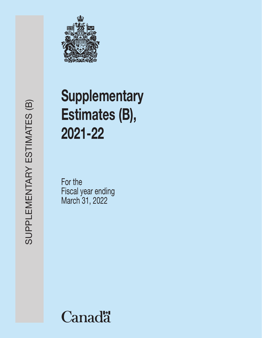

# **Supplementary** Estimates (B), 2021-22

For the Fiscal year ending March 31, 2022

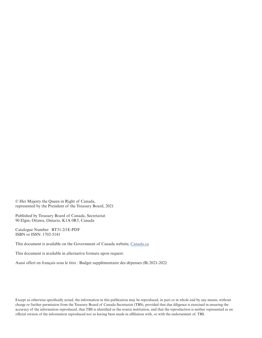© Her Majesty the Queen in Right of Canada, represented by the President of the Treasury Board, 2021

Published by Treasury Board of Canada, Secretariat 90 Elgin, Ottawa, Ontario, K1A 0R5, Canada

Catalogue Number: BT31-2/1E-PDF ISBN or ISSN: 1702-5141

This document is available on the Government of Canada website, Canada.ca

This document is available in alternative formats upon request.

Aussi offert en français sous le titre : Budget supplémentaire des dépenses (B) 2021-2022

Except as otherwise specifically noted, the information in this publication may be reproduced, in part or in whole and by any means, without charge or further permission from the Treasury Board of Canada Secretariat (TBS), provided that due diligence is exercised in ensuring the accuracy of the information reproduced, that TBS is identified as the source institution, and that the reproduction is neither represented as an official version of the information reproduced nor as having been made in affiliation with, or with the endorsement of, TBS.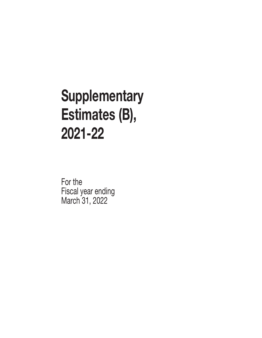# **Supplementary** Estimates (B), 2021-22

For the Fiscal year ending March 31, 2022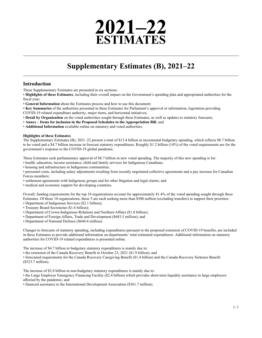# **2021–22 ESTIMATES**

# **Supplementary Estimates (B), 2021–22**

# **Introduction**

These Supplementary Estimates are presented in six sections:

• **Highlights of these Estimates**, including their overall impact on the Government's spending plan and appropriated authorities for the fiscal year;

• **General Information** about the Estimates process and how to use this document;

• **Key Summaries** of the authorities presented in these Estimates for Parliament's approval or information, legislation providing

COVID-19 related expenditure authority, major items, and horizontal initiatives;

• **Detail by Organization** on the voted authorities sought through these Estimates, as well as updates to statutory forecasts;

• **Annex – Items for inclusion in the Proposed Schedules to the Appropriation Bill**; and

• **Additional Information** available online on statutory and voted authorities.

#### **Highlights of these Estimates**

The Supplementary Estimates (B), 2021–22 present a total of \$13.4 billion in incremental budgetary spending, which reflects \$8.7 billion to be voted and a \$4.7 billion increase in forecast statutory expenditures. Roughly \$1.2 billion (14%) of the voted requirements are for the government's response to the COVID-19 global pandemic.

These Estimates seek parliamentary approval of \$8.7 billion in new voted spending. The majority of this new spending is for:

• health, education, income assistance, child and family services for Indigenous Canadians;

• housing and infrastructure in Indigenous communities;

• personnel costs, including salary adjustments resulting from recently negotiated collective agreements and a pay increase for Canadian Forces members;

• settlement agreements with Indigenous groups and for other litigation and legal claims; and

• medical and economic support for developing countries.

Overall, funding requirements for the top 10 organizations account for approximately 81.4% of the voted spending sought through these Estimates. Of those 10 organizations, these 5 are each seeking more than \$500 million (excluding transfers) to support their priorities:

- Department of Indigenous Services (\$2.1 billion);
- Treasury Board Secretariat (\$1.6 billion);
- Department of Crown-Indigenous Relations and Northern Affairs (\$1.0 billion);
- Department of Foreign Affairs, Trade and Development (\$683.5 million); and
- Department of National Defence (\$644.4 million).

Changes to forecasts of statutory spending, including expenditures pursuant to the proposed extension of COVID-19 benefits, are included in these Estimates to provide additional information on departments' total estimated expenditures. Additional information on statutory authorities for COVID-19 related expenditures is presented online.

The increase of \$4.7 billion in budgetary statutory expenditures is mainly due to:

• the extension of the Canada Recovery Benefit to October 23, 2021 (\$1.9 billion); and

• forecasted requirements for the Canada Recovery Caregiving Benefit (\$1.4 billion) and the Canada Recovery Sickness Benefit (\$523.7 million).

The increase of \$2.8 billion in non-budgetary statutory expenditures is mainly due to:

• the Large Employer Emergency Financing Facility (\$2.4 billion) which provides short-term liquidity assistance to large employers affected by the pandemic; and

• financial assistance to the International Development Association (\$361.7 million).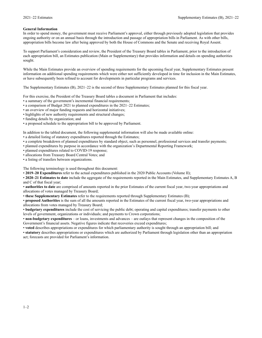#### **General Information**

In order to spend money, the government must receive Parliament's approval, either through previously adopted legislation that provides ongoing authority or on an annual basis through the introduction and passage of appropriation bills in Parliament. As with other bills, appropriation bills become law after being approved by both the House of Commons and the Senate and receiving Royal Assent.

To support Parliament's consideration and review, the President of the Treasury Board tables in Parliament, prior to the introduction of each appropriation bill, an Estimates publication (Main or Supplementary) that provides information and details on spending authorities sought.

While the Main Estimates provide an overview of spending requirements for the upcoming fiscal year, Supplementary Estimates present information on additional spending requirements which were either not sufficiently developed in time for inclusion in the Main Estimates, or have subsequently been refined to account for developments in particular programs and services.

The Supplementary Estimates (B), 2021–22 is the second of three Supplementary Estimates planned for this fiscal year.

For this exercise, the President of the Treasury Board tables a document in Parliament that includes:

• a summary of the government's incremental financial requirements;

- a comparison of Budget 2021 to planned expenditures in the 2021–22 Estimates;
- an overview of major funding requests and horizontal initiatives;
- highlights of new authority requirements and structural changes;
- funding details by organization; and
- a proposed schedule to the appropriation bill to be approved by Parliament.

In addition to the tabled document, the following supplemental information will also be made available online:

- a detailed listing of statutory expenditures reported through the Estimates;
- a complete breakdown of planned expenditures by standard object, such as personnel, professional services and transfer payments;
- planned expenditures by purpose in accordance with the organization's Departmental Reporting Framework;
- planned expenditures related to COVID-19 response;
- allocations from Treasury Board Central Votes; and

• a listing of transfers between organizations.

The following terminology is used throughout this document:

• **2019–20 Expenditures** refer to the actual expenditures published in the 2020 Public Accounts (Volume II);

• **2020–21 Estimates to date** include the aggregate of the requirements reported in the Main Estimates, and Supplementary Estimates A, B and C of that fiscal year;

• **authorities to date** are comprised of amounts reported in the prior Estimates of the current fiscal year, two-year appropriations and allocations of votes managed by Treasury Board;

• **these Supplementary Estimates** refer to the requirements reported through Supplementary Estimates (B);

• **proposed Authorities** is the sum of all the amounts reported in the Estimates of the current fiscal year, two-year appropriations and allocations from votes managed by Treasury Board;

• **budgetary expenditures** include the cost of servicing the public debt; operating and capital expenditures; transfer payments to other levels of government, organizations or individuals; and payments to Crown corporations;

• **non-budgetary expenditures** – or loans, investments and advances – are outlays that represent changes in the composition of the Government's financial assets. Negative figures indicate that recoveries exceed expenditures;

• **voted** describes appropriations or expenditures for which parliamentary authority is sought through an appropriation bill; and

• **statutory** describes appropriations or expenditures which are authorized by Parliament through legislation other than an appropriation act; forecasts are provided for Parliament's information.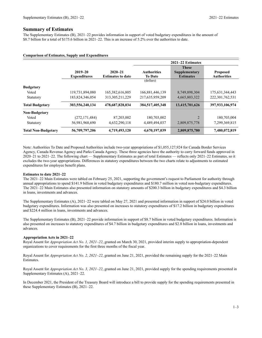#### **Summary of Estimates**

The Supplementary Estimates (B), 2021–22 provides information in support of voted budgetary expenditures in the amount of \$8.7 billion for a total of \$175.6 billion in 2021–22. This is an increase of 5.2% over the authorities to date.

#### **Comparison of Estimates, Supply and Expenditures**

|                            |                                    |                                         |                                      | $2021 - 22$ Estimates                             |                                       |
|----------------------------|------------------------------------|-----------------------------------------|--------------------------------------|---------------------------------------------------|---------------------------------------|
|                            | $2019 - 20$<br><b>Expenditures</b> | $2020 - 21$<br><b>Estimates to date</b> | <b>Authorities</b><br><b>To Date</b> | <b>These</b><br>Supplementary<br><b>Estimates</b> | <b>Proposed</b><br><b>Authorities</b> |
|                            |                                    |                                         | (dollars)                            |                                                   |                                       |
| <b>Budgetary</b>           |                                    |                                         |                                      |                                                   |                                       |
| Voted                      | 119,731,894,080                    | 165, 382, 616, 805                      | 166,881,446,139                      | 8,749,898,304                                     | 175,631,344,443                       |
| Statutory                  | 183,824,346,054                    | 313, 305, 211, 229                      | 217,635,959,209                      | 4,665,803,322                                     | 222, 301, 762, 531                    |
| <b>Total Budgetary</b>     | 303,556,240,134                    | 478,687,828,034                         | 384,517,405,348                      | 13,415,701,626                                    | 397,933,106,974                       |
| <b>Non-Budgetary</b>       |                                    |                                         |                                      |                                                   |                                       |
| Voted                      | (272, 171, 484)                    | 87,203,002                              | 180,703,002                          | 2                                                 | 180,703,004                           |
| Statutory                  | 56,981,968,690                     | 4,632,290,118                           | 4,489,494,037                        | 2,809,875,778                                     | 7,299,369,815                         |
| <b>Total Non-Budgetary</b> | 56,709,797,206                     | 4,719,493,120                           | 4,670,197,039                        | 2,809,875,780                                     | 7,480,072,819                         |

Note: Authorities To Date and Proposed Authorities include two-year appropriations of \$1,055,127,924 for Canada Border Services Agency, Canada Revenue Agency and Parks Canada Agency. These three agencies have the authority to carry forward funds approved in 2020–21 to 2021–22. The following chart — Supplementary Estimates as part of total Estimates — reflects only 2021–22 Estimates, so it excludes the two-year appropriations. Differences in statutory expenditures between the two charts relate to adjustments to estimated expenditures for employee benefit plans.

#### **Estimates to date 2021–22**

The 2021–22 Main Estimates were tabled on February 25, 2021, supporting the government's request to Parliament for authority through annual appropriations to spend \$141.9 billion in voted budgetary expenditures and \$180.7 million in voted non-budgetary expenditures. The 2021–22 Main Estimates also presented information on statutory amounts of \$200.3 billion in budgetary expenditures and \$4.3 billion in loans, investments and advances.

The Supplementary Estimates (A), 2021–22 were tabled on May 27, 2021 and presented information in support of \$24.0 billion in voted budgetary expenditures. Information was also presented on increases to statutory expenditures of \$17.2 billion in budgetary expenditures and \$224.4 million in loans, investments and advances.

The Supplementary Estimates (B), 2021–22 provide information in support of \$8.7 billion in voted budgetary expenditures. Information is also presented on increases to statutory expenditures of \$4.7 billion in budgetary expenditures and \$2.8 billion in loans, investments and advances.

#### **Appropriation Acts in 2021–22**

Royal Assent for *Appropriation Act No. 1, 2021–22*, granted on March 30, 2021, provided interim supply to appropriation-dependent organizations to cover requirements for the first three months of the fiscal year.

Royal Assent for *Appropriation Act No. 2, 2021–22*, granted on June 21, 2021, provided the remaining supply for the 2021–22 Main Estimates.

Royal Assent for *Appropriation Act No. 3, 2021–22*, granted on June 21, 2021, provided supply for the spending requirements presented in Supplementary Estimates (A), 2021–22.

In December 2021, the President of the Treasury Board will introduce a bill to provide supply for the spending requirements presented in these Supplementary Estimates (B), 2021–22.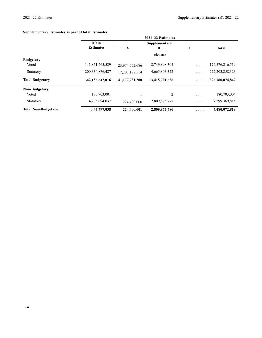# **Supplementary Estimates as part of total Estimates**

|                            | 2021-22 Estimates  |                |                |             |                    |  |  |
|----------------------------|--------------------|----------------|----------------|-------------|--------------------|--|--|
|                            | Main               |                | Supplementary  |             |                    |  |  |
|                            | <b>Estimates</b>   | A              | В              | $\mathbf C$ | <b>Total</b>       |  |  |
|                            |                    |                | (dollars)      |             |                    |  |  |
| <b>Budgetary</b>           |                    |                |                |             |                    |  |  |
| Voted                      | 141,851,765,529    | 23,974,552,686 | 8,749,898,304  | .           | 174,576,216,519    |  |  |
| Statutory                  | 200, 334, 876, 487 | 17,203,178,514 | 4,665,803,322  | .           | 222, 203, 858, 323 |  |  |
| <b>Total Budgetary</b>     | 342,186,642,016    | 41,177,731,200 | 13,415,701,626 | .           | 396,780,074,842    |  |  |
| <b>Non-Budgetary</b>       |                    |                |                |             |                    |  |  |
| Voted                      | 180,703,001        |                | 2              | .           | 180,703,004        |  |  |
| Statutory                  | 4,265,094,037      | 224,400,000    | 2,809,875,778  | .           | 7,299,369,815      |  |  |
| <b>Total Non-Budgetary</b> | 4,445,797,038      | 224,400,001    | 2,809,875,780  | .           | 7,480,072,819      |  |  |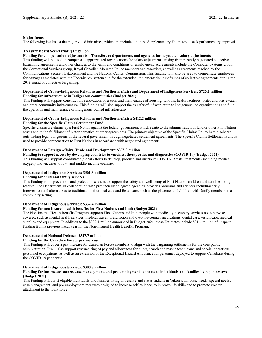#### **Major Items**

The following is a list of the major voted initiatives, which are included in these Supplementary Estimates to seek parliamentary approval.

#### **Treasury Board Secretariat: \$1.5 billion**

#### **Funding for compensation adjustments – Transfers to departments and agencies for negotiated salary adjustments**

This funding will be used to compensate appropriated organizations for salary adjustments arising from recently negotiated collective bargaining agreements and other changes to the terms and conditions of employment. Agreements include the Computer Systems group, the Correctional Services group, Royal Canadian Mounted Police members and reservists, as well as agreements reached by the Communications Security Establishment and the National Capital Commission. This funding will also be used to compensate employees for damages associated with the Phoenix pay system and for the extended implementation timeframes of collective agreements during the 2018 round of collective bargaining.

#### **Department of Crown-Indigenous Relations and Northern Affairs and Department of Indigenous Services: \$725.2 million Funding for infrastructure in Indigenous communities (Budget 2021)**

This funding will support construction, renovation, operation and maintenance of housing, schools, health facilities, water and wastewater, and other community infrastructure. This funding will also support the transfer of infrastructure to Indigenous-led organizations and fund the operation and maintenance of Indigenous-owned infrastructure.

#### **Department of Crown-Indigenous Relations and Northern Affairs: \$412.2 million**

#### **Funding for the Specific Claims Settlement Fund**

Specific claims are claims by a First Nation against the federal government which relate to the administration of land or other First Nation assets and to the fulfillment of historic treaties or other agreements. The primary objective of the Specific Claims Policy is to discharge outstanding legal obligations of the federal government through negotiated settlement agreements. The Specific Claims Settlement Fund is used to provide compensation to First Nations in accordance with negotiated agreements.

#### **Department of Foreign Affairs, Trade and Development: \$375.0 million**

**Funding to support access by developing countries to vaccines, therapeutics and diagnostics (COVID-19) (Budget 2021)** This funding will support coordinated global efforts to develop, produce and distribute COVID-19 tests, treatments (including medical oxygen) and vaccines to low- and middle-income countries.

#### **Department of Indigenous Services: \$361.3 million**

#### **Funding for child and family services**

This funding is for prevention and protection services to support the safety and well-being of First Nations children and families living on reserve. The Department, in collaboration with provincially delegated agencies, provides programs and services including early intervention and alternatives to traditional institutional care and foster care, such as the placement of children with family members in a community setting.

#### **Department of Indigenous Services: \$332.4 million**

#### **Funding for non-insured health benefits for First Nations and Inuit (Budget 2021)**

The Non-Insured Health Benefits Program supports First Nations and Inuit people with medically necessary services not otherwise covered, such as mental health services, medical travel, prescription and over-the-counter medications, dental care, vision care, medical supplies and equipment. In addition to the \$332.4 million announced in Budget 2021, these Estimates include \$31.4 million of unspent funding from a previous fiscal year for the Non-Insured Health Benefits Program.

#### **Department of National Defence: \$327.7 million**

#### **Funding for the Canadian Forces pay increase**

This funding will cover a pay increase for Canadian Forces members to align with the bargaining settlements for the core public administration. It will also support restructuring of pay and allowances for pilots, search and rescue technicians and special operations personnel occupations, as well as an extension of the Exceptional Hazard Allowance for personnel deployed to support Canadians during the COVID-19 pandemic.

#### **Department of Indigenous Services: \$308.7 million**

#### **Funding for income assistance, case management, and pre-employment supports to individuals and families living on reserve (Budget 2021)**

This funding will assist eligible individuals and families living on reserve and status Indians in Yukon with: basic needs; special needs; case management; and pre-employment measures designed to increase self-reliance, to improve life skills and to promote greater attachment to the work force.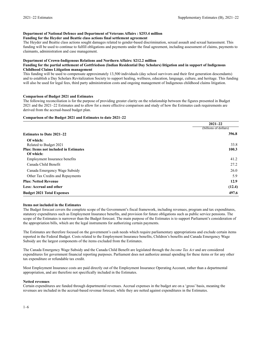#### **Department of National Defence and Department of Veterans Affairs : \$253.4 million**

#### **Funding for the Heyder and Beattie class actions final settlement agreement**

The Heyder and Beattie class actions sought damages related to gender-based discrimination, sexual assault and sexual harassment. This funding will be used to continue to fulfill obligations and payments under the final agreement, including assessment of claims, payments to claimants, administration and case management.

#### **Department of Crown-Indigenous Relations and Northern Affairs: \$212.2 million**

#### **Funding for the partial settlement of Gottfriedson (Indian Residential Day Scholars) litigation and in support of Indigenous Childhood Claims Litigation management**

This funding will be used to compensate approximately 13,500 individuals (day school survivors and their first generation descendants) and to establish a Day Scholars Revitalization Society to support healing, wellness, education, language, culture, and heritage. This funding will also be used for legal fees, third party administration costs and ongoing management of Indigenous childhood claims litigation.

#### **Comparison of Budget 2021 and Estimates**

The following reconciliation is for the purpose of providing greater clarity on the relationship between the figures presented in Budget 2021 and the 2021–22 Estimates and to allow for a more effective comparison and study of how the Estimates cash requirements are derived from the accrual-based budget plan.

#### **Comparison of the Budget 2021 and Estimates to date 2021–22**

|                                              | $2021 - 22$           |
|----------------------------------------------|-----------------------|
|                                              | (billions of dollars) |
| <b>Estimates to Date 2021–22</b>             | 396.8                 |
| Of which:                                    |                       |
| Related to Budget 2021                       | 33.8                  |
| <b>Plus: Items not included in Estimates</b> | 100.3                 |
| Of which:                                    |                       |
| <b>Employment Insurance benefits</b>         | 41.2                  |
| Canada Child Benefit                         | 27.2                  |
| Canada Emergency Wage Subsidy                | 26.0                  |
| Other Tax Credits and Repayments             | 5.9                   |
| <b>Plus: Netted Revenue</b>                  | 12.9                  |
| Less: Accrual and other                      | (12.4)                |
| <b>Budget 2021 Total Expenses</b>            | 497.6                 |

#### **Items not included in the Estimates**

The Budget forecast covers the complete scope of the Government's fiscal framework, including revenues, program and tax expenditures, statutory expenditures such as Employment Insurance benefits, and provision for future obligations such as public service pensions. The scope of the Estimates is narrower than the Budget forecast. The main purpose of the Estimates is to support Parliament's consideration of the appropriation bills, which are the legal instruments for authorizing certain payments.

The Estimates are therefore focused on the government's cash needs which require parliamentary appropriations and exclude certain items reported in the Federal Budget. Costs related to the Employment Insurance benefits, Children's benefits and Canada Emergency Wage Subsidy are the largest components of the items excluded from the Estimates.

The Canada Emergency Wage Subsidy and the Canada Child Benefit are legislated through the *Income Tax Act* and are considered expenditures for government financial reporting purposes. Parliament does not authorize annual spending for these items or for any other tax expenditure or refundable tax credit.

Most Employment Insurance costs are paid directly out of the Employment Insurance Operating Account, rather than a departmental appropriation, and are therefore not specifically included in the Estimates.

#### **Netted revenues**

Certain expenditures are funded through departmental revenues. Accrual expenses in the budget are on a 'gross' basis, meaning the revenues are included in the accrual-based revenue forecast, while they are netted against expenditures in the Estimates.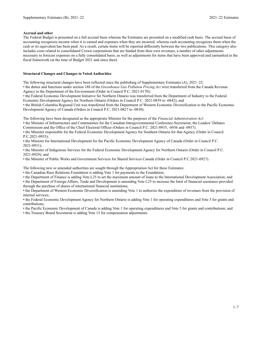#### **Accrual and other**

The Federal Budget is presented on a full accrual basis whereas the Estimates are presented on a modified cash basis. The accrual basis of accounting recognizes income when it is earned and expenses when they are incurred, whereas cash accounting recognizes them when the cash or its equivalent has been paid. As a result, certain items will be reported differently between the two publications. This category also includes costs related to consolidated Crown corporations that are funded from their own revenues, a number of other adjustments necessary to forecast expenses on a fully consolidated basis, as well as adjustments for items that have been approved and earmarked in the fiscal framework (at the time of Budget 2021 and since then).

#### **Structural Changes and Changes to Voted Authorities**

The following structural changes have been reflected since the publishing of Supplementary Estimates (A), 2021–22:

• the duties and functions under section 188 of the *Greenhouse Gas Pollution Pricing Act* were transferred from the Canada Revenue Agency to the Department of the Environment (Order in Council P.C. 2021-0170);

• the Federal Economic Development Initiative for Northern Ontario was transferred from the Department of Industry to the Federal Economic Development Agency for Northern Ontario (Orders in Council P.C. 2021-0839 to -0842); and

• the British Columbia Regional Unit was transferred from the Department of Western Economic Diversification to the Pacific Economic Development Agency of Canada (Orders in Council P.C. 2021-0827 to -0830).

The following have been designated as the appropriate Minister for the purposes of the *Financial Administration Act*:

• the Minister of Infrastructure and Communities for the Canadian Intergovernmental Conference Secretariat, the Leaders' Debates Commission and the Office of the Chief Electoral Officer (Orders in Council P.C. 2021-0935, -0936 and -0937).

• the Minister responsible for the Federal Economic Development Agency for Southern Ontario for that Agency (Order in Council P.C.2021-0933);

• the Minister for International Development for the Pacific Economic Development Agency of Canada (Order in Council P.C. 2021-0931);

• the Minister of Indigenous Services for the Federal Economic Development Agency for Northern Ontario (Order in Council P.C. 2021-0929); and

• the Minister of Public Works and Government Services for Shared Services Canada (Order in Council P.C.2021-0927).

The following new or amended authorities are sought through the Appropriation Act for these Estimates:

• the Canadian Race Relations Foundation is adding Vote 1 for payments to the Foundation;

• the Department of Finance is adding Vote L25 to set the maximum amount of loans to the International Development Association; and

• the Department of Foreign Affairs, Trade and Development is amending Vote L25 to increase the limit of financial assistance provided through the purchase of shares of international financial institutions;

• the Department of Western Economic Diversification is amending Vote 1 to authorize the expenditure of revenues from the provision of internal services;

• the Federal Economic Development Agency for Northern Ontario is adding Vote 1 for operating expenditures and Vote 5 for grants and contributions;

• the Pacific Economic Development of Canada is adding Vote 1 for operating expenditures and Vote 5 for grants and contributions; and

• the Treasury Board Secretariat is adding Vote 15 for compensation adjustments.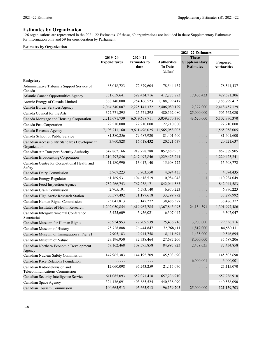126 organizations are represented in the 2021–22 Estimates. Of these, 60 organizations are included in these Supplementary Estimates: 1 for information only and 59 for consideration by Parliament.

|                                                                |                                    |                                            | 2021-22 Estimates                    |                                                   |                                       |  |
|----------------------------------------------------------------|------------------------------------|--------------------------------------------|--------------------------------------|---------------------------------------------------|---------------------------------------|--|
|                                                                | $2019 - 20$<br><b>Expenditures</b> | $2020 - 21$<br><b>Estimates to</b><br>date | <b>Authorities</b><br><b>To Date</b> | <b>These</b><br>Supplementary<br><b>Estimates</b> | <b>Proposed</b><br><b>Authorities</b> |  |
|                                                                |                                    |                                            | (dollars)                            |                                                   |                                       |  |
| <b>Budgetary</b>                                               |                                    |                                            |                                      |                                                   |                                       |  |
| Administrative Tribunals Support Service of<br>Canada          | 65,048,723                         | 72,679,604                                 | 78,544,437                           | .                                                 | 78,544,437                            |  |
| Atlantic Canada Opportunities Agency                           | 351,659,641                        | 592,434,716                                | 412,275,873                          | 17,405,433                                        | 429,681,306                           |  |
| Atomic Energy of Canada Limited                                | 868,140,000                        | 1,254,166,523                              | 1,188,799,417                        | .                                                 | 1,188,799,417                         |  |
| Canada Border Services Agency                                  | 2,064,340,007                      | 2,225,141,372                              | 2,406,080,129                        | 12,377,000                                        | 2,418,457,129                         |  |
| Canada Council for the Arts                                    | 327,771,295                        | 425,571,295                                | 480,562,080                          | 25,000,000                                        | 505,562,080                           |  |
| Canada Mortgage and Housing Corporation                        | 2,215,671,739                      | 6,019,698,711                              | 5,059,370,370                        | 43,620,000                                        | 5,102,990,370                         |  |
| Canada Post Corporation                                        | 22,210,000                         | 22,210,000                                 | 22,210,000                           | .                                                 | 22,210,000                            |  |
| Canada Revenue Agency                                          | 7,198,211,160                      | 9,611,496,025                              | 11,565,058,005                       | .                                                 | 11,565,058,005                        |  |
| Canada School of Public Service                                | 81,380,256                         | 79,687,920                                 | 81,401,600                           | .                                                 | 81,401,600                            |  |
| Canadian Accessibility Standards Development<br>Organization   | 3,960,828                          | 16,618,432                                 | 20,521,637                           | $\sim$ $\sim$ $\sim$ $\sim$ $\sim$                | 20,521,637                            |  |
| Canadian Air Transport Security Authority                      | 847, 862, 166                      | 917,728,788                                | 852,889,905                          | .                                                 | 852,889,905                           |  |
| <b>Canadian Broadcasting Corporation</b>                       | 1,210,797,846                      | 1,247,497,846                              | 1,229,423,241                        | $\cdots$ .                                        | 1,229,423,241                         |  |
| Canadian Centre for Occupational Health and<br>Safety          | 11,180,990                         | 13,017,140                                 | 15,608,772                           | $\sim$ $\sim$ $\sim$ $\sim$ $\sim$                | 15,608,772                            |  |
| Canadian Dairy Commission                                      | 3,967,223                          | 3,903,550                                  | 4,094,435                            | $\sim$ $\sim$ $\sim$ $\sim$ $\sim$                | 4,094,435                             |  |
| Canadian Energy Regulator                                      | 61,169,531                         | 104,618,519                                | 110,984,048                          | 1                                                 | 110,984,049                           |  |
| Canadian Food Inspection Agency                                | 752,266,743                        | 767,238,171                                | 842,044,583                          | $\cdots$                                          | 842,044,583                           |  |
| Canadian Grain Commission                                      | 2,705,191                          | 6,593,140                                  | 6,970,223                            | $\sim$ $\sim$ $\sim$ $\sim$ $\sim$                | 6,970,223                             |  |
| Canadian High Arctic Research Station                          | 30,577,492                         | 31,177,618                                 | 33,299,992                           | $\sim$ $\sim$ $\sim$ $\sim$ $\sim$                | 33,299,992                            |  |
| Canadian Human Rights Commission                               | 25,041,813                         | 33, 147, 272                               | 38,486,377                           | .                                                 | 38,486,377                            |  |
| Canadian Institutes of Health Research                         | 1,202,050,854                      | 1,619,967,785                              | 1,367,843,095                        | 24,154,391                                        | 1,391,997,486                         |  |
| Canadian Intergovernmental Conference<br>Secretariat           | 5,425,609                          | 5,956,021                                  | 6,307,047                            | $\sim$ $\sim$ $\sim$ $\sim$                       | 6,307,047                             |  |
| Canadian Museum for Human Rights                               | 26,954,953                         | 27,709,539                                 | 25,436,716                           | 3,900,000                                         | 29,336,716                            |  |
| Canadian Museum of History                                     | 75,728,888                         | 76,444,847                                 | 72,768,111                           | 11,812,000                                        | 84,580,111                            |  |
| Canadian Museum of Immigration at Pier 21                      | 7,905,183                          | 9,944,758                                  | 8,111,694                            | 1,435,000                                         | 9,546,694                             |  |
| Canadian Museum of Nature                                      | 29,196,950                         | 32,738,464                                 | 27,687,206                           | 8,000,000                                         | 35,687,206                            |  |
| Canadian Northern Economic Development<br>Agency               | 67,162,468                         | 109,595,858                                | 84,995,823                           | 2,439,035                                         | 87,434,858                            |  |
| Canadian Nuclear Safety Commission                             | 147,965,383                        | 144, 195, 709                              | 145,503,690                          | $\cdots$ .                                        | 145,503,690                           |  |
| Canadian Race Relations Foundation                             | .                                  | .                                          | .                                    | 6,000,001                                         | 6,000,001                             |  |
| Canadian Radio-television and<br>Telecommunications Commission | 12,060,098                         | 95,243,259                                 | 21,115,070                           | .                                                 | 21,115,070                            |  |
| Canadian Security Intelligence Service                         | 611,085,093                        | 652,071,418                                | 657,236,910                          | $\cdots$                                          | 657,236,910                           |  |
| Canadian Space Agency                                          | 324,436,091                        | 403,885,524                                | 440,538,090                          | .                                                 | 440,538,090                           |  |
| Canadian Tourism Commission                                    | 100,665,913                        | 95,665,913                                 | 96,159,703                           | 25,000,000                                        | 121,159,703                           |  |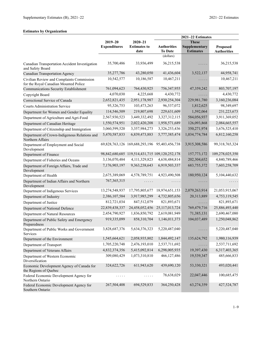|                                                                                    |                                    |                                                         | 2021-22 Estimates                    |                                                   |                                       |
|------------------------------------------------------------------------------------|------------------------------------|---------------------------------------------------------|--------------------------------------|---------------------------------------------------|---------------------------------------|
|                                                                                    | $2019 - 20$<br><b>Expenditures</b> | $2020 - 21$<br><b>Estimates to</b><br>date              | <b>Authorities</b><br><b>To Date</b> | <b>These</b><br>Supplementary<br><b>Estimates</b> | <b>Proposed</b><br><b>Authorities</b> |
|                                                                                    |                                    |                                                         | (dollars)                            |                                                   |                                       |
| Canadian Transportation Accident Investigation<br>and Safety Board                 | 35,700,486                         | 33,936,499                                              | 36,215,538                           | .                                                 | 36,215,538                            |
| Canadian Transportation Agency                                                     | 35,277,786                         | 43,280,050                                              | 41,436,604                           | 3,522,137                                         | 44,958,741                            |
| Civilian Review and Complaints Commission<br>for the Royal Canadian Mounted Police | 10,542,577                         | 10,186,587                                              | 10,467,211                           | .                                                 | 10,467,211                            |
| Communications Security Establishment                                              | 761,094,623                        | 764,430,925                                             | 756,347,955                          | 47,359,242                                        | 803,707,197                           |
| Copyright Board                                                                    | 4,070,030                          | 4,225,668                                               | 4,430,772                            | .                                                 | 4,430,772                             |
| Correctional Service of Canada                                                     | 2,652,821,435                      | 2,951,178,987                                           | 2,930,254,304                        | 229,981,780                                       | 3,160,236,084                         |
| <b>Courts Administration Service</b>                                               | 95,326,753                         | 103,473,263                                             | 96,537,072                           | 1,812,625                                         | 98,349,697                            |
| Department for Women and Gender Equality                                           | 114,546,509                        | 219,807,698                                             | 229,631,609                          | 1,592,064                                         | 231,223,673                           |
| Department of Agriculture and Agri-Food                                            | 2,567,930,523                      | 3,449,332,492                                           | 3,327,312,115                        | 584,056,937                                       | 3,911,369,052                         |
| Department of Canadian Heritage                                                    | 1,550,574,951                      | 2,022,420,208                                           | 1,958,571,689                        | 126,093,868                                       | 2,084,665,557                         |
| Department of Citizenship and Immigration                                          | 3,060,599,520                      | 3,357,984,273                                           | 3,326,253,436                        | 350,271,974                                       | 3,676,525,410                         |
| Department of Crown-Indigenous Relations and<br>Northern Affairs                   | 5,470,587,833                      | 6,839,473,883                                           | 5,777,385,474                        | 1,034,774,784                                     | 6,812,160,258                         |
| Department of Employment and Social<br>Development                                 |                                    | 69,828,763,126 169,688,293,196                          | 95,403,456,738                       | 3,915,308,586                                     | 99,318,765,324                        |
| Department of Finance                                                              |                                    | 98, 842, 680, 685 119, 514, 431, 715 109, 120, 252, 178 |                                      | 157,773,172                                       | 109,278,025,350                       |
| Department of Fisheries and Oceans                                                 | 3,136,070,484                      | 4,111,329,823                                           | 4,638,484,814                        | 202,304,652                                       | 4,840,789,466                         |
| Department of Foreign Affairs, Trade and<br>Development                            | 7,176,903,197                      | 9,363,238,643                                           | 6,919,503,337                        | 683,755,372                                       | 7,603,258,709                         |
| Department of Health                                                               | 2,675,389,069                      | 4,578,789,751                                           | 4,923,490,508                        | 180,950,124                                       | 5,104,440,632                         |
| Department of Indian Affairs and Northern<br>Development                           | 767, 365, 315                      | .                                                       | .                                    | .                                                 | .                                     |
| Department of Indigenous Services                                                  | 13,274,548,937                     | 17,795,805,677                                          | 18,974,651,153                       | 2,079,263,914                                     | 21,053,915,067                        |
| Department of Industry                                                             | 2,386,107,584                      | 3,917,985,299                                           | 4,732,805,656                        | 20,313,889                                        | 4,753,119,545                         |
| Department of Justice                                                              | 812,721,034                        | 847,512,079                                             | 821,893,671                          | .                                                 | 821,893,671                           |
| Department of National Defence                                                     | 22,839,438,337                     | 24,458,052,456                                          | 25, 117, 013, 724                    | 769,479,716                                       | 25,886,493,440                        |
| Department of Natural Resources                                                    | 2,454,790,927                      | 1,836,850,792                                           | 2,619,081,949                        | 71,385,131                                        | 2,690,467,080                         |
| Department of Public Safety and Emergency<br>Preparedness                          | 919,335,099                        | 858,310,704                                             | 1,146,011,373                        | 104,037,489                                       | 1,250,048,862                         |
| Department of Public Works and Government<br>Services                              | 3,828,687,376                      | 5,634,376,323                                           | 5,220,487,040                        | .                                                 | 5,220,487,040                         |
| Department of the Environment                                                      | 1,545,664,621                      | 2,058,935,802                                           | 1,844,492,147                        | 135,624,792                                       | 1,980,116,939                         |
| Department of Transport                                                            | 1,705,220,748                      | 2,476,193,010                                           | 2,537,711,692                        | .                                                 | 2,537,711,692                         |
| Department of Veterans Affairs                                                     | 4,832,374,356                      | 5,415,092,814                                           | 6,298,005,935                        | 19,397,430                                        | 6,317,403,365                         |
| Department of Western Economic<br>Diversification                                  | 309,080,429                        | 1,073,310,810                                           | 466,127,486                          | 19,539,347                                        | 485,666,833                           |
| Economic Development Agency of Canada for<br>the Regions of Quebec                 | 324,622,726                        | 611,943,620                                             | 439,690,120                          | 53,330,321                                        | 493,020,441                           |
| Federal Economic Development Agency for<br>Northern Ontario                        | .                                  | .                                                       | 78,638,029                           | 22,047,446                                        | 100,685,475                           |
| Federal Economic Development Agency for<br>Southern Ontario                        | 267,504,408                        | 694,529,833                                             | 364,250,428                          | 63,274,359                                        | 427,524,787                           |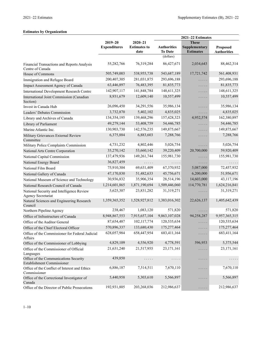|                                                                        |                                    |                                            | 2021-22 Estimates                    |                                                   |                                       |
|------------------------------------------------------------------------|------------------------------------|--------------------------------------------|--------------------------------------|---------------------------------------------------|---------------------------------------|
|                                                                        | $2019 - 20$<br><b>Expenditures</b> | $2020 - 21$<br><b>Estimates to</b><br>date | <b>Authorities</b><br><b>To Date</b> | <b>These</b><br>Supplementary<br><b>Estimates</b> | <b>Proposed</b><br><b>Authorities</b> |
|                                                                        |                                    |                                            | (dollars)                            |                                                   |                                       |
| Financial Transactions and Reports Analysis<br>Centre of Canada        | 55,282,766                         | 76,319,284                                 | 86, 427, 671                         | 2,034,643                                         | 88,462,314                            |
| House of Commons                                                       | 505,749,003                        | 538,955,738                                | 543,687,189                          | 17,721,742                                        | 561,408,931                           |
| Immigration and Refugee Board                                          | 200,407,305                        | 281,031,875                                | 293,696,188                          | $\cdots$                                          | 293,696,188                           |
| Impact Assessment Agency of Canada                                     | 63,446,897                         | 76,483,395                                 | 81,835,773                           | $\cdots$                                          | 81,835,773                            |
| <b>International Development Research Centre</b>                       | 142,907,117                        | 141,848,784                                | 148,611,325                          | .                                                 | 148,611,325                           |
| International Joint Commission (Canadian<br>Section)                   | 8,931,679                          | 12,609,140                                 | 10,557,499                           | .                                                 | 10,557,499                            |
| Invest in Canada Hub                                                   | 26,096,450                         | 34,291,556                                 | 35,986,134                           | $\cdots$                                          | 35,986,134                            |
| Leaders' Debates Commission                                            | 3,732,870                          | 5,402,102                                  | 4,835,025                            | .                                                 | 4,835,025                             |
| Library and Archives of Canada                                         | 134,354,195                        | 139,468,296                                | 157,428,323                          | 4,952,574                                         | 162,380,897                           |
| Library of Parliament                                                  | 49,279,144                         | 53,408,759                                 | 54,446,785                           | .                                                 | 54,446,785                            |
| Marine Atlantic Inc.                                                   | 130,903,730                        | 142,576,235                                | 149,875,667                          | $\cdots$                                          | 149,875,667                           |
| Military Grievances External Review<br>Committee                       | 6,375,884                          | 6,883,603                                  | 7,288,766                            | .                                                 | 7,288,766                             |
| Military Police Complaints Commission                                  | 4,731,232                          | 4,802,446                                  | 5,026,754                            | $\cdots$                                          | 5,026,754                             |
| National Arts Centre Corporation                                       | 35,270,142                         | 53,660,142                                 | 39,220,409                           | 20,700,000                                        | 59,920,409                            |
| National Capital Commission                                            | 137,479,936                        | 149,261,744                                | 155,981,730                          | .                                                 | 155,981,730                           |
| National Energy Board                                                  | 36,827,459                         | .                                          | .                                    | .                                                 | .                                     |
| National Film Board                                                    | 75,910,304                         | 69,631,409                                 | 67,370,932                           | 5,087,000                                         | 72,457,932                            |
| National Gallery of Canada                                             | 47,170,830                         | 51,482,633                                 | 45,756,671                           | 6,200,000                                         | 51,956,671                            |
| National Museum of Science and Technology                              | 30,936,832                         | 35,906,354                                 | 28,514,196                           | 14,603,000                                        | 43,117,196                            |
| National Research Council of Canada                                    | 1,214,601,865                      | 1,871,190,694                              | 1,509,446,060                        | 114,770,781                                       | 1,624,216,841                         |
| National Security and Intelligence Review<br><b>Agency Secretariat</b> | 5,625,307                          | 23,831,282                                 | 31,319,271                           | .                                                 | 31,319,271                            |
| Natural Sciences and Engineering Research<br>Council                   | 1,359,365,352                      | 1,528,927,812                              | 1,383,016,302                        | 22,626,137                                        | 1,405,642,439                         |
| Northern Pipeline Agency                                               | 238,467                            | 1,083,120                                  | 571,820                              | $\cdots$                                          | 571,820                               |
| Office of Infrastructure of Canada                                     | 8,948,867,553                      | 7,915,657,104                              | 9,863,107,028                        | 94,258,287                                        | 9,957,365,315                         |
| Office of the Auditor General                                          | 87,654,487                         | 102,117,774                                | 120,535,634                          | $\cdots$                                          | 120,535,634                           |
| Office of the Chief Electoral Officer                                  | 570,896,337                        | 133,680,430                                | 175,277,464                          | .                                                 | 175,277,464                           |
| Office of the Commissioner for Federal Judicial<br>Affairs             | 628,057,984                        | 658,447,954                                | 683,411,164                          | $\cdots$                                          | 683,411,164                           |
| Office of the Commissioner of Lobbying                                 | 4,829,109                          | 4,556,920                                  | 4,778,591                            | 596,953                                           | 5,375,544                             |
| Office of the Commissioner of Official<br>Languages                    | 21,631,240                         | 21,517,955                                 | 23,171,161                           | .                                                 | 23,171,161                            |
| Office of the Communications Security<br>Establishment Commissioner    | 439,850                            | .                                          | $\cdots\cdots\cdots$                 | .                                                 | .                                     |
| Office of the Conflict of Interest and Ethics<br>Commissioner          | 6,886,187                          | 7,514,511                                  | 7,670,110                            | $\cdots$                                          | 7,670,110                             |
| Office of the Correctional Investigator of<br>Canada                   | 5,440,958                          | 5,303,610                                  | 5,566,897                            | .                                                 | 5,566,897                             |
| Office of the Director of Public Prosecutions                          | 192,931,805                        | 203,268,036                                | 212,986,637                          | $\cdots$                                          | 212,986,637                           |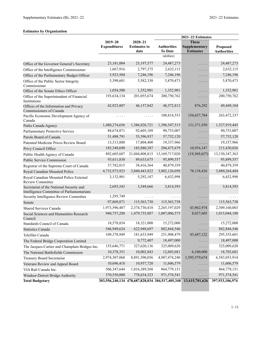|                                                                                        |                     |                                                 | 2021-22 Estimates  |                     |                    |  |
|----------------------------------------------------------------------------------------|---------------------|-------------------------------------------------|--------------------|---------------------|--------------------|--|
|                                                                                        | $2019 - 20$         | $2020 - 21$                                     |                    | <b>These</b>        |                    |  |
|                                                                                        | <b>Expenditures</b> | <b>Estimates to</b>                             | <b>Authorities</b> | Supplementary       | <b>Proposed</b>    |  |
|                                                                                        |                     | date                                            | <b>To Date</b>     | <b>Estimates</b>    | <b>Authorities</b> |  |
|                                                                                        |                     |                                                 | (dollars)          |                     |                    |  |
| Office of the Governor General's Secretary                                             | 23,181,004          | 23, 197, 577                                    | 24,487,273         | .                   | 24,487,273         |  |
| Office of the Intelligence Commissioner                                                | 1,667,916           | 2,797,375                                       | 2,632,115          | .                   | 2,632,115          |  |
| Office of the Parliamentary Budget Officer                                             | 5,923,504           | 7,246,196                                       | 7,246,196          | .                   | 7,246,196          |  |
| Office of the Public Sector Integrity<br>Commissioner                                  | 5,398,601           | 5,582,330                                       | 5,870,473          | $\cdots$            | 5,870,473          |  |
| Office of the Senate Ethics Officer                                                    | 1,054,500           | 1,352,901                                       | 1,352,901          | $\cdots$            | 1,352,901          |  |
| Office of the Superintendent of Financial<br>Institutions                              | 193,634,134         | 201,055,674                                     | 200,750,762        | $\cdots$            | 200,750,762        |  |
| Offices of the Information and Privacy<br>Commissioners of Canada                      | 42,923,807          | 46,157,842                                      | 48,572,812         | 876,292             | 49,449,104         |  |
| Pacific Economic Development Agency of<br>Canada                                       | .                   | .                                               | 108,814,553        | 154,657,784         | 263,472,337        |  |
| Parks Canada Agency                                                                    | 1,480,274,656       | 1,386,826,721                                   | 1,396,547,515      | 131,371,930         | 1,527,919,445      |  |
| Parliamentary Protective Service                                                       | 88,674,871          | 92,605,109                                      | 90,753,007         | .                   | 90,753,007         |  |
| Parole Board of Canada                                                                 | 51,488,791          | 53,396,937                                      | 57,732,120         | .                   | 57,732,120         |  |
| Patented Medicine Prices Review Board                                                  | 13,313,880          | 17,804,400                                      | 19,337,966         | $\ldots$ .<br><br>. | 19,337,966         |  |
| Privy Council Office                                                                   | 185,349,690         | 185,880,387                                     | 204,475,679        | 10,954,347          | 215,430,026        |  |
| Public Health Agency of Canada                                                         | 892,605,607         | 21,044,808,815                                  | 13,169,717,020     | (19,369,657)        | 13,150,347,363     |  |
| Public Service Commission                                                              | 93,611,830          | 89,633,675                                      | 95,899,557         | .                   | 95,899,557         |  |
| Registrar of the Supreme Court of Canada                                               | 37,782,015          | 38,416,364                                      | 40,879,359         | $\cdots$            | 40,879,359         |  |
| Royal Canadian Mounted Police                                                          | 4,732,973,923       | 3,840,443,822                                   | 3,802,126,058      | 78,138,426          | 3,880,264,484      |  |
| Royal Canadian Mounted Police External<br>Review Committee                             | 3,132,901           | 5,292,187                                       | 6,432,998          | $\cdots$            | 6,432,998          |  |
| Secretariat of the National Security and<br>Intelligence Committee of Parliamentarians | 2,693,543           | 3,549,666                                       | 3,814,593          | .                   | 3,814,593          |  |
| Security Intelligence Review Committee                                                 | 1,295,749           | .                                               | .                  | $\cdots$            |                    |  |
| Senate                                                                                 | 97,869,871          | 115,563,738                                     | 115,563,738        | $\cdots$            | 115,563,738        |  |
| Shared Services Canada                                                                 | 1,973,596,487       | 2,374,730,418                                   | 2,265,197,029      | 43,962,974          | 2,309,160,003      |  |
| Social Sciences and Humanities Research<br>Council                                     | 940,757,288         | 1,479,735,887                                   | 1,007,006,575      | 8,037,605           | 1,015,044,180      |  |
| Standards Council of Canada                                                            | 18,578,854          | 18,321,000                                      | 15,272,000         | $\cdots$            | 15,272,000         |  |
| Statistics Canada                                                                      | 546,949,624         | 622,948,697                                     | 882, 844, 546      | .                   | 882, 844, 546      |  |
| Telefilm Canada                                                                        | 109,378,949         | 181,633,949                                     | 251,908,479        | 43,447,122          | 295,355,601        |  |
| The Federal Bridge Corporation Limited                                                 | .                   | 9,772,407                                       | 18,497,000         | $\cdots$            | 18,497,000         |  |
| The Jacques-Cartier and Champlain Bridges Inc.                                         | 155,646,771         | 327,620,136                                     | 325,009,620        | $\ldots$            | 325,009,620        |  |
| The National Battlefields Commission                                                   | 10,378,351          | 10,002,843                                      | 12,603,681         | 6,100,000           | 18,703,681         |  |
| Treasury Board Secretariat                                                             | 2,974,307,068       | 8,891,590,056                                   | 4,987,474,240      | 1,595,579,674       | 6,583,053,914      |  |
| Veterans Review and Appeal Board                                                       | 10,696,418          | 10,957,720                                      | 11,606,579         | .                   | 11,606,579         |  |
| VIA Rail Canada Inc.                                                                   | 506,347,644         | 1,016,389,568                                   | 864,779,151        | .                   | 864,779,151        |  |
| Windsor-Detroit Bridge Authority                                                       | 570,550,000         | 778,634,323                                     | 971,574,541        | .                   | 971,574,541        |  |
| <b>Total Budgetary</b>                                                                 |                     | 303,556,240,134 478,687,828,034 384,517,405,348 |                    | 13,415,701,626      | 397,933,106,974    |  |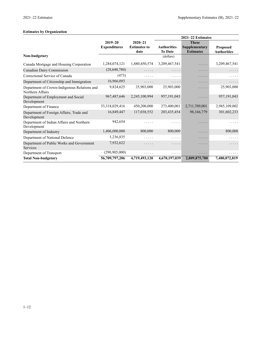|                                                                  |                     |                     |                    | 2021-22 Estimates |                    |
|------------------------------------------------------------------|---------------------|---------------------|--------------------|-------------------|--------------------|
|                                                                  | $2019 - 20$         | $2020 - 21$         |                    | <b>These</b>      |                    |
|                                                                  | <b>Expenditures</b> | <b>Estimates to</b> | <b>Authorities</b> | Supplementary     | <b>Proposed</b>    |
|                                                                  |                     | date                | <b>To Date</b>     | <b>Estimates</b>  | <b>Authorities</b> |
| Non-budgetary                                                    |                     |                     | (dollars)          |                   |                    |
| Canada Mortgage and Housing Corporation                          | 1,284,074,121       | 1,880,450,574       | 3,209,467,541      | $\cdots$          | 3,209,467,541      |
| Canadian Dairy Commission                                        | (28, 640, 780)      | .                   | .                  | .                 | .                  |
| Correctional Service of Canada                                   | (473)               | .                   | .                  | .                 | .                  |
| Department of Citizenship and Immigration                        | 16,966,093          | .                   | .                  | .                 | .                  |
| Department of Crown-Indigenous Relations and<br>Northern Affairs | 9,824,625           | 25,903,000          | 25,903,000         | .                 | 25,903,000         |
| Department of Employment and Social<br>Development               | 967, 487, 646       | 2,245,100,994       | 957,191,043        | .                 | 957,191,043        |
| Department of Finance                                            | 53,318,029,416      | 450,200,000         | 273,400,001        | 2,711,709,001     | 2,985,109,002      |
| Department of Foreign Affairs, Trade and<br>Development          | 16,849,447          | 117,038,552         | 203,435,454        | 98,166,779        | 301,602,233        |
| Department of Indian Affairs and Northern<br>Development         | 942,654             | .                   |                    | .                 | .                  |
| Department of Industry                                           | 1,406,000,000       | 800,000             | 800,000            | .                 | 800,000            |
| Department of National Defence                                   | 1,236,835           | .                   | .                  | .                 |                    |
| Department of Public Works and Government<br>Services            | 7,932,622           | .                   | .                  | .                 | .                  |
| Department of Transport                                          | (290, 905, 000)     | .                   | .                  | .                 |                    |
| <b>Total Non-budgetary</b>                                       | 56,709,797,206      | 4,719,493,120       | 4,670,197,039      | 2,809,875,780     | 7,480,072,819      |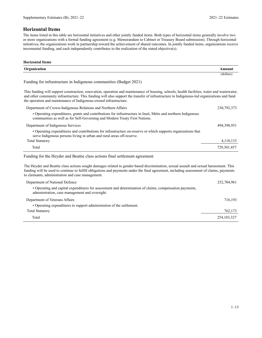# **Horizontal Items**

The items listed in this table are horizontal initiatives and other jointly funded items. Both types of horizontal items generally involve two or more organizations with a formal funding agreement (e.g. Memorandum to Cabinet or Treasury Board submission). Through horizontal initiatives, the organizations work in partnership toward the achievement of shared outcomes. In jointly funded items, organizations receive incremental funding, and each independently contributes to the realization of the stated objective(s).

| <b>Horizontal Items</b>                                                                                                                                                                                                                                                                                                                                        |               |
|----------------------------------------------------------------------------------------------------------------------------------------------------------------------------------------------------------------------------------------------------------------------------------------------------------------------------------------------------------------|---------------|
| Organization                                                                                                                                                                                                                                                                                                                                                   | Amount        |
|                                                                                                                                                                                                                                                                                                                                                                | (dollars)     |
| Funding for infrastructure in Indigenous communities (Budget 2021)                                                                                                                                                                                                                                                                                             |               |
| This funding will support construction, renovation, operation and maintenance of housing, schools, health facilities, water and wastewater,<br>and other community infrastructure. This funding will also support the transfer of infrastructure to Indigenous-led organizations and fund<br>the operation and maintenance of Indigenous-owned infrastructure. |               |
| Department of Crown-Indigenous Relations and Northern Affairs                                                                                                                                                                                                                                                                                                  | 230, 792, 373 |
| • Operating expenditures, grants and contributions for infrastructure in Inuit, Métis and northern Indigenous<br>communities as well as for Self-Governing and Modern Treaty First Nations.                                                                                                                                                                    |               |
| Department of Indigenous Services                                                                                                                                                                                                                                                                                                                              | 494,398,951   |
| • Operating expenditures and contributions for infrastructure on-reserve or which supports organizations that<br>serve Indigenous persons living in urban and rural areas off-reserve.                                                                                                                                                                         |               |
| <b>Total Statutory</b>                                                                                                                                                                                                                                                                                                                                         | 4,110,133     |
| Total                                                                                                                                                                                                                                                                                                                                                          | 729,301,457   |
| Funding for the Heyder and Beattie class actions final settlement agreement                                                                                                                                                                                                                                                                                    |               |
| The Heyder and Beattie class actions sought damages related to gender-based discrimination, sexual assault and sexual harassment. This<br>funding will be used to continue to fulfill obligations and payments under the final agreement, including assessment of claims, payments<br>to claimants, administration and case management.                        |               |

| o ciamilalits, auliniistration and case management.                                                                                                       |               |
|-----------------------------------------------------------------------------------------------------------------------------------------------------------|---------------|
| Department of National Defence                                                                                                                            | 252,704,961   |
| • Operating and capital expenditures for assessment and determination of claims, compensation payments,<br>administration, case management and oversight. |               |
| Department of Veterans Affairs                                                                                                                            | 716.193       |
| • Operating expenditures to support administration of the settlement.                                                                                     |               |
| <b>Total Statutory</b>                                                                                                                                    | 762,173       |
| Total                                                                                                                                                     | 254, 183, 327 |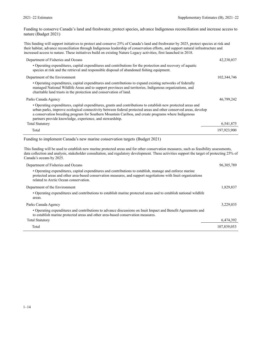Funding to conserve Canada's land and freshwater, protect species, advance Indigenous reconciliation and increase access to nature (Budget 2021)

This funding will support initiatives to protect and conserve 25% of Canada's land and freshwater by 2025, protect species at risk and their habitat, advance reconciliation through Indigenous leadership of conservation efforts, and support natural infrastructure and increased access to nature. These initiatives build on existing Nature Legacy activities, first launched in 2018.

| Department of Fisheries and Oceans                                                                                                                                                                                                                                                                                                                                                                  | 42,238,037  |
|-----------------------------------------------------------------------------------------------------------------------------------------------------------------------------------------------------------------------------------------------------------------------------------------------------------------------------------------------------------------------------------------------------|-------------|
| • Operating expenditures, capital expenditures and contributions for the protection and recovery of aquatic<br>species at risk and the retrieval and responsible disposal of abandoned fishing equipment.                                                                                                                                                                                           |             |
| Department of the Environment                                                                                                                                                                                                                                                                                                                                                                       | 102,344,746 |
| • Operating expenditures, capital expenditures and contributions to expand existing networks of federally<br>managed National Wildlife Areas and to support provinces and territories, Indigenous organizations, and<br>charitable land trusts in the protection and conservation of land.                                                                                                          |             |
| Parks Canada Agency                                                                                                                                                                                                                                                                                                                                                                                 | 46,799,242  |
| • Operating expenditures, capital expenditures, grants and contributions to establish new protected areas and<br>urban parks, improve ecological connectivity between federal protected areas and other conserved areas, develop<br>a conservation breeding program for Southern Mountain Caribou, and create programs where Indigenous<br>partners provide knowledge, experience, and stewardship. |             |
| <b>Total Statutory</b>                                                                                                                                                                                                                                                                                                                                                                              | 6,541,875   |
| Total                                                                                                                                                                                                                                                                                                                                                                                               | 197,923,900 |

Funding to implement Canada's new marine conservation targets (Budget 2021)

This funding will be used to establish new marine protected areas and for other conservation measures, such as feasibility assessments, data collection and analysis, stakeholder consultation, and regulatory development. These activities support the target of protecting 25% of Canada's oceans by 2025.

| Department of Fisheries and Oceans                                                                                                                                                                                                                                 | 96, 305, 789 |
|--------------------------------------------------------------------------------------------------------------------------------------------------------------------------------------------------------------------------------------------------------------------|--------------|
| • Operating expenditures, capital expenditures and contributions to establish, manage and enforce marine<br>protected areas and other area-based conservation measures, and support negotiations with Inuit organizations<br>related to Arctic Ocean conservation. |              |
| Department of the Environment                                                                                                                                                                                                                                      | 1,829,837    |
| • Operating expenditures and contributions to establish marine protected areas and to establish national wildlife<br>areas.                                                                                                                                        |              |
| Parks Canada Agency                                                                                                                                                                                                                                                | 3,229,035    |
| • Operating expenditures and contributions to advance discussions on Inuit Impact and Benefit Agreements and<br>to establish marine protected areas and other area-based conservation measures.                                                                    |              |
| <b>Total Statutory</b>                                                                                                                                                                                                                                             | 6,474,392    |
| Total                                                                                                                                                                                                                                                              | 107,839,053  |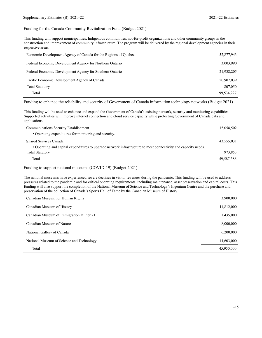Funding for the Canada Community Revitalization Fund (Budget 2021)

This funding will support municipalities, Indigenous communities, not-for-profit organizations and other community groups in the construction and improvement of community infrastructure. The program will be delivered by the regional development agencies in their respective areas.

| Economic Development Agency of Canada for the Regions of Quebec | 52,877,943 |
|-----------------------------------------------------------------|------------|
| Federal Economic Development Agency for Northern Ontario        | 3,003,990  |
| Federal Economic Development Agency for Southern Ontario        | 21,938,205 |
| Pacific Economic Development Agency of Canada                   | 20,907,039 |
| <b>Total Statutory</b>                                          | 807,050    |
| Total                                                           | 99.534.227 |

Funding to enhance the reliability and security of Government of Canada information technology networks (Budget 2021)

This funding will be used to enhance and expand the Government of Canada's existing network, security and monitoring capabilities. Supported activities will improve internet connection and cloud service capacity while protecting Government of Canada data and applications.

| Communications Security Establishment                                                                           | 15,058,502 |
|-----------------------------------------------------------------------------------------------------------------|------------|
| • Operating expenditures for monitoring and security.                                                           |            |
| Shared Services Canada                                                                                          | 43,555,031 |
| • Operating and capital expenditures to upgrade network infrastructure to meet connectivity and capacity needs. |            |
| <b>Total Statutory</b>                                                                                          | 973,853    |
| Total                                                                                                           | 59.587.386 |

Funding to support national museums (COVID-19) (Budget 2021)

The national museums have experienced severe declines in visitor revenues during the pandemic. This funding will be used to address pressures related to the pandemic and for critical operating requirements, including maintenance, asset preservation and capital costs. This funding will also support the completion of the National Museum of Science and Technology's Ingenium Centre and the purchase and preservation of the collection of Canada's Sports Hall of Fame by the Canadian Museum of History.

| Canadian Museum for Human Rights          | 3,900,000  |
|-------------------------------------------|------------|
| Canadian Museum of History                | 11,812,000 |
| Canadian Museum of Immigration at Pier 21 | 1,435,000  |
| Canadian Museum of Nature                 | 8,000,000  |
| National Gallery of Canada                | 6,200,000  |
| National Museum of Science and Technology | 14,603,000 |
| Total                                     | 45,950,000 |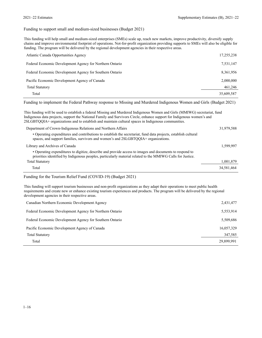#### Funding to support small and medium-sized businesses (Budget 2021)

This funding will help small and medium-sized enterprises (SMEs) scale up, reach new markets, improve productivity, diversify supply chains and improve environmental footprint of operations. Not-for-profit organization providing supports to SMEs will also be eligible for funding. The program will be delivered by the regional development agencies in their respective areas.

| Atlantic Canada Opportunities Agency                     | 17,255,238 |
|----------------------------------------------------------|------------|
| Federal Economic Development Agency for Northern Ontario | 7,531,147  |
| Federal Economic Development Agency for Southern Ontario | 8,361,956  |
| Pacific Economic Development Agency of Canada            | 2,000,000  |
| <b>Total Statutory</b>                                   | 461,246    |
| Total                                                    | 35,609,587 |

Funding to implement the Federal Pathway response to Missing and Murdered Indigenous Women and Girls (Budget 2021)

This funding will be used to establish a federal Missing and Murdered Indigenous Women and Girls (MMIWG) secretariat, fund Indigenous data projects, support the National Family and Survivors Circle, enhance support for Indigenous women's and 2SLGBTQQIA+ organizations and to establish and maintain cultural spaces in Indigenous communities. Department of Crown-Indigenous Relations and Northern Affairs 31,979,588

| Department of Crown margement relations and Forthern Fritans                                                                                                                                                          | 7.1171700  |
|-----------------------------------------------------------------------------------------------------------------------------------------------------------------------------------------------------------------------|------------|
| • Operating expenditures and contributions to establish the secretariat, fund data projects, establish cultural<br>spaces, and support families, survivors and women's and 2SLGBTOOIA+ organizations.                 |            |
| Library and Archives of Canada                                                                                                                                                                                        | 1,599,997  |
| • Operating expenditures to digitize, describe and provide access to images and documents to respond to<br>priorities identified by Indigenous peoples, particularly material related to the MMIWG Calls for Justice. |            |
| <b>Total Statutory</b>                                                                                                                                                                                                | 1,001,879  |
| Total                                                                                                                                                                                                                 | 34,581,464 |

#### Funding for the Tourism Relief Fund (COVID-19) (Budget 2021)

This funding will support tourism businesses and non-profit organizations as they adapt their operations to meet public health requirements and create new or enhance existing tourism experiences and products. The program will be delivered by the regional development agencies in their respective areas.

| Canadian Northern Economic Development Agency            | 2,431,477  |
|----------------------------------------------------------|------------|
| Federal Economic Development Agency for Northern Ontario | 5,553,914  |
| Federal Economic Development Agency for Southern Ontario | 5,509,686  |
| Pacific Economic Development Agency of Canada            | 16,057,329 |
| <b>Total Statutory</b>                                   | 347,585    |
| Total                                                    | 29,899,991 |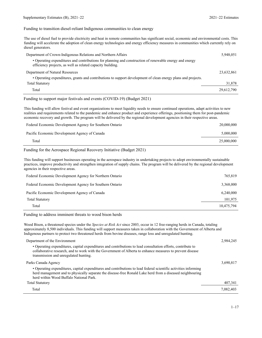#### Funding to transition diesel-reliant Indigenous communities to clean energy

| The use of diesel fuel to provide electricity and heat in remote communities has significant social, economic and environmental costs. This |
|---------------------------------------------------------------------------------------------------------------------------------------------|
| funding will accelerate the adoption of clean energy technologies and energy efficiency measures in communities which currently rely on     |
| diesel generators.                                                                                                                          |

| Department of Crown-Indigenous Relations and Northern Affairs                                                                                                         | 5,948,051  |
|-----------------------------------------------------------------------------------------------------------------------------------------------------------------------|------------|
| • Operating expenditures and contributions for planning and construction of renewable energy and energy<br>efficiency projects, as well as related capacity building. |            |
| Department of Natural Resources                                                                                                                                       | 23,632,861 |
| • Operating expenditures, grants and contributions to support development of clean energy plans and projects.                                                         |            |
| <b>Total Statutory</b>                                                                                                                                                | 31,878     |
| Total                                                                                                                                                                 | 29,612,790 |

#### Funding to support major festivals and events (COVID-19) (Budget 2021)

This funding will allow festival and event organizations to meet liquidity needs to ensure continued operations, adapt activities to new realities and requirements related to the pandemic and enhance product and experience offerings, positioning them for post-pandemic economic recovery and growth. The program will be delivered by the regional development agencies in their respective areas.

| Federal Economic Development Agency for Southern Ontario | 20,000,000 |
|----------------------------------------------------------|------------|
| Pacific Economic Development Agency of Canada            | 5,000,000  |
| Total                                                    | 25,000,000 |

#### Funding for the Aerospace Regional Recovery Initiative (Budget 2021)

This funding will support businesses operating in the aerospace industry in undertaking projects to adopt environmentally sustainable practices, improve productivity and strengthen integration of supply chains. The program will be delivered by the regional development agencies in their respective areas.

| Federal Economic Development Agency for Northern Ontario | 765,819    |
|----------------------------------------------------------|------------|
| Federal Economic Development Agency for Southern Ontario | 3,368,000  |
| Pacific Economic Development Agency of Canada            | 6,240,000  |
| <b>Total Statutory</b>                                   | 101,975    |
| Total                                                    | 10,475,794 |

Funding to address imminent threats to wood bison herds

Wood Bison, a threatened species under the *Species at Risk Act* since 2003, occur in 12 free-ranging herds in Canada, totaling approximately 8,500 individuals. This funding will support measures taken in collaboration with the Government of Alberta and Indigenous partners to protect two threatened herds from bovine diseases, range loss and unregulated hunting.

| Department of the Environment                                                                                                                                                                                                                                            | 2,984,245 |
|--------------------------------------------------------------------------------------------------------------------------------------------------------------------------------------------------------------------------------------------------------------------------|-----------|
| • Operating expenditures, capital expenditures and contributions to lead consultation efforts, contribute to<br>collaborative research, and to work with the Government of Alberta to enhance measures to prevent disease<br>transmission and unregulated hunting.       |           |
| Parks Canada Agency                                                                                                                                                                                                                                                      | 3,690,817 |
| • Operating expenditures, capital expenditures and contributions to lead federal scientific activities informing<br>herd management and to physically separate the disease-free Ronald Lake herd from a diseased neighbouring<br>herd within Wood Buffalo National Park. |           |
| <b>Total Statutory</b>                                                                                                                                                                                                                                                   | 407,341   |
| Total                                                                                                                                                                                                                                                                    | 7.082,403 |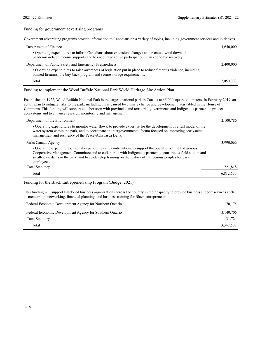Funding for government advertising programs

|  |  | Government advertising programs provide information to Canadians on a variety of topics, including government services and initiatives. |
|--|--|-----------------------------------------------------------------------------------------------------------------------------------------|
|  |  |                                                                                                                                         |

| Department of Finance                                                                                                                                                                                                                                                                                                                                                                                                                                                            | 4,650,000 |
|----------------------------------------------------------------------------------------------------------------------------------------------------------------------------------------------------------------------------------------------------------------------------------------------------------------------------------------------------------------------------------------------------------------------------------------------------------------------------------|-----------|
| • Operating expenditures to inform Canadians about extension, changes and eventual wind down of<br>pandemic-related income supports and to encourage active participation in an economic recovery.                                                                                                                                                                                                                                                                               |           |
| Department of Public Safety and Emergency Preparedness                                                                                                                                                                                                                                                                                                                                                                                                                           | 2,400,000 |
| • Operating expenditures to raise awareness of legislation put in place to reduce firearms violence, including<br>banned firearms, the buy-back program and secure storage requirements.                                                                                                                                                                                                                                                                                         |           |
| Total                                                                                                                                                                                                                                                                                                                                                                                                                                                                            | 7,050,000 |
| Funding to implement the Wood Buffalo National Park World Heritage Site Action Plan                                                                                                                                                                                                                                                                                                                                                                                              |           |
| Established in 1922, Wood Buffalo National Park is the largest national park in Canada at 45,000 square kilometers. In February 2019, an<br>action plan to mitigate risks to the park, including those caused by climate change and development, was tabled in the House of<br>Commons. This funding will support collaboration with provincial and territorial governments and Indigenous partners to protect<br>ecosystems and to enhance research, monitoring and management. |           |
| Department of the Environment                                                                                                                                                                                                                                                                                                                                                                                                                                                    | 2,100,786 |
| • Operating expenditures to monitor water flows, to provide expertise for the development of a full model of the<br>water system within the park, and to coordinate an intergovernmental forum focused on improving ecosystem<br>management and resiliency of the Peace-Athabasca Delta.                                                                                                                                                                                         |           |
| Parks Canada Agency                                                                                                                                                                                                                                                                                                                                                                                                                                                              | 3,990,066 |
| • Operating expenditures, capital expenditures and contributions to support the operation of the Indigenous<br>Cooperative Management Committee and to collaborate with Indigenous partners to construct a field station and<br>small-scale dams in the park, and to co-develop training on the history of Indigenous peoples for park<br>employees.                                                                                                                             |           |
| <b>Total Statutory</b>                                                                                                                                                                                                                                                                                                                                                                                                                                                           | 721,818   |
| Total                                                                                                                                                                                                                                                                                                                                                                                                                                                                            | 6,812,670 |
| Funding for the Black Entrepreneurship Program (Budget 2021)                                                                                                                                                                                                                                                                                                                                                                                                                     |           |

This funding will support Black-led business organizations across the country in their capacity to provide business support services such as mentorship, networking, financial planning, and business training for Black entrepreneurs.

| Federal Economic Development Agency for Northern Ontario | 170,175   |
|----------------------------------------------------------|-----------|
| Federal Economic Development Agency for Southern Ontario | 3,140,706 |
| <b>Total Statutory</b>                                   | 31,724    |
| Total                                                    | 3,342,605 |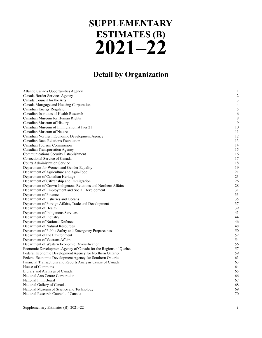# **2021–22 SUPPLEMENTARY ESTIMATES (B)**

# **Detail by Organization**

| Atlantic Canada Opportunities Agency                            | 1              |
|-----------------------------------------------------------------|----------------|
| Canada Border Services Agency                                   | $\overline{c}$ |
| Canada Council for the Arts                                     | 3              |
| Canada Mortgage and Housing Corporation                         | 4              |
| Canadian Energy Regulator                                       | 5              |
| Canadian Institutes of Health Research                          | 6              |
| Canadian Museum for Human Rights                                | 8              |
| Canadian Museum of History                                      | 9              |
| Canadian Museum of Immigration at Pier 21                       | 10             |
| Canadian Museum of Nature                                       | 11             |
| Canadian Northern Economic Development Agency                   | 12             |
| Canadian Race Relations Foundation                              | 13             |
| Canadian Tourism Commission                                     | 14             |
| <b>Canadian Transportation Agency</b>                           | 15             |
| Communications Security Establishment                           | 16             |
| Correctional Service of Canada                                  | 17             |
| <b>Courts Administration Service</b>                            | 18             |
| Department for Women and Gender Equality                        | 19             |
| Department of Agriculture and Agri-Food                         | 21             |
| Department of Canadian Heritage                                 | 23             |
| Department of Citizenship and Immigration                       | 26             |
| Department of Crown-Indigenous Relations and Northern Affairs   | 28             |
| Department of Employment and Social Development                 | 31             |
| Department of Finance                                           | 33             |
| Department of Fisheries and Oceans                              | 35             |
| Department of Foreign Affairs, Trade and Development            | 37             |
| Department of Health                                            | 39             |
| Department of Indigenous Services                               | 41             |
| Department of Industry                                          | 44             |
| Department of National Defence                                  | 46             |
| Department of Natural Resources                                 | 48             |
| Department of Public Safety and Emergency Preparedness          | 50             |
| Department of the Environment                                   | 52             |
| Department of Veterans Affairs                                  | 54             |
| Department of Western Economic Diversification                  | 56             |
| Economic Development Agency of Canada for the Regions of Quebec | 57             |
| Federal Economic Development Agency for Northern Ontario        | 59             |
| Federal Economic Development Agency for Southern Ontario        | 61             |
| Financial Transactions and Reports Analysis Centre of Canada    | 63             |
| House of Commons                                                | 64             |
| Library and Archives of Canada                                  | 65             |
| National Arts Centre Corporation                                | 66             |
| National Film Board                                             | 67             |
| National Gallery of Canada                                      | 68             |
| National Museum of Science and Technology                       | 69             |
| National Research Council of Canada                             | 70             |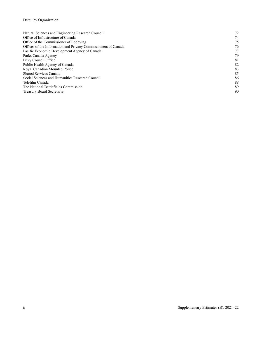# Detail by Organization

| Natural Sciences and Engineering Research Council              | 72 |
|----------------------------------------------------------------|----|
| Office of Infrastructure of Canada                             | 74 |
| Office of the Commissioner of Lobbying                         | 75 |
| Offices of the Information and Privacy Commissioners of Canada | 76 |
| Pacific Economic Development Agency of Canada                  | 77 |
| Parks Canada Agency                                            | 79 |
| Privy Council Office                                           | 81 |
| Public Health Agency of Canada                                 | 82 |
| Royal Canadian Mounted Police                                  | 83 |
| Shared Services Canada                                         | 85 |
| Social Sciences and Humanities Research Council                | 86 |
| Telefilm Canada                                                | 88 |
| The National Battlefields Commission                           | 89 |
| Treasury Board Secretariat                                     | 90 |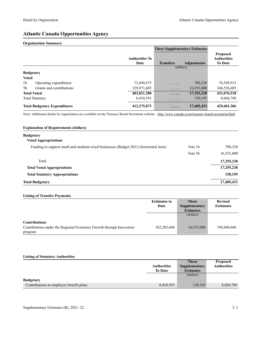# **Atlantic Canada Opportunities Agency**

#### **Organization Summary**

|                                            |                               | <b>These Supplementary Estimates</b> |                    |                                                         |
|--------------------------------------------|-------------------------------|--------------------------------------|--------------------|---------------------------------------------------------|
|                                            | <b>Authorities To</b><br>Date | <b>Transfers</b>                     | <b>Adjustments</b> | <b>Proposed</b><br><b>Authorities</b><br><b>To Date</b> |
|                                            |                               | (dollars)                            |                    |                                                         |
| <b>Budgetary</b>                           |                               |                                      |                    |                                                         |
| <b>Voted</b>                               |                               |                                      |                    |                                                         |
| 1 <sub>b</sub><br>Operating expenditures   | 73,849,675                    | .                                    | 700,238            | 74,549,913                                              |
| Grants and contributions<br>5 <sub>b</sub> | 329,971,605                   | .                                    | 16,555,000         | 346,526,605                                             |
| <b>Total Voted</b>                         | 403,821,280                   | .                                    | 17,255,238         | 421,076,518                                             |
| <b>Total Statutory</b>                     | 8,454,593                     | .                                    | 150,195            | 8,604,788                                               |
| <b>Total Budgetary Expenditures</b>        | 412,275,873                   | .                                    | 17,405,433         | 429,681,306                                             |

Note: Additional details by organization are available on the Treasury Board Secretariat website -<http://www.canada.ca/en/treasury-board-secretariat.html>.

| <b>Explanation of Requirements (dollars)</b>                                         |         |            |
|--------------------------------------------------------------------------------------|---------|------------|
| <b>Budgetary</b>                                                                     |         |            |
| <b>Voted Appropriations</b>                                                          |         |            |
| Funding to support small and medium-sized businesses (Budget 2021) (horizontal item) | Vote 1b | 700,238    |
|                                                                                      | Vote 5b | 16,555,000 |
| Total                                                                                |         | 17,255,238 |
| <b>Total Voted Appropriations</b>                                                    |         | 17,255,238 |
| <b>Total Statutory Appropriations</b>                                                |         | 150,195    |
| <b>Total Budgetary</b>                                                               |         | 17,405,433 |

#### **Listing of Transfer Payments**

|                                                                     | <b>Estimates to</b> | <b>These</b>     | <b>Revised</b>   |
|---------------------------------------------------------------------|---------------------|------------------|------------------|
|                                                                     | Date                | Supplementary    | <b>Estimates</b> |
|                                                                     |                     | <b>Estimates</b> |                  |
|                                                                     |                     | (dollars)        |                  |
|                                                                     |                     |                  |                  |
| <b>Contributions</b>                                                |                     |                  |                  |
| Contributions under the Regional Economic Growth through Innovation | 182,285,660         | 16,555,000       | 198,840,660      |
| program                                                             |                     |                  |                  |

#### **Listing of Statutory Authorities**

|                                         |                    | <b>These</b>     | <b>Proposed</b>    |
|-----------------------------------------|--------------------|------------------|--------------------|
|                                         | <b>Authorities</b> | Supplementary    | <b>Authorities</b> |
|                                         | <b>To Date</b>     | <b>Estimates</b> |                    |
|                                         |                    | (dollars)        |                    |
| <b>Budgetary</b>                        |                    |                  |                    |
| Contributions to employee benefit plans | 8,454,593          | 150,195          | 8,604,788          |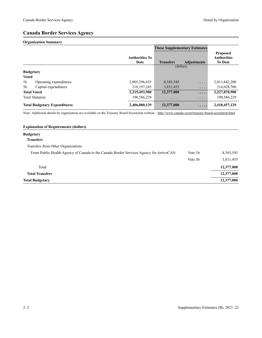# **Canada Border Services Agency**

#### **Organization Summary**

|                |                                     |                               | <b>These Supplementary Estimates</b> |                    |                                                         |
|----------------|-------------------------------------|-------------------------------|--------------------------------------|--------------------|---------------------------------------------------------|
|                |                                     | <b>Authorities To</b><br>Date | <b>Transfers</b>                     | <b>Adjustments</b> | <b>Proposed</b><br><b>Authorities</b><br><b>To Date</b> |
|                |                                     |                               |                                      | (dollars)          |                                                         |
|                | <b>Budgetary</b>                    |                               |                                      |                    |                                                         |
| <b>Voted</b>   |                                     |                               |                                      |                    |                                                         |
| 1 <sub>b</sub> | Operating expenditures              | 2,005,296,655                 | 8,545,545                            | .                  | 2,013,842,200                                           |
| 5b             | Capital expenditures                | 210, 197, 245                 | 3,831,455                            | .                  | 214,028,700                                             |
|                | <b>Total Voted</b>                  | 2,215,493,900                 | 12,377,000                           | .                  | 2,227,870,900                                           |
|                | <b>Total Statutory</b>              | 190,586,229                   | .                                    | .                  | 190,586,229                                             |
|                | <b>Total Budgetary Expenditures</b> | 2,406,080,129                 | 12,377,000                           | .                  | 2,418,457,129                                           |

Note: Additional details by organization are available on the Treasury Board Secretariat website -<http://www.canada.ca/en/treasury-board-secretariat.html>.

| <b>Explanation of Requirements (dollars)</b>                                           |                     |            |
|----------------------------------------------------------------------------------------|---------------------|------------|
| <b>Budgetary</b>                                                                       |                     |            |
| <b>Transfers</b>                                                                       |                     |            |
| Transfers from Other Organizations                                                     |                     |            |
| From Public Health Agency of Canada to the Canada Border Services Agency for ArriveCAN | Vote 1b             | 8,545,545  |
|                                                                                        | Vote 5 <sub>b</sub> | 3,831,455  |
| Total                                                                                  |                     | 12,377,000 |
| <b>Total Transfers</b>                                                                 |                     | 12,377,000 |
| <b>Total Budgetary</b>                                                                 |                     | 12,377,000 |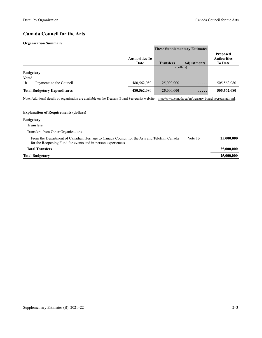# **Canada Council for the Arts**

#### **Organization Summary**

|                                           |                               | <b>These Supplementary Estimates</b> |                    |                                                         |
|-------------------------------------------|-------------------------------|--------------------------------------|--------------------|---------------------------------------------------------|
|                                           | <b>Authorities To</b><br>Date | <b>Transfers</b>                     | <b>Adjustments</b> | <b>Proposed</b><br><b>Authorities</b><br><b>To Date</b> |
|                                           |                               |                                      | (dollars)          |                                                         |
| <b>Budgetary</b>                          |                               |                                      |                    |                                                         |
| <b>Voted</b>                              |                               |                                      |                    |                                                         |
| 1 <sub>b</sub><br>Payments to the Council | 480,562,080                   | 25,000,000                           | .                  | 505,562,080                                             |
| <b>Total Budgetary Expenditures</b>       | 480,562,080                   | 25,000,000                           | $\cdots\cdots$     | 505,562,080                                             |

Note: Additional details by organization are available on the Treasury Board Secretariat website -<http://www.canada.ca/en/treasury-board-secretariat.html>.

| <b>Explanation of Requirements (dollars)</b>                                                                                                               |         |            |
|------------------------------------------------------------------------------------------------------------------------------------------------------------|---------|------------|
| <b>Budgetary</b>                                                                                                                                           |         |            |
| <b>Transfers</b>                                                                                                                                           |         |            |
| Transfers from Other Organizations                                                                                                                         |         |            |
| From the Department of Canadian Heritage to Canada Council for the Arts and Telefilm Canada<br>for the Reopening Fund for events and in-person experiences | Vote 1b | 25,000,000 |
| <b>Total Transfers</b>                                                                                                                                     |         | 25,000,000 |
| Total Budgetary                                                                                                                                            |         | 25,000,000 |
|                                                                                                                                                            |         |            |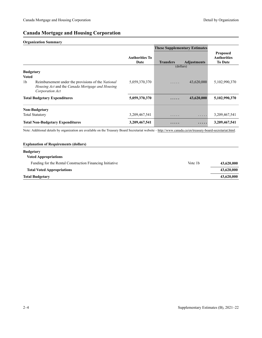# **Canada Mortgage and Housing Corporation**

#### **Organization Summary**

|                                                    |                                                                    |                               | <b>These Supplementary Estimates</b> |                    |                                                  |
|----------------------------------------------------|--------------------------------------------------------------------|-------------------------------|--------------------------------------|--------------------|--------------------------------------------------|
|                                                    |                                                                    | <b>Authorities To</b><br>Date | <b>Transfers</b>                     | <b>Adjustments</b> | Proposed<br><b>Authorities</b><br><b>To Date</b> |
|                                                    |                                                                    |                               | (dollars)                            |                    |                                                  |
| <b>Budgetary</b><br><b>Voted</b><br>1 <sub>b</sub> | Reimbursement under the provisions of the <i>National</i>          | 5,059,370,370                 | .                                    | 43,620,000         | 5,102,990,370                                    |
|                                                    | Housing Act and the Canada Mortgage and Housing<br>Corporation Act |                               |                                      |                    |                                                  |
|                                                    | <b>Total Budgetary Expenditures</b>                                | 5,059,370,370                 | .                                    | 43,620,000         | 5,102,990,370                                    |
|                                                    | <b>Non-Budgetary</b>                                               |                               |                                      |                    |                                                  |
|                                                    | <b>Total Statutory</b>                                             | 3,209,467,541                 | .                                    | .                  | 3,209,467,541                                    |
|                                                    | <b>Total Non-Budgetary Expenditures</b>                            | 3,209,467,541                 | .                                    | .                  | 3,209,467,541                                    |

Note: Additional details by organization are available on the Treasury Board Secretariat website -<http://www.canada.ca/en/treasury-board-secretariat.html>.

# **Explanation of Requirements (dollars) Budgetary Voted Appropriations** Funding for the Rental Construction Financing Initiative Vote 1b 43,620,000 **Total Voted Appropriations 43,620,000 Total Budgetary 43,620,000**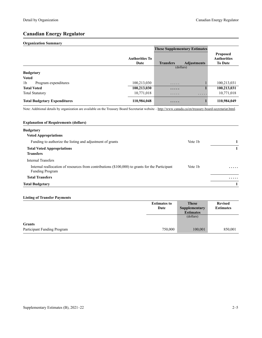# **Canadian Energy Regulator**

#### **Organization Summary**

|                                        |                               | <b>These Supplementary Estimates</b> |                    |                                                         |
|----------------------------------------|-------------------------------|--------------------------------------|--------------------|---------------------------------------------------------|
|                                        | <b>Authorities To</b><br>Date | <b>Transfers</b>                     | <b>Adjustments</b> | <b>Proposed</b><br><b>Authorities</b><br><b>To Date</b> |
|                                        |                               | (dollars)                            |                    |                                                         |
| <b>Budgetary</b>                       |                               |                                      |                    |                                                         |
| <b>Voted</b>                           |                               |                                      |                    |                                                         |
| 1 <sub>b</sub><br>Program expenditures | 100,213,030                   | .                                    |                    | 100,213,031                                             |
| <b>Total Voted</b>                     | 100,213,030                   | $\cdots\cdots\cdots$                 |                    | 100,213,031                                             |
| <b>Total Statutory</b>                 | 10,771,018                    | .                                    | .                  | 10,771,018                                              |
| <b>Total Budgetary Expenditures</b>    | 110,984,048                   | .                                    |                    | 110,984,049                                             |

Note: Additional details by organization are available on the Treasury Board Secretariat website -<http://www.canada.ca/en/treasury-board-secretariat.html>.

| <b>Explanation of Requirements (dollars)</b>                                                                              |                     |   |
|---------------------------------------------------------------------------------------------------------------------------|---------------------|---|
| <b>Budgetary</b>                                                                                                          |                     |   |
| <b>Voted Appropriations</b>                                                                                               |                     |   |
| Funding to authorize the listing and adjustment of grants                                                                 | Vote 1 <sub>b</sub> |   |
| <b>Total Voted Appropriations</b>                                                                                         |                     |   |
| <b>Transfers</b>                                                                                                          |                     |   |
| Internal Transfers                                                                                                        |                     |   |
| Internal reallocation of resources from contributions (\$100,000) to grants for the Participant<br><b>Funding Program</b> | Vote 1 <sub>b</sub> | . |
| <b>Total Transfers</b>                                                                                                    |                     | . |
| <b>Total Budgetary</b>                                                                                                    |                     |   |

#### **Listing of Transfer Payments**

|                             | <b>Estimates to</b> | <b>These</b>     | <b>Revised</b>   |
|-----------------------------|---------------------|------------------|------------------|
|                             | Date                | Supplementary    | <b>Estimates</b> |
|                             |                     | <b>Estimates</b> |                  |
|                             |                     | (dollars)        |                  |
| <b>Grants</b>               |                     |                  |                  |
| Participant Funding Program | 750,000             | 100,001          | 850,001          |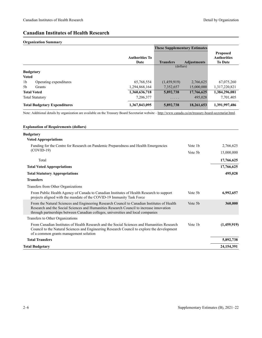# **Canadian Institutes of Health Research**

#### **Organization Summary**

|                                          |                               | <b>These Supplementary Estimates</b> |                    |                                                         |
|------------------------------------------|-------------------------------|--------------------------------------|--------------------|---------------------------------------------------------|
|                                          | <b>Authorities To</b><br>Date | <b>Transfers</b>                     | <b>Adjustments</b> | <b>Proposed</b><br><b>Authorities</b><br><b>To Date</b> |
|                                          |                               | (dollars)                            |                    |                                                         |
| <b>Budgetary</b>                         |                               |                                      |                    |                                                         |
| <b>Voted</b>                             |                               |                                      |                    |                                                         |
| 1 <sub>b</sub><br>Operating expenditures | 65,768,554                    | (1,459,919)                          | 2,766,625          | 67,075,260                                              |
| 5 <sub>b</sub><br><b>Grants</b>          | 1,294,868,164                 | 7,352,657                            | 15,000,000         | 1,317,220,821                                           |
| <b>Total Voted</b>                       | 1,360,636,718                 | 5,892,738                            | 17,766,625         | 1,384,296,081                                           |
| <b>Total Statutory</b>                   | 7,206,377                     | $\cdots\cdots\cdots$                 | 495,028            | 7,701,405                                               |
| <b>Total Budgetary Expenditures</b>      | 1,367,843,095                 | 5,892,738                            | 18,261,653         | 1,391,997,486                                           |

Note: Additional details by organization are available on the Treasury Board Secretariat website -<http://www.canada.ca/en/treasury-board-secretariat.html>.

| <b>Explanation of Requirements (dollars)</b>                                                                                                                                                                                                                               |                     |             |
|----------------------------------------------------------------------------------------------------------------------------------------------------------------------------------------------------------------------------------------------------------------------------|---------------------|-------------|
| <b>Budgetary</b>                                                                                                                                                                                                                                                           |                     |             |
| <b>Voted Appropriations</b>                                                                                                                                                                                                                                                |                     |             |
| Funding for the Centre for Research on Pandemic Preparedness and Health Emergencies                                                                                                                                                                                        | Vote 1 <sub>b</sub> | 2,766,625   |
| $(COVID-19)$                                                                                                                                                                                                                                                               | Vote 5 <sub>b</sub> | 15,000,000  |
| Total                                                                                                                                                                                                                                                                      |                     | 17,766,625  |
| <b>Total Voted Appropriations</b>                                                                                                                                                                                                                                          |                     | 17,766,625  |
| <b>Total Statutory Appropriations</b>                                                                                                                                                                                                                                      |                     | 495,028     |
| <b>Transfers</b>                                                                                                                                                                                                                                                           |                     |             |
| Transfers from Other Organizations                                                                                                                                                                                                                                         |                     |             |
| From Public Health Agency of Canada to Canadian Institutes of Health Research to support<br>projects aligned with the mandate of the COVID-19 Immunity Task Force                                                                                                          | Vote 5 <sub>b</sub> | 6,992,657   |
| From the Natural Sciences and Engineering Research Council to Canadian Institutes of Health<br>Research and the Social Sciences and Humanities Research Council to increase innovation<br>through partnerships between Canadian colleges, universities and local companies | Vote 5b             | 360,000     |
| Transfers to Other Organizations                                                                                                                                                                                                                                           |                     |             |
| From Canadian Institutes of Health Research and the Social Sciences and Humanities Research<br>Council to the Natural Sciences and Engineering Research Council to explore the development<br>of a common grants management solution                                       | Vote 1 <sub>b</sub> | (1,459,919) |
| <b>Total Transfers</b>                                                                                                                                                                                                                                                     |                     | 5,892,738   |
| <b>Total Budgetary</b>                                                                                                                                                                                                                                                     |                     | 24,154,391  |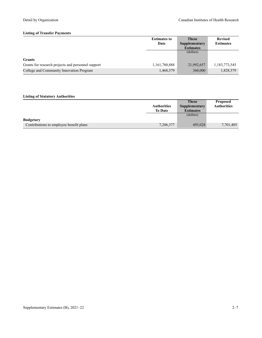#### **Listing of Transfer Payments**

|                                                    | <b>Estimates to</b> | <b>These</b>     | <b>Revised</b>   |
|----------------------------------------------------|---------------------|------------------|------------------|
|                                                    | Date                | Supplementary    | <b>Estimates</b> |
|                                                    |                     | <b>Estimates</b> |                  |
|                                                    |                     | (dollars)        |                  |
| <b>Grants</b>                                      |                     |                  |                  |
| Grants for research projects and personnel support | 1,161,780,888       | 21,992,657       | 1,183,773,545    |
| College and Community Innovation Program           | 1,468,579           | 360,000          | 1,828,579        |

# **Listing of Statutory Authorities**

|                                         |                    | <b>These</b>         | <b>Proposed</b>    |
|-----------------------------------------|--------------------|----------------------|--------------------|
|                                         | <b>Authorities</b> | <b>Supplementary</b> | <b>Authorities</b> |
|                                         | <b>To Date</b>     | <b>Estimates</b>     |                    |
|                                         |                    | (dollars)            |                    |
| <b>Budgetary</b>                        |                    |                      |                    |
| Contributions to employee benefit plans | 7,206,377          | 495,028              | 7,701,405          |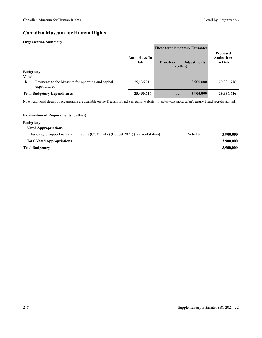# **Canadian Museum for Human Rights**

#### **Organization Summary**

|                  |                                                                  |                               |                  | <b>These Supplementary Estimates</b> |                                                         |
|------------------|------------------------------------------------------------------|-------------------------------|------------------|--------------------------------------|---------------------------------------------------------|
|                  |                                                                  | <b>Authorities To</b><br>Date | <b>Transfers</b> | <b>Adjustments</b>                   | <b>Proposed</b><br><b>Authorities</b><br><b>To Date</b> |
|                  |                                                                  |                               |                  | (dollars)                            |                                                         |
| <b>Budgetary</b> |                                                                  |                               |                  |                                      |                                                         |
| <b>Voted</b>     |                                                                  |                               |                  |                                      |                                                         |
| 1 <sub>b</sub>   | Payments to the Museum for operating and capital<br>expenditures | 25,436,716                    | .                | 3,900,000                            | 29,336,716                                              |
|                  | <b>Total Budgetary Expenditures</b>                              | 25,436,716                    | .                | 3,900,000                            | 29,336,716                                              |

Note: Additional details by organization are available on the Treasury Board Secretariat website -<http://www.canada.ca/en/treasury-board-secretariat.html>.

| <b>Explanation of Requirements (dollars)</b>                                   |                     |           |
|--------------------------------------------------------------------------------|---------------------|-----------|
| <b>Budgetary</b>                                                               |                     |           |
| <b>Voted Appropriations</b>                                                    |                     |           |
| Funding to support national museums (COVID-19) (Budget 2021) (horizontal item) | Vote 1 <sub>b</sub> | 3,900,000 |
| <b>Total Voted Appropriations</b>                                              |                     | 3,900,000 |
| <b>Total Budgetary</b>                                                         |                     | 3,900,000 |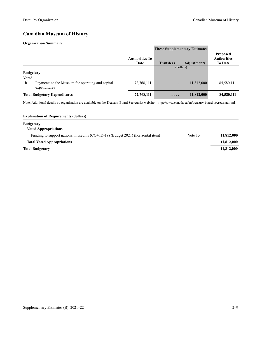# **Canadian Museum of History**

#### **Organization Summary**

|                                |                                                                  |                               | <b>These Supplementary Estimates</b> |                    |                                                         |
|--------------------------------|------------------------------------------------------------------|-------------------------------|--------------------------------------|--------------------|---------------------------------------------------------|
|                                |                                                                  | <b>Authorities To</b><br>Date | <b>Transfers</b>                     | <b>Adjustments</b> | <b>Proposed</b><br><b>Authorities</b><br><b>To Date</b> |
| <b>Budgetary</b>               |                                                                  |                               | (dollars)                            |                    |                                                         |
| <b>Voted</b><br>1 <sub>b</sub> | Payments to the Museum for operating and capital<br>expenditures | 72,768,111                    | .                                    | 11,812,000         | 84,580,111                                              |
|                                | <b>Total Budgetary Expenditures</b>                              | 72,768,111                    | .                                    | 11,812,000         | 84,580,111                                              |

Note: Additional details by organization are available on the Treasury Board Secretariat website –<http://www.canada.ca/en/treasury-board-secretariat.html>.

| 11,812,000          |
|---------------------|
| 11,812,000          |
| 11,812,000          |
| Vote 1 <sub>b</sub> |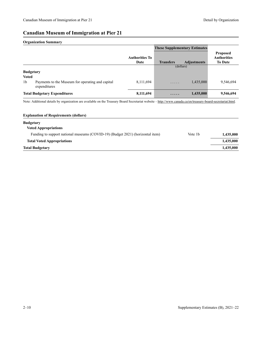# **Canadian Museum of Immigration at Pier 21**

#### **Organization Summary**

|                  |                                                                  |                               | <b>These Supplementary Estimates</b> |                    |                                                         |
|------------------|------------------------------------------------------------------|-------------------------------|--------------------------------------|--------------------|---------------------------------------------------------|
|                  |                                                                  | <b>Authorities To</b><br>Date | <b>Transfers</b>                     | <b>Adjustments</b> | <b>Proposed</b><br><b>Authorities</b><br><b>To Date</b> |
|                  |                                                                  |                               |                                      | (dollars)          |                                                         |
| <b>Budgetary</b> |                                                                  |                               |                                      |                    |                                                         |
| <b>Voted</b>     |                                                                  |                               |                                      |                    |                                                         |
| 1 <sub>b</sub>   | Payments to the Museum for operating and capital<br>expenditures | 8,111,694                     | .                                    | 1,435,000          | 9,546,694                                               |
|                  | <b>Total Budgetary Expenditures</b>                              | 8,111,694                     | .                                    | 1,435,000          | 9,546,694                                               |

Note: Additional details by organization are available on the Treasury Board Secretariat website -<http://www.canada.ca/en/treasury-board-secretariat.html>.

| <b>Explanation of Requirements (dollars)</b>                                   |                     |           |
|--------------------------------------------------------------------------------|---------------------|-----------|
| <b>Budgetary</b>                                                               |                     |           |
| <b>Voted Appropriations</b>                                                    |                     |           |
| Funding to support national museums (COVID-19) (Budget 2021) (horizontal item) | Vote 1 <sub>b</sub> | 1,435,000 |
| <b>Total Voted Appropriations</b>                                              |                     | 1,435,000 |
| <b>Total Budgetary</b>                                                         |                     | 1,435,000 |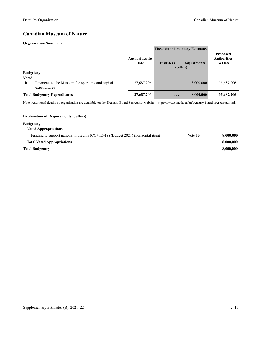# **Canadian Museum of Nature**

#### **Organization Summary**

|                                  |                                                                  |                               | <b>These Supplementary Estimates</b> |                    |                                                         |
|----------------------------------|------------------------------------------------------------------|-------------------------------|--------------------------------------|--------------------|---------------------------------------------------------|
|                                  |                                                                  | <b>Authorities To</b><br>Date | <b>Transfers</b>                     | <b>Adjustments</b> | <b>Proposed</b><br><b>Authorities</b><br><b>To Date</b> |
| <b>Budgetary</b><br><b>Voted</b> |                                                                  |                               |                                      | (dollars)          |                                                         |
| 1 <sub>b</sub>                   | Payments to the Museum for operating and capital<br>expenditures | 27,687,206                    | .                                    | 8,000,000          | 35,687,206                                              |
|                                  | <b>Total Budgetary Expenditures</b>                              | 27,687,206                    | .                                    | 8,000,000          | 35,687,206                                              |

Note: Additional details by organization are available on the Treasury Board Secretariat website –<http://www.canada.ca/en/treasury-board-secretariat.html>.

| <b>Explanation of Requirements (dollars)</b>                                   |                     |           |
|--------------------------------------------------------------------------------|---------------------|-----------|
| <b>Budgetary</b>                                                               |                     |           |
| <b>Voted Appropriations</b>                                                    |                     |           |
| Funding to support national museums (COVID-19) (Budget 2021) (horizontal item) | Vote 1 <sub>b</sub> | 8,000,000 |
| <b>Total Voted Appropriations</b>                                              |                     | 8,000,000 |
| <b>Total Budgetary</b>                                                         |                     | 8,000,000 |
|                                                                                |                     |           |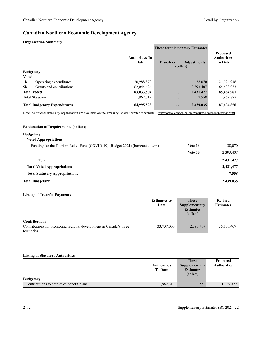# **Canadian Northern Economic Development Agency**

#### **Organization Summary**

|                                     |                          |                               | <b>These Supplementary Estimates</b> |                    |                                                         |
|-------------------------------------|--------------------------|-------------------------------|--------------------------------------|--------------------|---------------------------------------------------------|
|                                     |                          | <b>Authorities To</b><br>Date | <b>Transfers</b>                     | <b>Adjustments</b> | <b>Proposed</b><br><b>Authorities</b><br><b>To Date</b> |
|                                     |                          |                               |                                      | (dollars)          |                                                         |
|                                     | <b>Budgetary</b>         |                               |                                      |                    |                                                         |
| <b>Voted</b>                        |                          |                               |                                      |                    |                                                         |
| 1 <sub>b</sub>                      | Operating expenditures   | 20,988,878                    | .                                    | 38,070             | 21,026,948                                              |
| 5 <sub>b</sub>                      | Grants and contributions | 62,044,626                    | .                                    | 2,393,407          | 64,438,033                                              |
| <b>Total Voted</b>                  |                          | 83,033,504                    | $\cdots\cdots$                       | 2,431,477          | 85,464,981                                              |
|                                     | <b>Total Statutory</b>   | 1,962,319                     | .                                    | 7,558              | 1,969,877                                               |
| <b>Total Budgetary Expenditures</b> |                          | 84,995,823                    | .                                    | 2,439,035          | 87,434,858                                              |

Note: Additional details by organization are available on the Treasury Board Secretariat website -<http://www.canada.ca/en/treasury-board-secretariat.html>.

| <b>Explanation of Requirements (dollars)</b>                                   |                     |           |
|--------------------------------------------------------------------------------|---------------------|-----------|
| <b>Budgetary</b>                                                               |                     |           |
| <b>Voted Appropriations</b>                                                    |                     |           |
| Funding for the Tourism Relief Fund (COVID-19) (Budget 2021) (horizontal item) | Vote 1 <sub>b</sub> | 38,070    |
|                                                                                | Vote 5 <sub>b</sub> | 2,393,407 |
| Total                                                                          |                     | 2,431,477 |
| <b>Total Voted Appropriations</b>                                              |                     | 2,431,477 |
| <b>Total Statutory Appropriations</b>                                          |                     | 7,558     |
| <b>Total Budgetary</b>                                                         |                     | 2,439,035 |

#### **Listing of Transfer Payments**

|                                                                    | <b>Estimates to</b> | <b>These</b>     | <b>Revised</b>   |
|--------------------------------------------------------------------|---------------------|------------------|------------------|
|                                                                    | Date                | Supplementary    | <b>Estimates</b> |
|                                                                    |                     | <b>Estimates</b> |                  |
|                                                                    |                     | (dollars)        |                  |
|                                                                    |                     |                  |                  |
| <b>Contributions</b>                                               |                     |                  |                  |
| Contributions for promoting regional development in Canada's three | 33,737,000          | 2,393,407        | 36,130,407       |
| territories                                                        |                     |                  |                  |

#### **Listing of Statutory Authorities**

|                                         |                    | <b>These</b>     | <b>Proposed</b>    |
|-----------------------------------------|--------------------|------------------|--------------------|
|                                         | <b>Authorities</b> | Supplementary    | <b>Authorities</b> |
|                                         | <b>To Date</b>     | <b>Estimates</b> |                    |
|                                         |                    | (dollars)        |                    |
| <b>Budgetary</b>                        |                    |                  |                    |
| Contributions to employee benefit plans | 1,962,319          | 7,558            | 1,969,877          |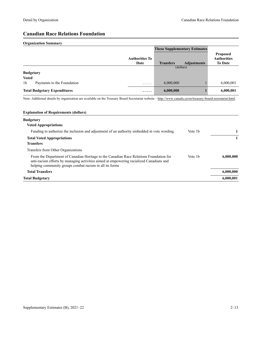# **Canadian Race Relations Foundation**

## **Organization Summary**

|                                              |                               | <b>These Supplementary Estimates</b> |                    |                                                         |
|----------------------------------------------|-------------------------------|--------------------------------------|--------------------|---------------------------------------------------------|
|                                              | <b>Authorities To</b><br>Date | <b>Transfers</b>                     | <b>Adjustments</b> | <b>Proposed</b><br><b>Authorities</b><br><b>To Date</b> |
|                                              |                               |                                      | (dollars)          |                                                         |
| <b>Budgetary</b>                             |                               |                                      |                    |                                                         |
| <b>Voted</b>                                 |                               |                                      |                    |                                                         |
| 1 <sub>b</sub><br>Payments to the Foundation | .                             | 6,000,000                            |                    | 6,000,001                                               |
| <b>Total Budgetary Expenditures</b>          | $\cdots\cdots$                | 6,000,000                            |                    | 6,000,001                                               |

Note: Additional details by organization are available on the Treasury Board Secretariat website -<http://www.canada.ca/en/treasury-board-secretariat.html>.

| <b>Explanation of Requirements (dollars)</b>                                                                                                                                                                                                 |                     |           |
|----------------------------------------------------------------------------------------------------------------------------------------------------------------------------------------------------------------------------------------------|---------------------|-----------|
| <b>Budgetary</b>                                                                                                                                                                                                                             |                     |           |
| <b>Voted Appropriations</b>                                                                                                                                                                                                                  |                     |           |
| Funding to authorize the inclusion and adjustment of an authority embedded in vote wording                                                                                                                                                   | Vote 1 <sub>b</sub> | 1         |
| <b>Total Voted Appropriations</b>                                                                                                                                                                                                            |                     |           |
| <b>Transfers</b>                                                                                                                                                                                                                             |                     |           |
| Transfers from Other Organizations                                                                                                                                                                                                           |                     |           |
| From the Department of Canadian Heritage to the Canadian Race Relations Foundation for<br>anti-racism efforts by managing activities aimed at empowering racialized Canadians and<br>helping community groups combat racism in all its forms | Vote 1 <sub>b</sub> | 6,000,000 |
| <b>Total Transfers</b>                                                                                                                                                                                                                       |                     | 6,000,000 |
| <b>Total Budgetary</b>                                                                                                                                                                                                                       |                     | 6.000.001 |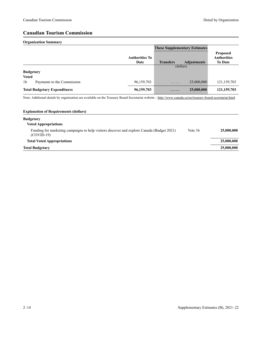# **Canadian Tourism Commission**

## **Organization Summary**

|                                     |                               | <b>These Supplementary Estimates</b> |                    |                                                         |
|-------------------------------------|-------------------------------|--------------------------------------|--------------------|---------------------------------------------------------|
|                                     | <b>Authorities To</b><br>Date | <b>Transfers</b>                     | <b>Adjustments</b> | <b>Proposed</b><br><b>Authorities</b><br><b>To Date</b> |
|                                     |                               | (dollars)                            |                    |                                                         |
| <b>Budgetary</b>                    |                               |                                      |                    |                                                         |
| <b>Voted</b>                        |                               |                                      |                    |                                                         |
| 1b<br>Payments to the Commission    | 96,159,703                    | .                                    | 25,000,000         | 121,159,703                                             |
| <b>Total Budgetary Expenditures</b> | 96,159,703                    | .                                    | 25,000,000         | 121,159,703                                             |

Note: Additional details by organization are available on the Treasury Board Secretariat website -<http://www.canada.ca/en/treasury-board-secretariat.html>.

# **Explanation of Requirements (dollars)**

| <b>Budgetary</b>                                                                                           |                     |            |
|------------------------------------------------------------------------------------------------------------|---------------------|------------|
| <b>Voted Appropriations</b>                                                                                |                     |            |
| Funding for marketing campaigns to help visitors discover and explore Canada (Budget 2021)<br>$(COVID-19)$ | Vote 1 <sub>b</sub> | 25,000,000 |
| <b>Total Voted Appropriations</b>                                                                          |                     | 25,000,000 |
| <b>Total Budgetary</b>                                                                                     |                     | 25,000,000 |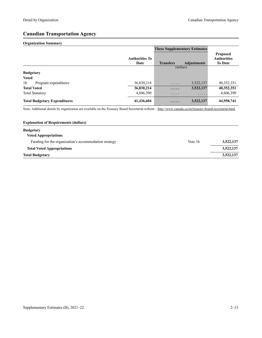# **Canadian Transportation Agency**

## **Organization Summary**

|                                        |                               | <b>These Supplementary Estimates</b> |                    |                                                         |
|----------------------------------------|-------------------------------|--------------------------------------|--------------------|---------------------------------------------------------|
|                                        | <b>Authorities To</b><br>Date | <b>Transfers</b>                     | <b>Adjustments</b> | <b>Proposed</b><br><b>Authorities</b><br><b>To Date</b> |
|                                        |                               | (dollars)                            |                    |                                                         |
| <b>Budgetary</b>                       |                               |                                      |                    |                                                         |
| <b>Voted</b>                           |                               |                                      |                    |                                                         |
| 1 <sub>b</sub><br>Program expenditures | 36,830,214                    | .                                    | 3,522,137          | 40,352,351                                              |
| <b>Total Voted</b>                     | 36,830,214                    | $\cdots\cdots$                       | 3,522,137          | 40,352,351                                              |
| <b>Total Statutory</b>                 | 4,606,390                     | .                                    | .                  | 4,606,390                                               |
| <b>Total Budgetary Expenditures</b>    | 41,436,604                    | .                                    | 3,522,137          | 44,958,741                                              |

Note: Additional details by organization are available on the Treasury Board Secretariat website -<http://www.canada.ca/en/treasury-board-secretariat.html>.

| <b>Explanation of Requirements (dollars)</b>          |         |           |
|-------------------------------------------------------|---------|-----------|
| <b>Budgetary</b>                                      |         |           |
| <b>Voted Appropriations</b>                           |         |           |
| Funding for the organization's accommodation strategy | Vote 1b | 3,522,137 |
| <b>Total Voted Appropriations</b>                     |         | 3,522,137 |
| <b>Total Budgetary</b>                                |         | 3,522,137 |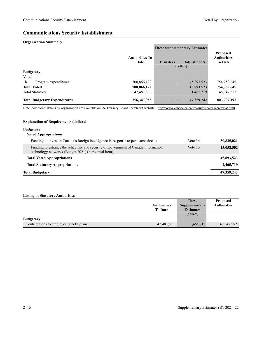# **Communications Security Establishment**

### **Organization Summary**

|                                        |                               | <b>These Supplementary Estimates</b> |                    |                                                         |
|----------------------------------------|-------------------------------|--------------------------------------|--------------------|---------------------------------------------------------|
|                                        | <b>Authorities To</b><br>Date | <b>Transfers</b>                     | <b>Adjustments</b> | <b>Proposed</b><br><b>Authorities</b><br><b>To Date</b> |
|                                        |                               | (dollars)                            |                    |                                                         |
| <b>Budgetary</b>                       |                               |                                      |                    |                                                         |
| <b>Voted</b>                           |                               |                                      |                    |                                                         |
| 1 <sub>b</sub><br>Program expenditures | 708,866,122                   | .                                    | 45,893,523         | 754,759,645                                             |
| <b>Total Voted</b>                     | 708,866,122                   | .                                    | 45,893,523         | 754,759,645                                             |
| <b>Total Statutory</b>                 | 47,481,833                    | .                                    | 1,465,719          | 48,947,552                                              |
| <b>Total Budgetary Expenditures</b>    | 756,347,955                   | .                                    | 47,359,242         | 803,707,197                                             |

Note: Additional details by organization are available on the Treasury Board Secretariat website -<http://www.canada.ca/en/treasury-board-secretariat.html>.

### **Explanation of Requirements (dollars)**

# **Budgetary Voted Appropriations** Funding to invest in Canada's foreign intelligence in response to persistent threats Vote 1b 30,835,021 Funding to enhance the reliability and security of Government of Canada information technology networks (Budget 2021) (horizontal item) Vote 1b **15,058,502 Total Voted Appropriations 45,893,523 Total Statutory Appropriations 1,465,719 Total Budgetary 47,359,242**

|                                         |                    | <b>These</b>     | <b>Proposed</b>    |
|-----------------------------------------|--------------------|------------------|--------------------|
|                                         | <b>Authorities</b> | Supplementary    | <b>Authorities</b> |
|                                         | <b>To Date</b>     | <b>Estimates</b> |                    |
|                                         |                    | (dollars)        |                    |
| <b>Budgetary</b>                        |                    |                  |                    |
| Contributions to employee benefit plans | 47,481,833         | 1,465,719        | 48,947,552         |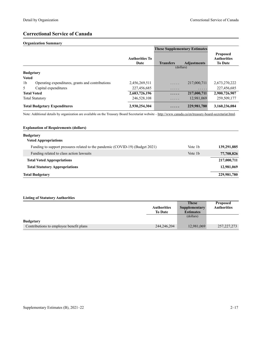# **Correctional Service of Canada**

### **Organization Summary**

|                  |                                                  |                               | <b>These Supplementary Estimates</b> |                    |                                                         |
|------------------|--------------------------------------------------|-------------------------------|--------------------------------------|--------------------|---------------------------------------------------------|
|                  |                                                  | <b>Authorities To</b><br>Date | <b>Transfers</b>                     | <b>Adjustments</b> | <b>Proposed</b><br><b>Authorities</b><br><b>To Date</b> |
|                  |                                                  |                               | (dollars)                            |                    |                                                         |
| <b>Budgetary</b> |                                                  |                               |                                      |                    |                                                         |
| <b>Voted</b>     |                                                  |                               |                                      |                    |                                                         |
| 1 <sub>b</sub>   | Operating expenditures, grants and contributions | 2,456,269,511                 | .                                    | 217,000,711        | 2,673,270,222                                           |
| 5                | Capital expenditures                             | 227,456,685                   | $\cdots\cdots\cdots$                 | .                  | 227,456,685                                             |
|                  | <b>Total Voted</b>                               | 2,683,726,196                 | .                                    | 217,000,711        | 2,900,726,907                                           |
|                  | <b>Total Statutory</b>                           | 246,528,108                   | .                                    | 12,981,069         | 259,509,177                                             |
|                  | <b>Total Budgetary Expenditures</b>              | 2,930,254,304                 | .                                    | 229,981,780        | 3,160,236,084                                           |

Note: Additional details by organization are available on the Treasury Board Secretariat website -<http://www.canada.ca/en/treasury-board-secretariat.html>.

# **Explanation of Requirements (dollars) Budgetary Voted Appropriations** Funding to support pressures related to the pandemic (COVID-19) (Budget 2021) Vote 1b 139,291,885 Funding related to class action lawsuits **77,708,826 1b** 77,708,826 **Total Voted Appropriations 217,000,711 Total Statutory Appropriations 12,981,069 Total Budgetary 229,981,780**

|                                         |                    | <b>These</b>     | <b>Proposed</b>    |
|-----------------------------------------|--------------------|------------------|--------------------|
|                                         | <b>Authorities</b> | Supplementary    | <b>Authorities</b> |
|                                         | <b>To Date</b>     | <b>Estimates</b> |                    |
|                                         |                    | (dollars)        |                    |
| <b>Budgetary</b>                        |                    |                  |                    |
| Contributions to employee benefit plans | 244,246,204        | 12,981,069       | 257, 227, 273      |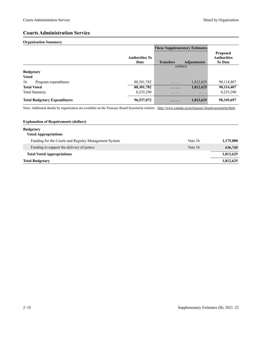# **Courts Administration Service**

# **Organization Summary**

|                                        |                               | <b>These Supplementary Estimates</b> |                    |                                                         |
|----------------------------------------|-------------------------------|--------------------------------------|--------------------|---------------------------------------------------------|
|                                        | <b>Authorities To</b><br>Date | <b>Transfers</b>                     | <b>Adjustments</b> | <b>Proposed</b><br><b>Authorities</b><br><b>To Date</b> |
|                                        |                               | (dollars)                            |                    |                                                         |
| <b>Budgetary</b>                       |                               |                                      |                    |                                                         |
| <b>Voted</b>                           |                               |                                      |                    |                                                         |
| 1 <sub>b</sub><br>Program expenditures | 88, 301, 782                  | $\cdots\cdots\cdots$                 | 1,812,625          | 90,114,407                                              |
| <b>Total Voted</b>                     | 88,301,782                    | $\cdots\cdots$                       | 1,812,625          | 90,114,407                                              |
| <b>Total Statutory</b>                 | 8,235,290                     | .                                    | .                  | 8,235,290                                               |
| <b>Total Budgetary Expenditures</b>    | 96,537,072                    | .                                    | 1,812,625          | 98,349,697                                              |

Note: Additional details by organization are available on the Treasury Board Secretariat website -<http://www.canada.ca/en/treasury-board-secretariat.html>.

# **Explanation of Requirements (dollars) Budgetary Voted Appropriations** Funding for the Courts and Registry Management System Vote 1b Vote 1b 1,175,880 Funding to support the delivery of justice 636,745 **Total Voted Appropriations 1,812,625 Total Budgetary 1,812,625**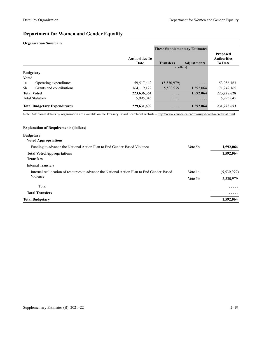# **Department for Women and Gender Equality**

## **Organization Summary**

|                                            |                               | <b>These Supplementary Estimates</b> |                    |                                                         |
|--------------------------------------------|-------------------------------|--------------------------------------|--------------------|---------------------------------------------------------|
|                                            | <b>Authorities To</b><br>Date | <b>Transfers</b>                     | <b>Adjustments</b> | <b>Proposed</b><br><b>Authorities</b><br><b>To Date</b> |
|                                            |                               | (dollars)                            |                    |                                                         |
| <b>Budgetary</b>                           |                               |                                      |                    |                                                         |
| <b>Voted</b>                               |                               |                                      |                    |                                                         |
| 1a<br>Operating expenditures               | 59,517,442                    | (5,530,979)                          | .                  | 53,986,463                                              |
| Grants and contributions<br>5 <sub>b</sub> | 164, 119, 122                 | 5,530,979                            | 1.592,064          | 171,242,165                                             |
| <b>Total Voted</b>                         | 223,636,564                   | .                                    | 1,592,064          | 225, 228, 628                                           |
| <b>Total Statutory</b>                     | 5,995,045                     | $\cdots\cdots\cdots$                 | .                  | 5,995,045                                               |
| <b>Total Budgetary Expenditures</b>        | 229,631,609                   | .                                    | 1,592,064          | 231, 223, 673                                           |

Note: Additional details by organization are available on the Treasury Board Secretariat website –<http://www.canada.ca/en/treasury-board-secretariat.html>.

| <b>Explanation of Requirements (dollars)</b>                                               |         |             |
|--------------------------------------------------------------------------------------------|---------|-------------|
| <b>Budgetary</b>                                                                           |         |             |
| <b>Voted Appropriations</b>                                                                |         |             |
| Funding to advance the National Action Plan to End Gender-Based Violence                   | Vote 5b | 1,592,064   |
| <b>Total Voted Appropriations</b>                                                          |         | 1,592,064   |
| <b>Transfers</b>                                                                           |         |             |
| <b>Internal Transfers</b>                                                                  |         |             |
| Internal reallocation of resources to advance the National Action Plan to End Gender-Based | Vote 1a | (5,530,979) |
| Violence                                                                                   | Vote 5b | 5,530,979   |
| Total                                                                                      |         | .           |
| <b>Total Transfers</b>                                                                     |         | .           |
| <b>Total Budgetary</b>                                                                     |         | 1,592,064   |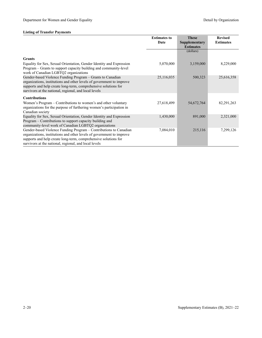|                                                                                                                                                                                                                                                                        | <b>Estimates to</b><br>Date | <b>These</b><br>Supplementary | <b>Revised</b><br><b>Estimates</b> |
|------------------------------------------------------------------------------------------------------------------------------------------------------------------------------------------------------------------------------------------------------------------------|-----------------------------|-------------------------------|------------------------------------|
|                                                                                                                                                                                                                                                                        |                             | <b>Estimates</b>              |                                    |
|                                                                                                                                                                                                                                                                        |                             | (dollars)                     |                                    |
| <b>Grants</b>                                                                                                                                                                                                                                                          |                             |                               |                                    |
| Equality for Sex, Sexual Orientation, Gender Identity and Expression<br>Program – Grants to support capacity building and community-level<br>work of Canadian LGBTQ2 organizations                                                                                     | 5,070,000                   | 3,159,000                     | 8,229,000                          |
| Gender-based Violence Funding Program - Grants to Canadian<br>organizations, institutions and other levels of government to improve<br>supports and help create long-term, comprehensive solutions for<br>survivors at the national, regional, and local levels        |                             | 500,323                       | 25,616,358                         |
| <b>Contributions</b>                                                                                                                                                                                                                                                   |                             |                               |                                    |
| Women's Program – Contributions to women's and other voluntary<br>organizations for the purpose of furthering women's participation in<br>Canadian society                                                                                                             | 27,618,499                  | 54,672,764                    | 82, 291, 263                       |
| Equality for Sex, Sexual Orientation, Gender Identity and Expression<br>Program – Contributions to support capacity building and<br>community-level work of Canadian LGBTQ2 organizations                                                                              | 1,430,000                   | 891,000                       | 2,321,000                          |
| Gender-based Violence Funding Program – Contributions to Canadian<br>organizations, institutions and other levels of government to improve<br>supports and help create long-term, comprehensive solutions for<br>survivors at the national, regional, and local levels | 7,084,010                   | 215,116                       | 7,299,126                          |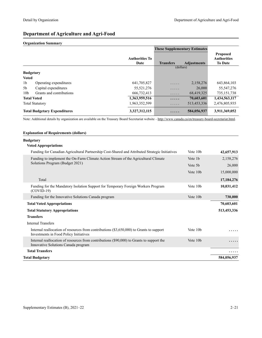# **Department of Agriculture and Agri-Food**

## **Organization Summary**

|                  |                                     |                               | <b>These Supplementary Estimates</b> |                    |                                                         |
|------------------|-------------------------------------|-------------------------------|--------------------------------------|--------------------|---------------------------------------------------------|
|                  |                                     | <b>Authorities To</b><br>Date | <b>Transfers</b>                     | <b>Adjustments</b> | <b>Proposed</b><br><b>Authorities</b><br><b>To Date</b> |
|                  |                                     |                               | (dollars)                            |                    |                                                         |
| <b>Budgetary</b> |                                     |                               |                                      |                    |                                                         |
| <b>Voted</b>     |                                     |                               |                                      |                    |                                                         |
| 1 <sub>b</sub>   | Operating expenditures              | 641,705,827                   | .                                    | 2,158,276          | 643,864,103                                             |
| 5 <sub>b</sub>   | Capital expenditures                | 55, 521, 276                  | .                                    | 26,000             | 55, 547, 276                                            |
| 10 <sub>b</sub>  | Grants and contributions            | 666,732,413                   | .                                    | 68,419,325         | 735, 151, 738                                           |
|                  | <b>Total Voted</b>                  | 1,363,959,516                 | .                                    | 70,603,601         | 1,434,563,117                                           |
|                  | <b>Total Statutory</b>              | 1,963,352,599                 | $\cdots$                             | 513,453,336        | 2,476,805,935                                           |
|                  | <b>Total Budgetary Expenditures</b> | 3,327,312,115                 | .                                    | 584,056,937        | 3,911,369,052                                           |

Note: Additional details by organization are available on the Treasury Board Secretariat website -<http://www.canada.ca/en/treasury-board-secretariat.html>.

### **Explanation of Requirements (dollars)**

### **Budgetary**

## **Voted Appropriations**

| Total Budgetary                                                                                                                    |          | 584,056,937  |
|------------------------------------------------------------------------------------------------------------------------------------|----------|--------------|
| <b>Total Transfers</b>                                                                                                             |          |              |
| Internal reallocation of resources from contributions (\$90,000) to Grants to support the<br>Innovative Solutions Canada program   | Vote 10b | .            |
| Internal reallocation of resources from contributions (\$3,650,000) to Grants to support<br>Investments in Food Policy Initiatives | Vote 10b |              |
| <b>Internal Transfers</b>                                                                                                          |          |              |
| <b>Transfers</b>                                                                                                                   |          |              |
| <b>Total Statutory Appropriations</b>                                                                                              |          | 513,453,336  |
| <b>Total Voted Appropriations</b>                                                                                                  |          | 70,603,601   |
| Funding for the Innovative Solutions Canada program                                                                                | Vote 10b | 730,000      |
| Funding for the Mandatory Isolation Support for Temporary Foreign Workers Program<br>$(COVID-19)$                                  | Vote 10b | 10,031,412   |
| Total                                                                                                                              |          | 17, 184, 276 |
|                                                                                                                                    | Vote 10b | 15,000,000   |
| Solutions Program (Budget 2021)                                                                                                    | Vote 5b  | 26,000       |
| Funding to implement the On-Farm Climate Action Stream of the Agricultural Climate                                                 | Vote 1b  | 2,158,276    |
| Funding for Canadian Agricultural Partnership Cost-Shared and Attributed Strategic Initiatives                                     | Vote 10b | 42,657,913   |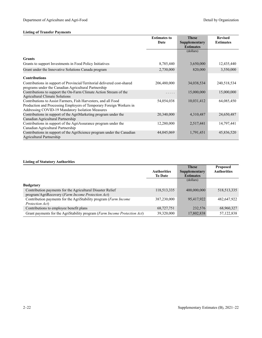|                                                                                                                                                                                           | <b>Estimates to</b> | <b>These</b>     | <b>Revised</b>   |
|-------------------------------------------------------------------------------------------------------------------------------------------------------------------------------------------|---------------------|------------------|------------------|
|                                                                                                                                                                                           | Date                | Supplementary    | <b>Estimates</b> |
|                                                                                                                                                                                           |                     | <b>Estimates</b> |                  |
|                                                                                                                                                                                           |                     | (dollars)        |                  |
| <b>Grants</b>                                                                                                                                                                             |                     |                  |                  |
| Grants to support Investments in Food Policy Initiatives                                                                                                                                  | 8,785,440           | 3,650,000        | 12,435,440       |
| Grant under the Innovative Solutions Canada program                                                                                                                                       | 2,730,000           | 820,000          | 3,550,000        |
| <b>Contributions</b>                                                                                                                                                                      |                     |                  |                  |
| Contributions in support of Provincial/Territorial delivered cost-shared<br>programs under the Canadian Agricultural Partnership                                                          | 206,480,000         | 34,038,534       | 240,518,534      |
| Contributions to support the On-Farm Climate Action Stream of the<br><b>Agricultural Climate Solutions</b>                                                                                | .                   | 15,000,000       | 15,000,000       |
| Contributions to Assist Farmers, Fish Harvesters, and all Food<br>Production and Processing Employers of Temporary Foreign Workers in<br>Addressing COVID-19 Mandatory Isolation Measures | 54,054,038          | 10,031,412       | 64,085,450       |
| Contributions in support of the AgriMarketing program under the<br>Canadian Agricultural Partnership                                                                                      | 20,340,000          | 4,310,487        | 24,650,487       |
| Contributions in support of the AgriAssurance program under the<br>Canadian Agricultural Partnership                                                                                      | 12,280,000          | 2,517,441        | 14,797,441       |
| Contributions in support of the AgriScience program under the Canadian<br>Agricultural Partnership                                                                                        | 44,045,069          | 1,791,451        | 45,836,520       |

|                                                                            |                    | <b>These</b>     | <b>Proposed</b>    |
|----------------------------------------------------------------------------|--------------------|------------------|--------------------|
|                                                                            | <b>Authorities</b> | Supplementary    | <b>Authorities</b> |
|                                                                            | <b>To Date</b>     | <b>Estimates</b> |                    |
|                                                                            |                    | (dollars)        |                    |
| <b>Budgetary</b>                                                           |                    |                  |                    |
| Contribution payments for the Agricultural Disaster Relief                 | 118,513,335        | 400,000,000      | 518, 513, 335      |
| program/AgriRecovery (Farm Income Protection Act)                          |                    |                  |                    |
| Contribution payments for the AgriStability program ( <i>Farm Income</i> ) | 387,230,000        | 95,417,922       | 482,647,922        |
| Protection Act)                                                            |                    |                  |                    |
| Contributions to employee benefit plans                                    | 68,727,751         | 232,576          | 68,960,327         |
| Grant payments for the AgriStability program (Farm Income Protection Act)  | 39,320,000         | 17,802,838       | 57,122,838         |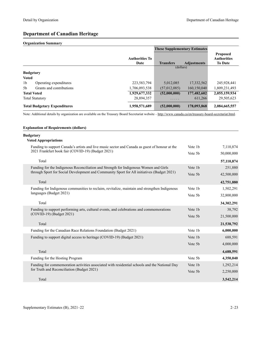# **Department of Canadian Heritage**

## **Organization Summary**

|                                            |                               | <b>These Supplementary Estimates</b> |                    |                                                         |
|--------------------------------------------|-------------------------------|--------------------------------------|--------------------|---------------------------------------------------------|
|                                            | <b>Authorities To</b><br>Date | <b>Transfers</b>                     | <b>Adjustments</b> | <b>Proposed</b><br><b>Authorities</b><br><b>To Date</b> |
|                                            |                               | (dollars)                            |                    |                                                         |
| <b>Budgetary</b>                           |                               |                                      |                    |                                                         |
| <b>Voted</b>                               |                               |                                      |                    |                                                         |
| 1 <sub>b</sub><br>Operating expenditures   | 223,583,794                   | 5,012,085                            | 17,332,562         | 245,928,441                                             |
| Grants and contributions<br>5 <sub>b</sub> | 1,706,093,538                 | (57,012,085)                         | 160,150,040        | 1,809,231,493                                           |
| <b>Total Voted</b>                         | 1,929,677,332                 | (52,000,000)                         | 177,482,602        | 2,055,159,934                                           |
| <b>Total Statutory</b>                     | 28,894,357                    | .                                    | 611,266            | 29,505,623                                              |
| <b>Total Budgetary Expenditures</b>        | 1,958,571,689                 | (52,000,000)                         | 178,093,868        | 2,084,665,557                                           |

Note: Additional details by organization are available on the Treasury Board Secretariat website –<http://www.canada.ca/en/treasury-board-secretariat.html>.

| <b>Explanation of Requirements (dollars)</b>                                                                                                        |         |            |
|-----------------------------------------------------------------------------------------------------------------------------------------------------|---------|------------|
| <b>Budgetary</b><br><b>Voted Appropriations</b>                                                                                                     |         |            |
|                                                                                                                                                     | Vote 1b |            |
| Funding to support Canada's artists and live music sector and Canada as guest of honour at the<br>2021 Frankfurt book fair (COVID-19) (Budget 2021) |         | 7,110,874  |
|                                                                                                                                                     | Vote 5b | 50,000,000 |
| Total                                                                                                                                               |         | 57,110,874 |
| Funding for the Indigenous Reconciliation and Strength for Indigenous Women and Girls                                                               | Vote 1b | 251,880    |
| through Sport for Social Development and Community Sport for All initiatives (Budget 2021)                                                          | Vote 5b | 42,500,000 |
| Total                                                                                                                                               |         | 42,751,880 |
| Funding for Indigenous communities to reclaim, revitalize, maintain and strengthen Indigenous                                                       | Vote 1b | 1,502,291  |
| languages (Budget 2021)                                                                                                                             | Vote 5b | 32,800,000 |
| Total                                                                                                                                               |         | 34,302,291 |
| Funding to support performing arts, cultural events, and celebrations and commemorations                                                            | Vote 1b | 38,792     |
| (COVID-19) (Budget 2021)                                                                                                                            | Vote 5b | 21,500,000 |
| Total                                                                                                                                               |         | 21,538,792 |
| Funding for the Canadian Race Relations Foundation (Budget 2021)                                                                                    | Vote 1b | 6,000,000  |
| Funding to support digital access to heritage (COVID-19) (Budget 2021)                                                                              | Vote 1b | 688,591    |
|                                                                                                                                                     | Vote 5b | 4,000,000  |
| Total                                                                                                                                               |         | 4,688,591  |
| Funding for the Hosting Program                                                                                                                     | Vote 5b | 4,350,040  |
|                                                                                                                                                     | Vote 1b |            |
| Funding for commemoration activities associated with residential schools and the National Day                                                       |         | 1,292,214  |
| for Truth and Reconciliation (Budget 2021)                                                                                                          | Vote 5b | 2,250,000  |
| Total                                                                                                                                               |         | 3,542,214  |
|                                                                                                                                                     |         |            |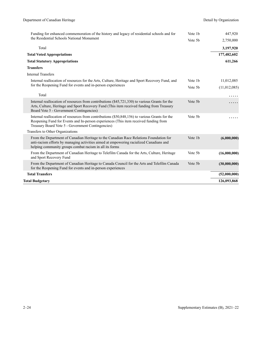| Funding for enhanced commemoration of the history and legacy of residential schools and for                                                                                                                                                  |         | 447,920      |
|----------------------------------------------------------------------------------------------------------------------------------------------------------------------------------------------------------------------------------------------|---------|--------------|
| the Residential Schools National Monument                                                                                                                                                                                                    | Vote 5b | 2,750,000    |
| Total                                                                                                                                                                                                                                        |         | 3,197,920    |
| <b>Total Voted Appropriations</b>                                                                                                                                                                                                            |         | 177,482,602  |
| <b>Total Statutory Appropriations</b>                                                                                                                                                                                                        |         | 611,266      |
| <b>Transfers</b>                                                                                                                                                                                                                             |         |              |
| <b>Internal Transfers</b>                                                                                                                                                                                                                    |         |              |
| Internal reallocation of resources for the Arts, Culture, Heritage and Sport Recovery Fund, and                                                                                                                                              | Vote 1b | 11,012,085   |
| for the Reopening Fund for events and in-person experiences                                                                                                                                                                                  | Vote 5b | (11,012,085) |
| Total                                                                                                                                                                                                                                        |         |              |
| Internal reallocation of resources from contributions $(\$45,721,330)$ to various Grants for the<br>Arts, Culture, Heritage and Sport Recovery Fund (This item received funding from Treasury<br>Board Vote 5 - Government Contingencies)    | Vote 5b |              |
| Internal reallocation of resources from contributions (\$50,848,156) to various Grants for the<br>Reopening Fund for Events and In-person experiences (This item received funding from<br>Treasury Board Vote 5 - Government Contingencies)  | Vote 5b |              |
| Transfers to Other Organizations                                                                                                                                                                                                             |         |              |
| From the Department of Canadian Heritage to the Canadian Race Relations Foundation for<br>anti-racism efforts by managing activities aimed at empowering racialized Canadians and<br>helping community groups combat racism in all its forms | Vote 1b | (6,000,000)  |
| From the Department of Canadian Heritage to Telefilm Canada for the Arts, Culture, Heritage<br>and Sport Recovery Fund                                                                                                                       | Vote 5b | (16,000,000) |
| From the Department of Canadian Heritage to Canada Council for the Arts and Telefilm Canada<br>for the Reopening Fund for events and in-person experiences                                                                                   | Vote 5b | (30,000,000) |
| <b>Total Transfers</b>                                                                                                                                                                                                                       |         | (52,000,000) |
| Total Budgetary                                                                                                                                                                                                                              |         | 126,093,868  |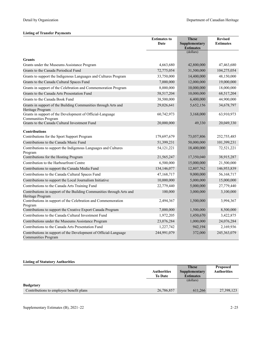|                                                                                                | <b>Estimates to</b><br>Date | <b>These</b><br>Supplementary | <b>Revised</b><br><b>Estimates</b> |
|------------------------------------------------------------------------------------------------|-----------------------------|-------------------------------|------------------------------------|
|                                                                                                |                             | <b>Estimates</b>              |                                    |
|                                                                                                |                             | (dollars)                     |                                    |
| <b>Grants</b>                                                                                  |                             |                               |                                    |
| Grants under the Museums Assistance Program                                                    | 4,663,680                   | 42,800,000                    | 47,463,680                         |
| Grants to the Canada Periodical Fund                                                           | 72,775,054                  | 31,500,000                    | 104,275,054                        |
| Grants to support the Indigenous Languages and Cultures Program                                | 33,750,000                  | 14,400,000                    | 48,150,000                         |
| Grants to the Canada Cultural Spaces Fund                                                      | 7,000,000                   | 12,000,000                    | 19,000,000                         |
| Grants in support of the Celebration and Commemoration Program                                 | 8,000,000                   | 10,000,000                    | 18,000,000                         |
| Grants to the Canada Arts Presentation Fund                                                    | 58,517,204                  | 10,000,000                    | 68,517,204                         |
| Grants to the Canada Book Fund                                                                 | 38,500,000                  | 6,400,000                     | 44,900,000                         |
| Grants in support of the Building Communities through Arts and<br>Heritage Program             | 29,026,641                  | 5,652,156                     | 34,678,797                         |
| Grants in support of the Development of Official-Language<br>Communities Program               | 60,742,973                  | 3,168,000                     | 63,910,973                         |
| Grants to the Canada Cultural Investment Fund                                                  | 20,000,000                  | 49,330                        | 20,049,330                         |
| <b>Contributions</b>                                                                           |                             |                               |                                    |
| Contributions for the Sport Support Program                                                    | 179,697,679                 | 73,057,806                    | 252,755,485                        |
| Contributions to the Canada Music Fund                                                         | 51,399,231                  | 50,000,000                    | 101,399,231                        |
| Contributions to support the Indigenous Languages and Cultures<br>Program                      | 54, 121, 221                | 18,400,000                    | 72,521,221                         |
| Contributions for the Hosting Program                                                          | 21,565,247                  | 17,350,040                    | 38,915,287                         |
| Contribution to the Harbourfront Centre                                                        | 6,500,000                   | 15,000,000                    | 21,500,000                         |
| Contributions to support the Canada Media Fund                                                 | 134,146,077                 | 12,807,762                    | 146,953,839                        |
| Contributions to the Canada Cultural Spaces Fund                                               | 47,168,717                  | 9,000,000                     | 56,168,717                         |
| Contributions to support the Local Journalism Initiative                                       | 10,000,000                  | 5,000,000                     | 15,000,000                         |
| Contributions to the Canada Arts Training Fund                                                 | 22,779,440                  | 5,000,000                     | 27,779,440                         |
| Contributions in support of the Building Communities through Arts and<br>Heritage Program      | 100,000                     | 3,000,000                     | 3,100,000                          |
| Contributions in support of the Celebration and Commemoration<br>Program                       | 2,494,367                   | 1,500,000                     | 3,994,367                          |
| Contributions to support the Creative Export Canada Program                                    | 7,000,000                   | 1,500,000                     | 8,500,000                          |
| Contributions to the Canada Cultural Investment Fund                                           | 1,972,205                   | 1,450,670                     | 3,422,875                          |
| Contributions under the Museums Assistance Program                                             | 23,076,284                  | 1,000,000                     | 24,076,284                         |
| Contributions to the Canada Arts Presentation Fund                                             | 1,227,742                   | 942,194                       | 2,169,936                          |
| Contributions in support of the Development of Official-Language<br><b>Communities Program</b> | 244,991,079                 | 372,000                       | 245,363,079                        |

|                                         |                    | <b>These</b>         | <b>Proposed</b>    |
|-----------------------------------------|--------------------|----------------------|--------------------|
|                                         | <b>Authorities</b> | <b>Supplementary</b> | <b>Authorities</b> |
|                                         | <b>To Date</b>     | <b>Estimates</b>     |                    |
|                                         |                    | (dollars)            |                    |
| <b>Budgetary</b>                        |                    |                      |                    |
| Contributions to employee benefit plans | 26,786,857         | 611.266              | 27,398,123         |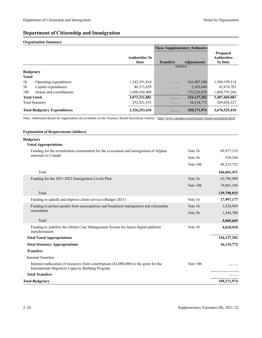# **Department of Citizenship and Immigration**

## **Organization Summary**

|                  |                                     |                               | <b>These Supplementary Estimates</b> |                    |                                                         |
|------------------|-------------------------------------|-------------------------------|--------------------------------------|--------------------|---------------------------------------------------------|
|                  |                                     | <b>Authorities To</b><br>Date | <b>Transfers</b>                     | <b>Adjustments</b> | <b>Proposed</b><br><b>Authorities</b><br><b>To Date</b> |
|                  |                                     |                               | (dollars)                            |                    |                                                         |
| <b>Budgetary</b> |                                     |                               |                                      |                    |                                                         |
| <b>Voted</b>     |                                     |                               |                                      |                    |                                                         |
| 1 <sub>b</sub>   | Operating expenditures              | 1,342,391,814                 | .                                    | 161,807,300        | 1,504,199,114                                           |
| 5b               | Capital expenditures                | 40,371,659                    | .                                    | 2,103,044          | 42,474,703                                              |
| 10 <sub>b</sub>  | Grants and contributions            | 1,690,568,408                 | .                                    | 170,226,858        | 1,860,795,266                                           |
|                  | <b>Total Voted</b>                  | 3,073,331,881                 | .                                    | 334, 137, 202      | 3,407,469,083                                           |
|                  | <b>Total Statutory</b>              | 252,921,555                   | .                                    | 16, 134, 772       | 269,056,327                                             |
|                  | <b>Total Budgetary Expenditures</b> | 3,326,253,436                 | .                                    | 350,271,974        | 3,676,525,410                                           |

Note: Additional details by organization are available on the Treasury Board Secretariat website -<http://www.canada.ca/en/treasury-board-secretariat.html>.

### **Explanation of Requirements (dollars)**

| <b>Budgetary</b>                                                                                                                              |                      |               |
|-----------------------------------------------------------------------------------------------------------------------------------------------|----------------------|---------------|
| <b>Voted Appropriations</b>                                                                                                                   |                      |               |
| Funding for the resettlement commitment for the evacuation and immigration of Afghan<br>nationals to Canada                                   | Vote 1b              | 69,877,335    |
|                                                                                                                                               | Vote 5b              | 558,344       |
|                                                                                                                                               | Vote 10b             | 96,225,752    |
| Total                                                                                                                                         |                      | 166,661,431   |
| Funding for the 2021-2023 Immigration Levels Plan                                                                                             | Vote 1b              | 65,796,909    |
|                                                                                                                                               | Vote 10b             | 74,001,106    |
| Total                                                                                                                                         |                      | 139,798,015   |
| Funding to uphold and improve client services (Budget 2021)                                                                                   | Vote 1b              | 17,997,177    |
| Funding to protect people from unscrupulous and fraudulent immigration and citizenship                                                        | Vote 1b              | 3,524,969     |
| consultants                                                                                                                                   | Vote 5b              | 1,544,700     |
| Total                                                                                                                                         |                      | 5,069,669     |
| Funding to stabilize the Global Case Management System for future digital platform<br>transformation                                          | Vote 1b              | 4,610,910     |
| <b>Total Voted Appropriations</b>                                                                                                             |                      | 334, 137, 202 |
| <b>Total Statutory Appropriations</b>                                                                                                         |                      | 16, 134, 772  |
| <b>Transfers</b>                                                                                                                              |                      |               |
| <b>Internal Transfers</b>                                                                                                                     |                      |               |
| Internal reallocation of resources from contributions (\$3,000,000) to the grant for the<br>International Migration Capacity Building Program | Vote 10 <sub>b</sub> |               |
| <b>Total Transfers</b>                                                                                                                        |                      |               |
| <b>Total Budgetary</b>                                                                                                                        |                      | 350,271,974   |
|                                                                                                                                               |                      |               |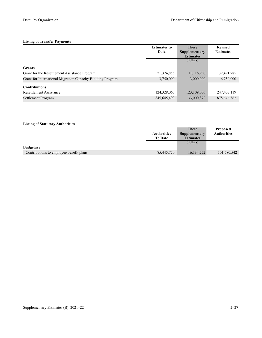|                                                             | <b>Estimates to</b> | <b>These</b>     | <b>Revised</b>   |
|-------------------------------------------------------------|---------------------|------------------|------------------|
|                                                             | Date                | Supplementary    | <b>Estimates</b> |
|                                                             |                     | <b>Estimates</b> |                  |
|                                                             |                     | (dollars)        |                  |
| <b>Grants</b>                                               |                     |                  |                  |
| Grant for the Resettlement Assistance Program               | 21,374,855          | 11,116,930       | 32,491,785       |
| Grant for International Migration Capacity Building Program | 3,750,000           | 3,000,000        | 6,750,000        |
| <b>Contributions</b>                                        |                     |                  |                  |
| Resettlement Assistance                                     | 124,328,063         | 123,109,056      | 247, 437, 119    |
| Settlement Program                                          | 845,645,490         | 33,000,872       | 878,646,362      |

|                                         |                    | <b>These</b>     | <b>Proposed</b>    |
|-----------------------------------------|--------------------|------------------|--------------------|
|                                         | <b>Authorities</b> | Supplementary    | <b>Authorities</b> |
|                                         | <b>To Date</b>     | <b>Estimates</b> |                    |
|                                         |                    | (dollars)        |                    |
| <b>Budgetary</b>                        |                    |                  |                    |
| Contributions to employee benefit plans | 85,445,770         | 16, 134, 772     | 101,580,542        |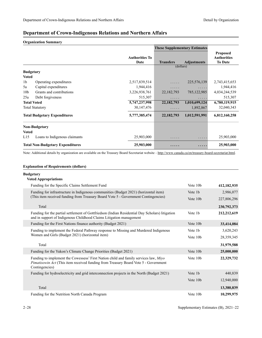# **Department of Crown-Indigenous Relations and Northern Affairs**

**Organization Summary**

|                 |                                         |                               | <b>These Supplementary Estimates</b> |                    |                                                         |
|-----------------|-----------------------------------------|-------------------------------|--------------------------------------|--------------------|---------------------------------------------------------|
|                 |                                         | <b>Authorities To</b><br>Date | <b>Transfers</b>                     | <b>Adjustments</b> | <b>Proposed</b><br><b>Authorities</b><br><b>To Date</b> |
|                 |                                         |                               | (dollars)                            |                    |                                                         |
|                 | <b>Budgetary</b>                        |                               |                                      |                    |                                                         |
| <b>Voted</b>    |                                         |                               |                                      |                    |                                                         |
| 1 <sub>b</sub>  | Operating expenditures                  | 2,517,839,514                 | .                                    | 225,576,139        | 2,743,415,653                                           |
| 5a              | Capital expenditures                    | 1,944,416                     | $\cdots$                             | .                  | 1,944,416                                               |
| 10 <sub>b</sub> | Grants and contributions                | 3,226,938,761                 | 22, 182, 793                         | 785, 122, 985      | 4,034,244,539                                           |
| 25a             | Debt forgiveness                        | 515,307                       | .                                    | .                  | 515,307                                                 |
|                 | <b>Total Voted</b>                      | 5,747,237,998                 | 22, 182, 793                         | 1,010,699,124      | 6,780,119,915                                           |
|                 | <b>Total Statutory</b>                  | 30, 147, 476                  | .                                    | 1,892,867          | 32,040,343                                              |
|                 | <b>Total Budgetary Expenditures</b>     | 5,777,385,474                 | 22, 182, 793                         | 1,012,591,991      | 6,812,160,258                                           |
|                 | <b>Non-Budgetary</b>                    |                               |                                      |                    |                                                         |
| <b>Voted</b>    |                                         |                               |                                      |                    |                                                         |
| L15             | Loans to Indigenous claimants           | 25,903,000                    | .                                    | .                  | 25,903,000                                              |
|                 | <b>Total Non-Budgetary Expenditures</b> | 25,903,000                    | .                                    | .                  | 25,903,000                                              |

Note: Additional details by organization are available on the Treasury Board Secretariat website -<http://www.canada.ca/en/treasury-board-secretariat.html>.

### **Explanation of Requirements (dollars)**

### **Budgetary**

| uugttal y<br><b>Voted Appropriations</b>                                                                                                                                                             |          |             |
|------------------------------------------------------------------------------------------------------------------------------------------------------------------------------------------------------|----------|-------------|
| Funding for the Specific Claims Settlement Fund                                                                                                                                                      | Vote 10b | 412,182,935 |
| Funding for infrastructure in Indigenous communities (Budget 2021) (horizontal item)                                                                                                                 | Vote 1b  | 2,986,077   |
| (This item received funding from Treasury Board Vote 5 - Government Contingencies)                                                                                                                   | Vote 10b | 227,806,296 |
| Total                                                                                                                                                                                                |          | 230,792,373 |
| Funding for the partial settlement of Gottfriedson (Indian Residential Day Scholars) litigation<br>and in support of Indigenous Childhood Claims Litigation management                               | Vote 1b  | 212,212,619 |
| Funding for the First Nations finance authority (Budget 2021)                                                                                                                                        | Vote 10b | 33,414,084  |
| Funding to implement the Federal Pathway response to Missing and Murdered Indigenous<br>Women and Girls (Budget 2021) (horizontal item)                                                              | Vote 1b  | 3,620,243   |
|                                                                                                                                                                                                      | Vote 10b | 28,359,345  |
| Total                                                                                                                                                                                                |          | 31,979,588  |
| Funding for the Yukon's Climate Change Priorities (Budget 2021)                                                                                                                                      | Vote 10b | 25,000,000  |
| Funding to implement the Cowessess' First Nation child and family services law, Miyo<br><i>Pimatisowin Act</i> (This item received funding from Treasury Board Vote 5 - Government<br>Contingencies) | Vote 10b | 22,329,732  |
| Funding for hydroelectricity and grid interconnection projects in the North (Budget 2021)                                                                                                            | Vote 1b  | 440,839     |
|                                                                                                                                                                                                      | Vote 10b | 12,940,000  |
| Total                                                                                                                                                                                                |          | 13,380,839  |
| Funding for the Nutrition North Canada Program                                                                                                                                                       | Vote 10b | 10,299,975  |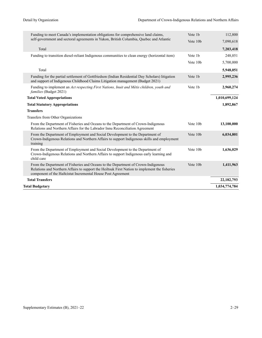| Funding to meet Canada's implementation obligations for comprehensive land claims,                                                                                                                                                                  |          | 112,800       |
|-----------------------------------------------------------------------------------------------------------------------------------------------------------------------------------------------------------------------------------------------------|----------|---------------|
| self-government and sectoral agreements in Yukon, British Columbia, Quebec and Atlantic                                                                                                                                                             | Vote 10b | 7,090,618     |
| Total                                                                                                                                                                                                                                               |          | 7,203,418     |
| Funding to transition diesel-reliant Indigenous communities to clean energy (horizontal item)                                                                                                                                                       | Vote 1b  | 248,051       |
|                                                                                                                                                                                                                                                     | Vote 10b | 5,700,000     |
| Total                                                                                                                                                                                                                                               |          | 5,948,051     |
| Funding for the partial settlement of Gottfriedson (Indian Residential Day Scholars) litigation<br>and support of Indigenous Childhood Claims Litigation management (Budget 2021)                                                                   | Vote 1b  | 2,995,236     |
| Funding to implement an Act respecting First Nations, Inuit and Métis children, youth and<br>families (Budget 2021)                                                                                                                                 | Vote 1b  | 2,960,274     |
| <b>Total Voted Appropriations</b>                                                                                                                                                                                                                   |          | 1,010,699,124 |
| <b>Total Statutory Appropriations</b>                                                                                                                                                                                                               |          | 1,892,867     |
| <b>Transfers</b>                                                                                                                                                                                                                                    |          |               |
| Transfers from Other Organizations                                                                                                                                                                                                                  |          |               |
| From the Department of Fisheries and Oceans to the Department of Crown-Indigenous<br>Relations and Northern Affairs for the Labrador Innu Reconciliation Agreement                                                                                  | Vote 10b | 13,100,000    |
| From the Department of Employment and Social Development to the Department of<br>Crown-Indigenous Relations and Northern Affairs to support Indigenous skills and employment<br>training                                                            | Vote 10b | 6,034,801     |
| From the Department of Employment and Social Development to the Department of<br>Crown-Indigenous Relations and Northern Affairs to support Indigenous early learning and<br>child care                                                             | Vote 10b | 1,636,029     |
| From the Department of Fisheries and Oceans to the Department of Crown-Indigenous<br>Relations and Northern Affairs to support the Heiltsuk First Nation to implement the fisheries<br>component of the Haiłcistut Incremental House Post Agreement | Vote 10b | 1,411,963     |
| <b>Total Transfers</b>                                                                                                                                                                                                                              |          | 22, 182, 793  |
| <b>Total Budgetary</b>                                                                                                                                                                                                                              |          | 1,034,774,784 |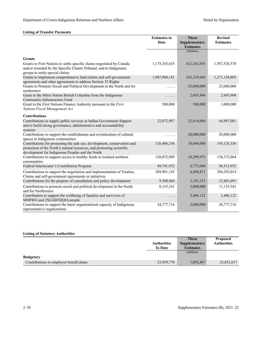|                                                                                                                                                                                                      | <b>Estimates to</b><br>Date | <b>These</b><br>Supplementary<br><b>Estimates</b> | <b>Revised</b><br><b>Estimates</b> |
|------------------------------------------------------------------------------------------------------------------------------------------------------------------------------------------------------|-----------------------------|---------------------------------------------------|------------------------------------|
|                                                                                                                                                                                                      |                             | (dollars)                                         |                                    |
| <b>Grants</b>                                                                                                                                                                                        |                             |                                                   |                                    |
| Grants to First Nations to settle specific claims negotiated by Canada<br>and/or awarded by the Specific Claims Tribunal, and to Indigenous<br>groups to settle special claims                       | 1,175,343,635               | 412,182,935                                       | 1,587,526,570                      |
| Grants to implement comprehensive land claims and self-government<br>agreements and other agreements to address Section 35 Rights                                                                    | 1,007,900,141               | 263,224,664                                       | 1,271,124,805                      |
| Grants to Promote Social and Political Development in the North and for<br>northerners                                                                                                               | .                           | 25,000,000                                        | 25,000,000                         |
| Grant to the Métis Nation British Columbia from the Indigenous<br>Community Infrastructure Fund                                                                                                      | .                           | 2,693,904                                         | 2,693,904                          |
| Grant to the First Nations Finance Authority pursuant to the First<br>Nations Fiscal Management Act                                                                                                  | 500,000                     | 500,000                                           | 1,000,000                          |
| <b>Contributions</b>                                                                                                                                                                                 |                             |                                                   |                                    |
| Contributions to supply public services in Indian Government Support<br>and to build strong governance, administrative and accountability<br>systems                                                 | 32,072,997                  | 32,914,084                                        | 64,987,081                         |
| Contributions to support the establishment and revitalization of cultural<br>spaces in Indigenous communities                                                                                        | .                           | 20,000,000                                        | 20,000,000                         |
| Contributions for promoting the safe use, development, conservation and<br>protection of the North's natural resources, and promoting scientific<br>development for Indigenous Peoples and the North | 126,486,336                 | 18,640,000                                        | 145, 126, 336                      |
| Contributions to support access to healthy foods in isolated northern<br>communities                                                                                                                 | 128,072,989                 | 10,299,975                                        | 138, 372, 964                      |
| Federal Interlocutor's Contribution Program                                                                                                                                                          | 49,741,952                  | 6,772,000                                         | 56,513,952                         |
| Contributions to support the negotiation and implementation of Treaties,<br>Claims and self-government agreements or initiatives                                                                     | 289,901,143                 | 4,490,871                                         | 294,392,014                        |
| Contributions for the purpose of consultation and policy development                                                                                                                                 | 9,300,468                   | 3,101,223                                         | 12,401,691                         |
| Contributions to promote social and political development in the North<br>and for Northerners                                                                                                        | 8,155,341                   | 3,000,000                                         | 11,155,341                         |
| Contribution to support the wellbeing of families and survivors of<br>MMIWG and 2SLGBTQQIA people                                                                                                    | .                           | 2,486,122                                         | 2,486,122                          |
| Contributions to support the basic organizational capacity of Indigenous<br>representative organizations                                                                                             | 24,777,716                  | 2,000,000                                         | 26,777,716                         |

|                                         |                    | <b>These</b>     | <b>Proposed</b>    |
|-----------------------------------------|--------------------|------------------|--------------------|
|                                         | <b>Authorities</b> | Supplementary    | <b>Authorities</b> |
|                                         | <b>To Date</b>     | <b>Estimates</b> |                    |
|                                         |                    | (dollars)        |                    |
| <b>Budgetary</b>                        |                    |                  |                    |
| Contributions to employee benefit plans | 23,959,770         | 1,892,867        | 25,852,637         |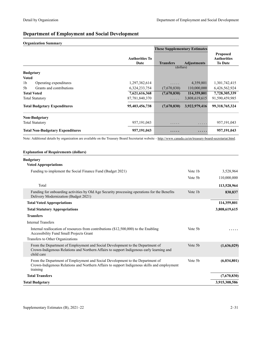# **Department of Employment and Social Development**

## **Organization Summary**

|                                          |                               | <b>These Supplementary Estimates</b> |                    |                                                         |
|------------------------------------------|-------------------------------|--------------------------------------|--------------------|---------------------------------------------------------|
|                                          | <b>Authorities To</b><br>Date | <b>Transfers</b>                     | <b>Adjustments</b> | <b>Proposed</b><br><b>Authorities</b><br><b>To Date</b> |
|                                          |                               | (dollars)                            |                    |                                                         |
| <b>Budgetary</b>                         |                               |                                      |                    |                                                         |
| <b>Voted</b>                             |                               |                                      |                    |                                                         |
| 1 <sub>b</sub><br>Operating expenditures | 1,297,382,614                 | .                                    | 4,359,801          | 1,301,742,415                                           |
| Grants and contributions<br>5h           | 6,324,233,754                 | (7,670,830)                          | 110,000,000        | 6,426,562,924                                           |
| <b>Total Voted</b>                       | 7,621,616,368                 | (7,670,830)                          | 114,359,801        | 7,728,305,339                                           |
| <b>Total Statutory</b>                   | 87,781,840,370                | .                                    | 3,808,619,615      | 91,590,459,985                                          |
| <b>Total Budgetary Expenditures</b>      | 95,403,456,738                | (7,670,830)                          | 3,922,979,416      | 99,318,765,324                                          |
| <b>Non-Budgetary</b>                     |                               |                                      |                    |                                                         |
| <b>Total Statutory</b>                   | 957, 191, 043                 | .                                    | .                  | 957, 191, 043                                           |
| <b>Total Non-Budgetary Expenditures</b>  | 957,191,043                   | $\cdot$                              | $\cdots$           | 957,191,043                                             |

Note: Additional details by organization are available on the Treasury Board Secretariat website -<http://www.canada.ca/en/treasury-board-secretariat.html>.

# **Explanation of Requirements (dollars)**

## **Budgetary**

## **Voted Appropriations**

| Vote 1b             | 3,528,964     |
|---------------------|---------------|
| Vote 5 <sub>b</sub> | 110,000,000   |
|                     | 113,528,964   |
| Vote 1b             | 830,837       |
|                     | 114,359,801   |
|                     | 3,808,619,615 |
|                     |               |
|                     |               |
| Vote 5 <sub>b</sub> |               |
|                     |               |
| Vote 5b             | (1,636,029)   |
| Vote 5 <sub>b</sub> | (6,034,801)   |
|                     | (7,670,830)   |
|                     | 3,915,308,586 |
|                     |               |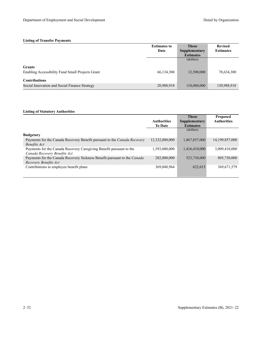|                                                  | <b>Estimates to</b> | <b>These</b>     | <b>Revised</b>   |
|--------------------------------------------------|---------------------|------------------|------------------|
|                                                  | Date                | Supplementary    | <b>Estimates</b> |
|                                                  |                     | <b>Estimates</b> |                  |
|                                                  |                     | (dollars)        |                  |
| <b>Grants</b>                                    |                     |                  |                  |
| Enabling Accessibility Fund Small Projects Grant | 66,134,300          | 12,500,000       | 78,634,300       |
| <b>Contributions</b>                             |                     |                  |                  |
| Social Innovation and Social Finance Strategy    | 20,988,918          | 110,000,000      | 130,988,918      |

|                                                                                 |                    | <b>These</b>         | <b>Proposed</b>    |
|---------------------------------------------------------------------------------|--------------------|----------------------|--------------------|
|                                                                                 | <b>Authorities</b> | <b>Supplementary</b> | <b>Authorities</b> |
|                                                                                 | <b>To Date</b>     | <b>Estimates</b>     |                    |
|                                                                                 |                    | (dollars)            |                    |
| <b>Budgetary</b>                                                                |                    |                      |                    |
| Payments for the Canada Recovery Benefit pursuant to the <i>Canada Recovery</i> | 12,332,000,000     | 1,867,857,000        | 14, 199, 857, 000  |
| Benefits Act                                                                    |                    |                      |                    |
| Payments for the Canada Recovery Caregiving Benefit pursuant to the             | 1,593,000,000      | 1,416,410,000        | 3,009,410,000      |
| Canada Recovery Benefits Act                                                    |                    |                      |                    |
| Payments for the Canada Recovery Sickness Benefit pursuant to the Canada        | 282,000,000        | 523,730,000          | 805,730,000        |
| Recovery Benefits Act                                                           |                    |                      |                    |
| Contributions to employee benefit plans                                         | 369,048,964        | 622,615              | 369,671,579        |
|                                                                                 |                    |                      |                    |
|                                                                                 |                    |                      |                    |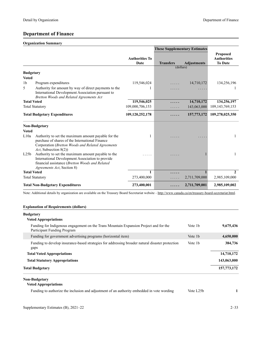# **Department of Finance**

## **Organization Summary**

|                    |                                                                                                                                                                                                 |                               | <b>These Supplementary Estimates</b> |                    |                                                         |
|--------------------|-------------------------------------------------------------------------------------------------------------------------------------------------------------------------------------------------|-------------------------------|--------------------------------------|--------------------|---------------------------------------------------------|
|                    |                                                                                                                                                                                                 | <b>Authorities To</b><br>Date | <b>Transfers</b>                     | <b>Adjustments</b> | <b>Proposed</b><br><b>Authorities</b><br><b>To Date</b> |
|                    |                                                                                                                                                                                                 |                               | (dollars)                            |                    |                                                         |
| <b>Budgetary</b>   |                                                                                                                                                                                                 |                               |                                      |                    |                                                         |
| <b>Voted</b>       |                                                                                                                                                                                                 |                               |                                      |                    |                                                         |
| 1b                 | Program expenditures                                                                                                                                                                            | 119,546,024                   |                                      | 14,710,172         | 134,256,196                                             |
| 5                  | Authority for amount by way of direct payments to the<br>International Development Association pursuant to<br>Bretton Woods and Related Agreements Act                                          |                               |                                      |                    |                                                         |
| <b>Total Voted</b> |                                                                                                                                                                                                 | 119,546,025                   | .                                    | 14,710,172         | 134,256,197                                             |
|                    | <b>Total Statutory</b>                                                                                                                                                                          | 109,000,706,153               | .                                    | 143,063,000        | 109, 143, 769, 153                                      |
|                    | <b>Total Budgetary Expenditures</b>                                                                                                                                                             | 109,120,252,178               |                                      | 157,773,172        | 109,278,025,350                                         |
|                    | <b>Non-Budgetary</b>                                                                                                                                                                            |                               |                                      |                    |                                                         |
| <b>Voted</b>       |                                                                                                                                                                                                 |                               |                                      |                    |                                                         |
| L10a               | Authority to set the maximum amount payable for the<br>purchase of shares of the International Finance<br>Corporation (Bretton Woods and Related Agreements<br>Act, Subsection 8(2))            |                               |                                      |                    | 1                                                       |
| L25 <sub>b</sub>   | Authority to set the maximum amount payable to the<br>International Development Association to provide<br>financial assistance (Bretton Woods and Related<br><i>Agreements Act</i> , Section 8) |                               |                                      |                    | 1                                                       |
| <b>Total Voted</b> |                                                                                                                                                                                                 | 1                             | .                                    | $\mathbf{1}$       | $\mathbf{2}$                                            |
|                    | <b>Total Statutory</b>                                                                                                                                                                          | 273,400,000                   |                                      | 2,711,709,000      | 2,985,109,000                                           |
|                    | <b>Total Non-Budgetary Expenditures</b>                                                                                                                                                         | 273,400,001                   |                                      | 2,711,709,001      | 2,985,109,002                                           |

Note: Additional details by organization are available on the Treasury Board Secretariat website -<http://www.canada.ca/en/treasury-board-secretariat.html>.

## **Explanation of Requirements (dollars)**

| <b>Budgetary</b><br><b>Voted Appropriations</b>                                                                      |                     |             |
|----------------------------------------------------------------------------------------------------------------------|---------------------|-------------|
| Funding for Indigenous engagement on the Trans Mountain Expansion Project and for the<br>Participant Funding Program | Vote 1 <sub>b</sub> | 9,675,436   |
| Funding for government advertising programs (horizontal item)                                                        | Vote 1b             | 4,650,000   |
| Funding to develop insurance-based strategies for addressing broader natural disaster protection<br>gaps             | Vote 1 <sub>b</sub> | 384,736     |
| <b>Total Voted Appropriations</b>                                                                                    |                     | 14,710,172  |
| <b>Total Statutory Appropriations</b>                                                                                |                     | 143,063,000 |
| <b>Total Budgetary</b>                                                                                               |                     | 157,773,172 |

# **Non-Budgetary**

| <b>Voted Appropriations</b>                                                                |           |  |
|--------------------------------------------------------------------------------------------|-----------|--|
| Funding to authorize the inclusion and adjustment of an authority embedded in vote wording | Vote L25b |  |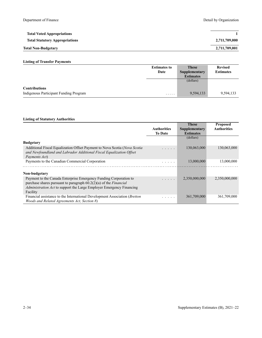| <b>Total Voted Appropriations</b>     |               |
|---------------------------------------|---------------|
| <b>Total Statutory Appropriations</b> | 2,711,709,000 |
| <b>Total Non-Budgetary</b>            | 2,711,709,001 |

|                                        | <b>Estimates to</b> | <b>These</b>     | <b>Revised</b>   |
|----------------------------------------|---------------------|------------------|------------------|
|                                        | Date                | Supplementary    | <b>Estimates</b> |
|                                        |                     | <b>Estimates</b> |                  |
|                                        |                     | (dollars)        |                  |
| <b>Contributions</b>                   |                     |                  |                  |
| Indigenous Participant Funding Program | .                   | 9,594,133        | 9,594,133        |

|                                                                             |                                                                                                                           | <b>These</b>     | <b>Proposed</b>    |
|-----------------------------------------------------------------------------|---------------------------------------------------------------------------------------------------------------------------|------------------|--------------------|
|                                                                             | <b>Authorities</b>                                                                                                        | Supplementary    | <b>Authorities</b> |
|                                                                             | <b>To Date</b>                                                                                                            | <b>Estimates</b> |                    |
|                                                                             |                                                                                                                           | (dollars)        |                    |
| <b>Budgetary</b>                                                            |                                                                                                                           |                  |                    |
| Additional Fiscal Equalization Offset Payment to Nova Scotia (Nova Scotia)  |                                                                                                                           | 130,063,000      | 130,063,000        |
| and Newfoundland and Labrador Additional Fiscal Equalization Offset         |                                                                                                                           |                  |                    |
| Payments Act)                                                               |                                                                                                                           |                  |                    |
| Payments to the Canadian Commercial Corporation                             | .                                                                                                                         | 13,000,000       | 13,000,000         |
|                                                                             |                                                                                                                           |                  |                    |
| Non-budgetary                                                               |                                                                                                                           |                  |                    |
| Payment to the Canada Enterprise Emergency Funding Corporation to           | .                                                                                                                         | 2,350,000,000    | 2,350,000,000      |
| purchase shares pursuant to paragraph $60.2(2)(a)$ of the <i>Financial</i>  |                                                                                                                           |                  |                    |
| <i>Administration Act</i> to support the Large Employer Emergency Financing |                                                                                                                           |                  |                    |
| Facility                                                                    |                                                                                                                           |                  |                    |
| Financial assistance to the International Development Association (Bretton  | $\begin{array}{cccccccccccccc} \bullet & \bullet & \bullet & \bullet & \bullet & \bullet & \bullet & \bullet \end{array}$ | 361,709,000      | 361,709,000        |
| <i>Woods and Related Agreements Act, Section 8)</i>                         |                                                                                                                           |                  |                    |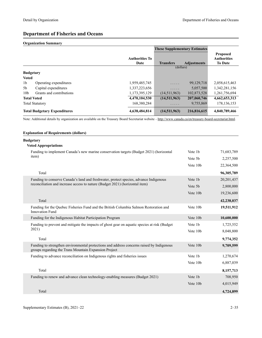# **Department of Fisheries and Oceans**

## **Organization Summary**

|                                     |                          |                               | <b>These Supplementary Estimates</b> |                    |                                                         |
|-------------------------------------|--------------------------|-------------------------------|--------------------------------------|--------------------|---------------------------------------------------------|
|                                     |                          | <b>Authorities To</b><br>Date | <b>Transfers</b>                     | <b>Adjustments</b> | <b>Proposed</b><br><b>Authorities</b><br><b>To Date</b> |
|                                     |                          |                               | (dollars)                            |                    |                                                         |
| <b>Budgetary</b>                    |                          |                               |                                      |                    |                                                         |
| <b>Voted</b>                        |                          |                               |                                      |                    |                                                         |
| 1 <sub>b</sub>                      | Operating expenditures   | 1,959,485,745                 | .                                    | 99,129,718         | 2,058,615,463                                           |
| 5 <sub>b</sub>                      | Capital expenditures     | 1,337,223,656                 | .                                    | 5,057,500          | 1,342,281,156                                           |
| 10 <sub>b</sub>                     | Grants and contributions | 1,173,395,129                 | (14,511,963)                         | 102,873,528        | 1,261,756,694                                           |
| <b>Total Voted</b>                  |                          | 4,470,104,530                 | (14,511,963)                         | 207,060,746        | 4,662,653,313                                           |
|                                     | <b>Total Statutory</b>   | 168,380,284                   | .                                    | 9,755,869          | 178, 136, 153                                           |
| <b>Total Budgetary Expenditures</b> |                          | 4,638,484,814                 | (14,511,963)                         | 216,816,615        | 4,840,789,466                                           |

Note: Additional details by organization are available on the Treasury Board Secretariat website -<http://www.canada.ca/en/treasury-board-secretariat.html>.

### **Explanation of Requirements (dollars)**

### **Budgetary**

## **Voted Appropriations**

| Funding to implement Canada's new marine conservation targets (Budget 2021) (horizontal                                                            | Vote 1b  | 71,683,789 |
|----------------------------------------------------------------------------------------------------------------------------------------------------|----------|------------|
| item)                                                                                                                                              | Vote 5b  | 2,257,500  |
|                                                                                                                                                    | Vote 10b | 22,364,500 |
| Total                                                                                                                                              |          | 96,305,789 |
| Funding to conserve Canada's land and freshwater, protect species, advance Indigenous                                                              | Vote 1b  | 20,201,437 |
| reconciliation and increase access to nature (Budget 2021) (horizontal item)                                                                       | Vote 5b  | 2,800,000  |
|                                                                                                                                                    | Vote 10b | 19,236,600 |
| Total                                                                                                                                              |          | 42,238,037 |
| Funding for the Quebec Fisheries Fund and the British Columbia Salmon Restoration and<br><b>Innovation Fund</b>                                    | Vote 10b | 19,511,912 |
| Funding for the Indigenous Habitat Participation Program                                                                                           | Vote 10b | 10,600,000 |
| Funding to prevent and mitigate the impacts of ghost gear on aquatic species at risk (Budget)                                                      | Vote 1b  | 1,725,552  |
| 2021)                                                                                                                                              | Vote 10b | 8,048,800  |
| Total                                                                                                                                              |          | 9,774,352  |
| Funding to strengthen environmental protections and address concerns raised by Indigenous<br>groups regarding the Trans Mountain Expansion Project | Vote 10b | 9,709,599  |
| Funding to advance reconciliation on Indigenous rights and fisheries issues                                                                        | Vote 1b  | 1,270,674  |
|                                                                                                                                                    | Vote 10b | 6,887,039  |
| Total                                                                                                                                              |          | 8,157,713  |
| Funding to renew and advance clean technology-enabling measures (Budget 2021)                                                                      | Vote 1b  | 708,950    |
|                                                                                                                                                    | Vote 10b | 4,015,949  |
| Total                                                                                                                                              |          | 4,724,899  |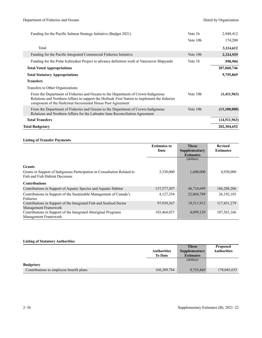| Funding for the Pacific Salmon Strategy Initiative (Budget 2021)                                                                                                                                                                                    | Vote 1 <sub>b</sub>  | 2,940,412    |
|-----------------------------------------------------------------------------------------------------------------------------------------------------------------------------------------------------------------------------------------------------|----------------------|--------------|
|                                                                                                                                                                                                                                                     | Vote 10 <sub>b</sub> | 174,200      |
| Total                                                                                                                                                                                                                                               |                      | 3,114,612    |
| Funding for the Pacific Integrated Commercial Fisheries Initiative                                                                                                                                                                                  | Vote 10b             | 2,324,929    |
| Funding for the Polar Icebreaker Project to advance definition work at Vancouver Shipyards                                                                                                                                                          | Vote 1b              | 598,904      |
| <b>Total Voted Appropriations</b>                                                                                                                                                                                                                   |                      | 207,060,746  |
| <b>Total Statutory Appropriations</b>                                                                                                                                                                                                               |                      | 9,755,869    |
| <b>Transfers</b>                                                                                                                                                                                                                                    |                      |              |
| Transfers to Other Organizations                                                                                                                                                                                                                    |                      |              |
| From the Department of Fisheries and Oceans to the Department of Crown-Indigenous<br>Relations and Northern Affairs to support the Heiltsuk First Nation to implement the fisheries<br>component of the Hailcistut Incremental House Post Agreement | Vote 10 <sub>b</sub> | (1,411,963)  |
| From the Department of Fisheries and Oceans to the Department of Crown-Indigenous<br>Relations and Northern Affairs for the Labrador Innu Reconciliation Agreement                                                                                  | Vote 10 <sub>b</sub> | (13,100,000) |
| <b>Total Transfers</b>                                                                                                                                                                                                                              |                      | (14,511,963) |
| <b>Total Budgetary</b>                                                                                                                                                                                                                              |                      | 202,304,652  |

|                                                                          | <b>Estimates to</b> | <b>These</b>     | <b>Revised</b>   |
|--------------------------------------------------------------------------|---------------------|------------------|------------------|
|                                                                          | Date                | Supplementary    | <b>Estimates</b> |
|                                                                          |                     | <b>Estimates</b> |                  |
|                                                                          |                     | (dollars)        |                  |
| <b>Grants</b>                                                            |                     |                  |                  |
| Grants in Support of Indigenous Participation in Consultation Related to | 3,330,000           | 1,600,000        | 4,930,000        |
| Fish and Fish Habitat Decisions                                          |                     |                  |                  |
| <b>Contributions</b>                                                     |                     |                  |                  |
| Contributions in Support of Aquatic Species and Aquatic Habitat          | 137,577,507         | 48,710,699       | 186,288,206      |
| Contributions in Support of the Sustainable Management of Canada's       | 4,127,354           | 22,064,749       | 26,192,103       |
| Fisheries                                                                |                     |                  |                  |
| Contributions in Support of the Integrated Fish and Seafood Sector       | 97,939,367          | 19,511,912       | 117,451,279      |
| Management Framework                                                     |                     |                  |                  |
| Contributions in Support of the Integrated Aboriginal Programs           | 103,464,037         | 4,099,129        | 107,563,166      |
| Management Framework                                                     |                     |                  |                  |

|                                         |                    | <b>These</b>     | <b>Proposed</b>    |
|-----------------------------------------|--------------------|------------------|--------------------|
|                                         | <b>Authorities</b> | Supplementary    | <b>Authorities</b> |
|                                         | <b>To Date</b>     | <b>Estimates</b> |                    |
|                                         |                    | (dollars)        |                    |
| <b>Budgetary</b>                        |                    |                  |                    |
| Contributions to employee benefit plans | 168,289,784        | 9,755,869        | 178,045,653        |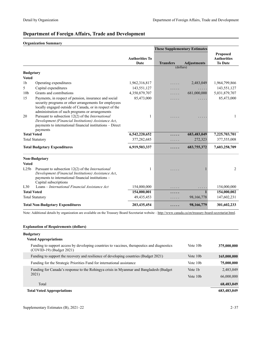# **Department of Foreign Affairs, Trade and Development**

## **Organization Summary**

|                    |                                                                                                                                                                                                                          |                               | <b>These Supplementary Estimates</b> |                    |                                      |
|--------------------|--------------------------------------------------------------------------------------------------------------------------------------------------------------------------------------------------------------------------|-------------------------------|--------------------------------------|--------------------|--------------------------------------|
|                    |                                                                                                                                                                                                                          |                               |                                      |                    | <b>Proposed</b>                      |
|                    |                                                                                                                                                                                                                          | <b>Authorities To</b><br>Date | <b>Transfers</b>                     | <b>Adjustments</b> | <b>Authorities</b><br><b>To Date</b> |
|                    |                                                                                                                                                                                                                          |                               | (dollars)                            |                    |                                      |
| <b>Budgetary</b>   |                                                                                                                                                                                                                          |                               |                                      |                    |                                      |
| <b>Voted</b>       |                                                                                                                                                                                                                          |                               |                                      |                    |                                      |
| 1 <sub>b</sub>     | Operating expenditures                                                                                                                                                                                                   | 1,962,316,817                 |                                      | 2,483,049          | 1,964,799,866                        |
| 5                  | Capital expenditures                                                                                                                                                                                                     | 143,551,127                   | .                                    | .                  | 143,551,127                          |
| 10 <sub>b</sub>    | Grants and contributions                                                                                                                                                                                                 | 4,350,879,707                 | .                                    | 681,000,000        | 5,031,879,707                        |
| 15                 | Payments, in respect of pension, insurance and social                                                                                                                                                                    | 85,473,000                    | $\cdots$                             | .                  | 85,473,000                           |
| 20                 | security programs or other arrangements for employees<br>locally engaged outside of Canada, or in respect of the<br>administration of such programs or arrangements<br>Pursuant to subsection 12(2) of the International | 1                             |                                      |                    | 1                                    |
|                    | Development (Financial Institutions) Assistance Act,<br>payments to international financial institutions - Direct<br>payments                                                                                            |                               |                                      |                    |                                      |
| <b>Total Voted</b> |                                                                                                                                                                                                                          | 6,542,220,652                 | .                                    | 683,483,049        | 7,225,703,701                        |
|                    | <b>Total Statutory</b>                                                                                                                                                                                                   | 377,282,685                   |                                      | 272,323            | 377,555,008                          |
|                    | <b>Total Budgetary Expenditures</b>                                                                                                                                                                                      | 6,919,503,337                 |                                      | 683,755,372        | 7,603,258,709                        |
|                    | <b>Non-Budgetary</b>                                                                                                                                                                                                     |                               |                                      |                    |                                      |
| <b>Voted</b>       |                                                                                                                                                                                                                          |                               |                                      |                    |                                      |
| L25 <sub>b</sub>   | Pursuant to subsection $12(2)$ of the <i>International</i><br>Development (Financial Institutions) Assistance Act,<br>payments to international financial institutions -<br>Capital subscriptions                        | 1                             |                                      |                    | 2                                    |
| L30                | Loans – International Financial Assistance Act                                                                                                                                                                           | 154,000,000                   |                                      |                    | 154,000,000                          |
| <b>Total Voted</b> |                                                                                                                                                                                                                          | 154,000,001                   | .                                    |                    | 154,000,002                          |
|                    | <b>Total Statutory</b>                                                                                                                                                                                                   | 49, 435, 453                  | .                                    | 98,166,778         | 147,602,231                          |
|                    | <b>Total Non-Budgetary Expenditures</b>                                                                                                                                                                                  | 203,435,454                   | .                                    | 98,166,779         | 301,602,233                          |

Note: Additional details by organization are available on the Treasury Board Secretariat website -<http://www.canada.ca/en/treasury-board-secretariat.html>.

### **Explanation of Requirements (dollars)**

## **Budgetary**

| <b>Voted Appropriations</b>                                                                                               |                      |             |
|---------------------------------------------------------------------------------------------------------------------------|----------------------|-------------|
| Funding to support access by developing countries to vaccines, therapeutics and diagnostics<br>$(COVID-19)$ (Budget 2021) | Vote 10 <sub>b</sub> | 375,000,000 |
| Funding to support the recovery and resilience of developing countries (Budget 2021)                                      | Vote 10 <sub>b</sub> | 165,000,000 |
| Funding for the Strategic Priorities Fund for international assistance                                                    | Vote 10 <sub>b</sub> | 75,000,000  |
| Funding for Canada's response to the Rohingya crisis in Myanmar and Bangladesh (Budget                                    | Vote 1b              | 2,483,049   |
| 2021)                                                                                                                     | Vote 10 <sub>b</sub> | 66,000,000  |
| Total                                                                                                                     |                      | 68,483,049  |
| <b>Total Voted Appropriations</b>                                                                                         |                      | 683,483,049 |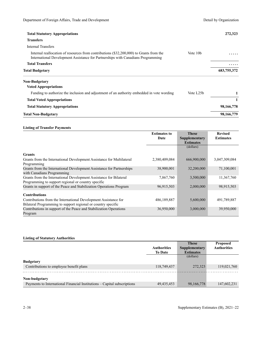| <b>Total Statutory Appropriations</b>                                                                                                                                       |                      | 272,323     |
|-----------------------------------------------------------------------------------------------------------------------------------------------------------------------------|----------------------|-------------|
| <b>Transfers</b>                                                                                                                                                            |                      |             |
| Internal Transfers                                                                                                                                                          |                      |             |
| Internal reallocation of resources from contributions (\$32,200,000) to Grants from the<br>International Development Assistance for Partnerships with Canadians Programming | Vote 10 <sub>b</sub> |             |
| <b>Total Transfers</b>                                                                                                                                                      |                      | .           |
| <b>Total Budgetary</b>                                                                                                                                                      |                      | 683,755,372 |
| Non-Budgetary                                                                                                                                                               |                      |             |
| <b>Voted Appropriations</b>                                                                                                                                                 |                      |             |
| Funding to authorize the inclusion and adjustment of an authority embedded in vote wording                                                                                  | Vote L25b            | 1           |
| <b>Total Voted Appropriations</b>                                                                                                                                           |                      |             |
| <b>Total Statutory Appropriations</b>                                                                                                                                       |                      | 98,166,778  |
| <b>Total Non-Budgetary</b>                                                                                                                                                  |                      | 98,166,779  |

|                                                                                                                           | <b>Estimates to</b> | <b>These</b>     | <b>Revised</b>   |
|---------------------------------------------------------------------------------------------------------------------------|---------------------|------------------|------------------|
|                                                                                                                           | Date                | Supplementary    | <b>Estimates</b> |
|                                                                                                                           |                     | <b>Estimates</b> |                  |
|                                                                                                                           |                     | (dollars)        |                  |
| <b>Grants</b>                                                                                                             |                     |                  |                  |
| Grants from the International Development Assistance for Multilateral<br>Programming                                      | 2,380,409,084       | 666,900,000      | 3,047,309,084    |
| Grants from the International Development Assistance for Partnerships<br>with Canadians Programming                       | 38,900,001          | 32,200,000       | 71,100,001       |
| Grants from the International Development Assistance for Bilateral<br>Programming to support regional or country specific | 7,867,760           | 3,500,000        | 11,367,760       |
| Grants in support of the Peace and Stabilization Operations Program                                                       | 96,915,503          | 2,000,000        | 98,915,503       |
| <b>Contributions</b>                                                                                                      |                     |                  |                  |
| Contributions from the International Development Assistance for                                                           | 486,189,887         | 5,600,000        | 491,789,887      |
| Bilateral Programming to support regional or country specific                                                             |                     |                  |                  |
| Contributions in support of the Peace and Stabilization Operations<br>Program                                             | 36,950,000          | 3,000,000        | 39,950,000       |

|                                                                          |                    | <b>These</b>     | <b>Proposed</b>    |
|--------------------------------------------------------------------------|--------------------|------------------|--------------------|
|                                                                          | <b>Authorities</b> | Supplementary    | <b>Authorities</b> |
|                                                                          | <b>To Date</b>     | <b>Estimates</b> |                    |
|                                                                          |                    | (dollars)        |                    |
| <b>Budgetary</b>                                                         |                    |                  |                    |
| Contributions to employee benefit plans                                  | 118,749,437        | 272,323          | 119,021,760        |
|                                                                          |                    |                  |                    |
| Non-budgetary                                                            |                    |                  |                    |
| Payments to International Financial Institutions – Capital subscriptions | 49, 435, 453       | 98,166,778       | 147,602,231        |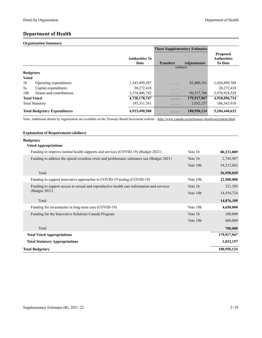# **Department of Health**

## **Organization Summary**

|                  |                                     |                               | <b>These Supplementary Estimates</b> |                    |                                                         |
|------------------|-------------------------------------|-------------------------------|--------------------------------------|--------------------|---------------------------------------------------------|
|                  |                                     | <b>Authorities To</b><br>Date | <b>Transfers</b>                     | <b>Adjustments</b> | <b>Proposed</b><br><b>Authorities</b><br><b>To Date</b> |
|                  |                                     |                               | (dollars)                            |                    |                                                         |
| <b>Budgetary</b> |                                     |                               |                                      |                    |                                                         |
| <b>Voted</b>     |                                     |                               |                                      |                    |                                                         |
| 1 <sub>b</sub>   | Operating expenditures              | 1,343,499,587                 | $\cdots$                             | 83,400,181         | 1,426,899,768                                           |
| 5a               | Capital expenditures                | 20,272,418                    | .                                    | .                  | 20,272,418                                              |
| 10 <sub>b</sub>  | Grants and contributions            | 3,374,406,742                 | .                                    | 96,517,786         | 3,470,924,528                                           |
|                  | <b>Total Voted</b>                  | 4,738,178,747                 | .                                    | 179,917,967        | 4,918,096,714                                           |
|                  | <b>Total Statutory</b>              | 185, 311, 761                 | .                                    | 1,032,157          | 186, 343, 918                                           |
|                  | <b>Total Budgetary Expenditures</b> | 4,923,490,508                 | .                                    | 180,950,124        | 5,104,440,632                                           |

Note: Additional details by organization are available on the Treasury Board Secretariat website -<http://www.canada.ca/en/treasury-board-secretariat.html>.

### **Explanation of Requirements (dollars)**

## **Budgetary**

## **Voted Appropriations**

| Funding to improve mental health supports and services (COVID-19) (Budget 2021)           | Vote 1b  | 80,233,809  |
|-------------------------------------------------------------------------------------------|----------|-------------|
| Funding to address the opioid overdose crisis and problematic substance use (Budget 2021) | Vote 1b  | 2,744,987   |
|                                                                                           | Vote 10b | 54,213,062  |
| Total                                                                                     |          | 56,958,049  |
| Funding to support innovative approaches to COVID-19 testing (COVID-19)                   | Vote 10b | 22,500,000  |
| Funding to support access to sexual and reproductive health care information and services | Vote 1b  | 321,385     |
| (Budget 2021)                                                                             | Vote 10b | 14,554,724  |
| Total                                                                                     |          | 14,876,109  |
| Funding for investments in long-term care (COVID-19)                                      | Vote 10b | 4,650,000   |
| Funding for the Innovative Solutions Canada Program                                       | Vote 1b  | 100,000     |
|                                                                                           | Vote 10b | 600,000     |
| Total                                                                                     |          | 700,000     |
| <b>Total Voted Appropriations</b>                                                         |          | 179,917,967 |
| <b>Total Statutory Appropriations</b>                                                     |          | 1,032,157   |
| Total Budgetary                                                                           |          | 180,950,124 |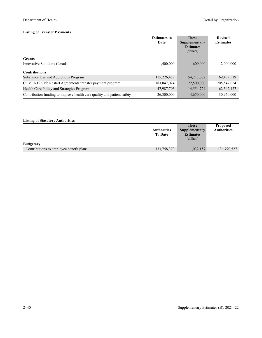|                                                                        | <b>Estimates to</b><br>Date | <b>These</b><br><b>Supplementary</b><br><b>Estimates</b> | <b>Revised</b><br><b>Estimates</b> |
|------------------------------------------------------------------------|-----------------------------|----------------------------------------------------------|------------------------------------|
|                                                                        |                             | (dollars)                                                |                                    |
| <b>Grants</b>                                                          |                             |                                                          |                                    |
| Innovative Solutions Canada                                            | 1,400,000                   | 600,000                                                  | 2,000,000                          |
| <b>Contributions</b>                                                   |                             |                                                          |                                    |
| Substance Use and Addictions Program                                   | 115,226,457                 | 54,213,062                                               | 169,439,519                        |
| COVID-19 Safe Restart Agreements transfer payment program              | 183,047,024                 | 22,500,000                                               | 205,547,024                        |
| Health Care Policy and Strategies Program                              | 47,987,703                  | 14,554,724                                               | 62,542,427                         |
| Contribution funding to improve health care quality and patient safety | 26,300,000                  | 4,650,000                                                | 30,950,000                         |

|                                         |                    | <b>These</b>     | <b>Proposed</b>    |
|-----------------------------------------|--------------------|------------------|--------------------|
|                                         | <b>Authorities</b> | Supplementary    | <b>Authorities</b> |
|                                         | <b>To Date</b>     | <b>Estimates</b> |                    |
|                                         |                    | (dollars)        |                    |
| <b>Budgetary</b>                        |                    |                  |                    |
| Contributions to employee benefit plans | 133,758,370        | 1,032,157        | 134,790,527        |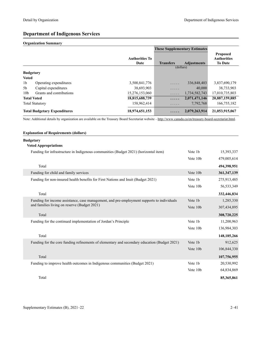# **Department of Indigenous Services**

## **Organization Summary**

|                  |                                     |                               | <b>These Supplementary Estimates</b> |                    |                                                         |
|------------------|-------------------------------------|-------------------------------|--------------------------------------|--------------------|---------------------------------------------------------|
|                  |                                     | <b>Authorities To</b><br>Date | <b>Transfers</b>                     | <b>Adjustments</b> | <b>Proposed</b><br><b>Authorities</b><br><b>To Date</b> |
|                  |                                     |                               | (dollars)                            |                    |                                                         |
| <b>Budgetary</b> |                                     |                               |                                      |                    |                                                         |
| <b>Voted</b>     |                                     |                               |                                      |                    |                                                         |
| 1 <sub>b</sub>   | Operating expenditures              | 3,500,841,776                 | .                                    | 336,848,403        | 3,837,690,179                                           |
| 5b               | Capital expenditures                | 38,693,903                    | .                                    | 40,000             | 38,733,903                                              |
| 10 <sub>b</sub>  | Grants and contributions            | 15,276,153,060                | .                                    | 1,734,582,743      | 17,010,735,803                                          |
|                  | <b>Total Voted</b>                  | 18,815,688,739                | .                                    | 2,071,471,146      | 20,887,159,885                                          |
|                  | <b>Total Statutory</b>              | 158,962,414                   | .                                    | 7.792.768          | 166,755,182                                             |
|                  | <b>Total Budgetary Expenditures</b> | 18,974,651,153                |                                      | 2,079,263,914      | 21,053,915,067                                          |

Note: Additional details by organization are available on the Treasury Board Secretariat website -<http://www.canada.ca/en/treasury-board-secretariat.html>.

### **Explanation of Requirements (dollars)**

# **Budgetary**

|  |  | <b>Voted Appropriations</b> |
|--|--|-----------------------------|
|--|--|-----------------------------|

| Funding for infrastructure in Indigenous communities (Budget 2021) (horizontal item)         | Vote 1b  | 15,393,337    |
|----------------------------------------------------------------------------------------------|----------|---------------|
|                                                                                              | Vote 10b | 479,005,614   |
| Total                                                                                        |          | 494,398,951   |
| Funding for child and family services                                                        | Vote 10b | 361, 347, 139 |
| Funding for non-insured health benefits for First Nations and Inuit (Budget 2021)            | Vote 1b  | 275,913,485   |
|                                                                                              | Vote 10b | 56,533,349    |
| Total                                                                                        |          | 332,446,834   |
| Funding for income assistance, case management, and pre-employment supports to individuals   | Vote 1b  | 1,285,330     |
| and families living on reserve (Budget 2021)                                                 | Vote 10b | 307,434,895   |
| Total                                                                                        |          | 308,720,225   |
| Funding for the continued implementation of Jordan's Principle                               | Vote 1b  | 11,200,963    |
|                                                                                              | Vote 10b | 136,984,303   |
| Total                                                                                        |          | 148, 185, 266 |
| Funding for the core funding refinements of elementary and secondary education (Budget 2021) | Vote 1b  | 912,625       |
|                                                                                              | Vote 10b | 106,844,330   |
| Total                                                                                        |          | 107,756,955   |
| Funding to improve health outcomes in Indigenous communities (Budget 2021)                   | Vote 1b  | 20,530,992    |
|                                                                                              | Vote 10b | 64,834,869    |
| Total                                                                                        |          | 85,365,861    |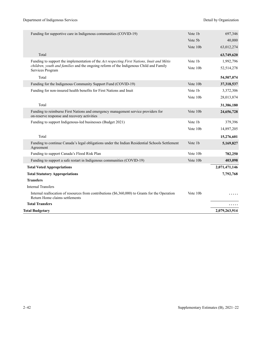| Funding for supportive care in Indigenous communities (COVID-19)                                                                  | Vote 1b  | 697,346       |
|-----------------------------------------------------------------------------------------------------------------------------------|----------|---------------|
|                                                                                                                                   | Vote 5b  | 40,000        |
|                                                                                                                                   | Vote 10b | 63,012,274    |
| Total                                                                                                                             |          | 63,749,620    |
| Funding to support the implementation of the Act respecting First Nations, Inuit and Métis                                        | Vote 1b  | 1,992,796     |
| children, youth and families and the ongoing reform of the Indigenous Child and Family<br>Services Program                        | Vote 10b | 52,514,278    |
| Total                                                                                                                             |          | 54,507,074    |
| Funding for the Indigenous Community Support Fund (COVID-19)                                                                      | Vote 10b | 37,318,537    |
| Funding for non-insured health benefits for First Nations and Inuit                                                               | Vote 1b  | 3,372,306     |
|                                                                                                                                   | Vote 10b | 28,013,874    |
| Total                                                                                                                             |          | 31,386,180    |
| Funding to reimburse First Nations and emergency management service providers for<br>on-reserve response and recovery activities  | Vote 10b | 24,656,728    |
| Funding to support Indigenous-led businesses (Budget 2021)                                                                        | Vote 1b  | 379,396       |
|                                                                                                                                   | Vote 10b | 14,897,205    |
| Total                                                                                                                             |          | 15,276,601    |
| Funding to continue Canada's legal obligations under the Indian Residential Schools Settlement<br>Agreement                       | Vote 1b  | 5,169,827     |
| Funding to support Canada's Flood Risk Plan                                                                                       | Vote 10b | 782,250       |
| Funding to support a safe restart in Indigenous communities (COVID-19)                                                            | Vote 10b | 403,098       |
| <b>Total Voted Appropriations</b>                                                                                                 |          | 2,071,471,146 |
| <b>Total Statutory Appropriations</b>                                                                                             |          | 7,792,768     |
| <b>Transfers</b>                                                                                                                  |          |               |
| <b>Internal Transfers</b>                                                                                                         |          |               |
| Internal reallocation of resources from contributions (\$6,360,000) to Grants for the Operation<br>Return Home claims settlements | Vote 10b |               |
| <b>Total Transfers</b>                                                                                                            |          |               |
| <b>Total Budgetary</b>                                                                                                            |          | 2,079,263,914 |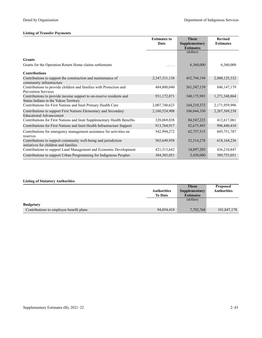|                                                                                                              | <b>Estimates to</b><br>Date | <b>These</b><br>Supplementary<br><b>Estimates</b> | <b>Revised</b><br><b>Estimates</b> |
|--------------------------------------------------------------------------------------------------------------|-----------------------------|---------------------------------------------------|------------------------------------|
|                                                                                                              |                             | (dollars)                                         |                                    |
| <b>Grants</b>                                                                                                |                             |                                                   |                                    |
| Grants for the Operation Return Home claims settlements                                                      |                             | 6,360,000                                         | 6,360,000                          |
| <b>Contributions</b>                                                                                         |                             |                                                   |                                    |
| Contributions to support the construction and maintenance of<br>community infrastructure                     | 2,347,331,138               | 452,794,194                                       | 2,800,125,332                      |
| Contributions to provide children and families with Protection and<br><b>Prevention Services</b>             | 484,800,040                 | 361, 347, 139                                     | 846, 147, 179                      |
| Contributions to provide income support to on-reserve residents and<br>Status Indians in the Yukon Territory | 931,172,871                 | 340,175,993                                       | 1,271,348,864                      |
| Contributions for First Nations and Inuit Primary Health Care                                                | 2,007,740,623               | 164,219,373                                       | 2,171,959,996                      |
| Contributions to support First Nations Elementary and Secondary<br><b>Educational Advancement</b>            | 2,160,524,908               | 106,844,330                                       | 2, 267, 369, 238                   |
| Contributions for First Nations and Inuit Supplementary Health Benefits                                      | 328,069,838                 | 84, 547, 223                                      | 412,617,061                        |
| Contributions for First Nations and Inuit Health Infrastructure Support                                      | 913,764,917                 | 82,675,493                                        | 996,440,410                        |
| Contributions for emergency management assistance for activities on<br>reserves                              | 542,994,272                 | 62,757,515                                        | 605,751,787                        |
| Contributions to support community well-being and jurisdiction<br>initiatives for children and families      | 565,649,958                 | 52, 514, 278                                      | 618, 164, 236                      |
| Contributions to support Land Management and Economic Development                                            | 421,313,642                 | 14,897,205                                        | 436,210,847                        |
| Contributions to support Urban Programming for Indigenous Peoples                                            | 384, 303, 051               | 5,450,000                                         | 389,753,051                        |

|                                         |                    | <b>These</b>     | <b>Proposed</b>    |
|-----------------------------------------|--------------------|------------------|--------------------|
|                                         | <b>Authorities</b> | Supplementary    | <b>Authorities</b> |
|                                         | <b>To Date</b>     | <b>Estimates</b> |                    |
|                                         |                    | (dollars)        |                    |
| <b>Budgetary</b>                        |                    |                  |                    |
| Contributions to employee benefit plans | 94,054,410         | 7,792,768        | 101,847,178        |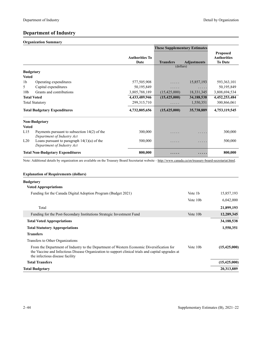# **Department of Industry**

# **Organization Summary**

|                    |                                                                              |                               | <b>These Supplementary Estimates</b> |                    |                                                         |
|--------------------|------------------------------------------------------------------------------|-------------------------------|--------------------------------------|--------------------|---------------------------------------------------------|
|                    |                                                                              | <b>Authorities To</b><br>Date | <b>Transfers</b>                     | <b>Adjustments</b> | <b>Proposed</b><br><b>Authorities</b><br><b>To Date</b> |
|                    |                                                                              |                               | (dollars)                            |                    |                                                         |
| <b>Budgetary</b>   |                                                                              |                               |                                      |                    |                                                         |
| <b>Voted</b>       |                                                                              |                               |                                      |                    |                                                         |
| 1 <sub>b</sub>     | Operating expenditures                                                       | 577,505,908                   | 1.1.1.1                              | 15,857,193         | 593, 363, 101                                           |
| 5                  | Capital expenditures                                                         | 50,195,849                    | .                                    | $\cdots$           | 50,195,849                                              |
| 10 <sub>b</sub>    | Grants and contributions                                                     | 3,805,788,189                 | (15,425,000)                         | 18,331,345         | 3,808,694,534                                           |
| <b>Total Voted</b> |                                                                              | 4,433,489,946                 | (15, 425, 000)                       | 34,188,538         | 4,452,253,484                                           |
|                    | <b>Total Statutory</b>                                                       | 299, 315, 710                 | .                                    | 1,550,351          | 300,866,061                                             |
|                    | <b>Total Budgetary Expenditures</b>                                          | 4,732,805,656                 | (15, 425, 000)                       | 35,738,889         | 4,753,119,545                                           |
|                    | <b>Non-Budgetary</b>                                                         |                               |                                      |                    |                                                         |
| <b>Voted</b>       |                                                                              |                               |                                      |                    |                                                         |
| L15                | Payments pursuant to subsection $14(2)$ of the<br>Department of Industry Act | 300,000                       | .                                    | .                  | 300,000                                                 |
| L20                | Loans pursuant to paragraph $14(1)(a)$ of the<br>Department of Industry Act  | 500,000                       | .                                    | .                  | 500,000                                                 |
|                    | <b>Total Non-Budgetary Expenditures</b>                                      | 800,000                       | .                                    | $\cdots$           | 800,000                                                 |

Note: Additional details by organization are available on the Treasury Board Secretariat website -<http://www.canada.ca/en/treasury-board-secretariat.html>.

# **Explanation of Requirements (dollars)**

| Budgetary                                                                                                                                                                                                                          |                      |                |
|------------------------------------------------------------------------------------------------------------------------------------------------------------------------------------------------------------------------------------|----------------------|----------------|
| <b>Voted Appropriations</b>                                                                                                                                                                                                        |                      |                |
| Funding for the Canada Digital Adoption Program (Budget 2021)                                                                                                                                                                      | Vote 1 <sub>b</sub>  | 15,857,193     |
|                                                                                                                                                                                                                                    | Vote 10 <sub>b</sub> | 6,042,000      |
| Total                                                                                                                                                                                                                              |                      | 21,899,193     |
| Funding for the Post-Secondary Institutions Strategic Investment Fund                                                                                                                                                              | Vote 10 <sub>b</sub> | 12,289,345     |
| <b>Total Voted Appropriations</b>                                                                                                                                                                                                  |                      | 34,188,538     |
| <b>Total Statutory Appropriations</b>                                                                                                                                                                                              |                      | 1,550,351      |
| <b>Transfers</b>                                                                                                                                                                                                                   |                      |                |
| Transfers to Other Organizations                                                                                                                                                                                                   |                      |                |
| From the Department of Industry to the Department of Western Economic Diversification for<br>the Vaccine and Infectious Disease Organization to support clinical trials and capital upgrades at<br>the infectious disease facility | Vote 10 <sub>b</sub> | (15, 425, 000) |
| <b>Total Transfers</b>                                                                                                                                                                                                             |                      | (15, 425, 000) |
| Total Budgetarv                                                                                                                                                                                                                    |                      | 20,313,889     |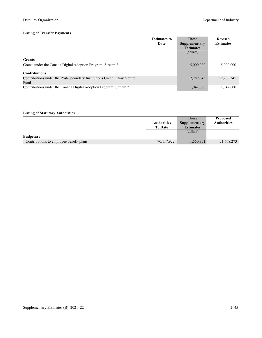|                                                                                  | <b>Estimates to</b> | <b>These</b>     | <b>Revised</b>   |
|----------------------------------------------------------------------------------|---------------------|------------------|------------------|
|                                                                                  | Date                | Supplementary    | <b>Estimates</b> |
|                                                                                  |                     | <b>Estimates</b> |                  |
|                                                                                  |                     | (dollars)        |                  |
| <b>Grants</b>                                                                    |                     |                  |                  |
| Grants under the Canada Digital Adoption Program: Stream 2                       | .                   | 5,000,000        | 5,000,000        |
| <b>Contributions</b>                                                             |                     |                  |                  |
| Contributions under the Post-Secondary Institutions Green Infrastructure<br>Fund | .                   | 12,289,345       | 12,289,345       |
| Contributions under the Canada Digital Adoption Program: Stream 2                | .                   | 1,042,000        | 1.042.000        |

|                                         |                    | <b>These</b>         | <b>Proposed</b>    |
|-----------------------------------------|--------------------|----------------------|--------------------|
|                                         | <b>Authorities</b> | <b>Supplementary</b> | <b>Authorities</b> |
|                                         | <b>To Date</b>     | <b>Estimates</b>     |                    |
|                                         |                    | (dollars)            |                    |
| <b>Budgetary</b>                        |                    |                      |                    |
| Contributions to employee benefit plans | 70,117,922         | 1,550,351            | 71,668,273         |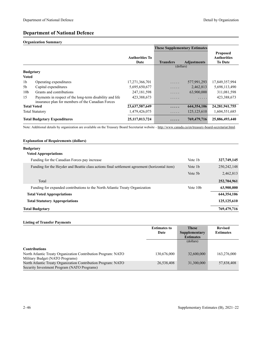# **Department of National Defence**

# **Organization Summary**

|                    |                                                                                                               |                               | <b>These Supplementary Estimates</b> |                    |                                                         |
|--------------------|---------------------------------------------------------------------------------------------------------------|-------------------------------|--------------------------------------|--------------------|---------------------------------------------------------|
|                    |                                                                                                               | <b>Authorities To</b><br>Date | <b>Transfers</b>                     | <b>Adjustments</b> | <b>Proposed</b><br><b>Authorities</b><br><b>To Date</b> |
| <b>Budgetary</b>   |                                                                                                               |                               | (dollars)                            |                    |                                                         |
| <b>Voted</b>       |                                                                                                               |                               |                                      |                    |                                                         |
| 1b                 | Operating expenditures                                                                                        | 17,271,366,701                | .                                    | 577,991,293        | 17,849,357,994                                          |
| 5b                 | Capital expenditures                                                                                          | 5,695,650,677                 | .                                    | 2,462,813          | 5,698,113,490                                           |
| 10 <sub>b</sub>    | Grants and contributions                                                                                      | 247, 181, 598                 | .                                    | 63,900,000         | 311,081,598                                             |
| 15                 | Payments in respect of the long-term disability and life<br>insurance plan for members of the Canadian Forces | 423,388,673                   | .                                    | .                  | 423,388,673                                             |
| <b>Total Voted</b> |                                                                                                               | 23, 637, 587, 649             | .                                    | 644, 354, 106      | 24, 281, 941, 755                                       |
|                    | <b>Total Statutory</b>                                                                                        | 1,479,426,075                 | .                                    | 125, 125, 610      | 1,604,551,685                                           |
|                    | <b>Total Budgetary Expenditures</b>                                                                           | 25, 117, 013, 724             | .                                    | 769,479,716        | 25,886,493,440                                          |

Note: Additional details by organization are available on the Treasury Board Secretariat website -<http://www.canada.ca/en/treasury-board-secretariat.html>.

### **Explanation of Requirements (dollars)**

### **Budgetary**

| 327,749,145<br>250, 242, 148<br>2,462,813 |
|-------------------------------------------|
|                                           |
|                                           |
|                                           |
| 252,704,961                               |
| 63,900,000                                |
| 644, 354, 106                             |
| 125, 125, 610                             |
| 769,479,716                               |
|                                           |

### **Listing of Transfer Payments**

|                                                                                                              | <b>Estimates to</b> | <b>These</b>     | <b>Revised</b>   |
|--------------------------------------------------------------------------------------------------------------|---------------------|------------------|------------------|
|                                                                                                              | Date                | Supplementary    | <b>Estimates</b> |
|                                                                                                              |                     | <b>Estimates</b> |                  |
|                                                                                                              |                     | (dollars)        |                  |
| <b>Contributions</b>                                                                                         |                     |                  |                  |
| North Atlantic Treaty Organization Contribution Program: NATO<br>Military Budget (NATO Programs)             | 130,676,000         | 32,600,000       | 163,276,000      |
| North Atlantic Treaty Organization Contribution Program: NATO<br>Security Investment Program (NATO Programs) | 26,538,408          | 31,300,000       | 57,838,408       |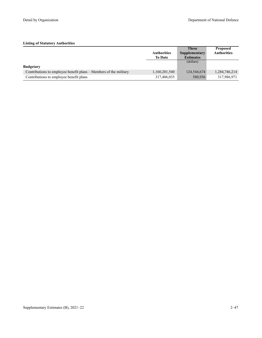|                                                                   |                    | <b>These</b>     | <b>Proposed</b>    |
|-------------------------------------------------------------------|--------------------|------------------|--------------------|
|                                                                   | <b>Authorities</b> | Supplementary    | <b>Authorities</b> |
|                                                                   | <b>To Date</b>     | <b>Estimates</b> |                    |
|                                                                   |                    | (dollars)        |                    |
| <b>Budgetary</b>                                                  |                    |                  |                    |
| Contributions to employee benefit plans – Members of the military | 1,160,201,540      | 124,544,674      | 1,284,746,214      |
| Contributions to employee benefit plans                           | 317,406,035        | 580,936          | 317,986,971        |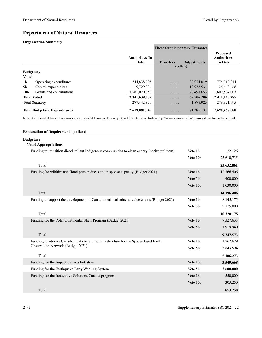# **Department of Natural Resources**

# **Organization Summary**

|                  |                                     |                               | <b>These Supplementary Estimates</b> |                    |                                                         |
|------------------|-------------------------------------|-------------------------------|--------------------------------------|--------------------|---------------------------------------------------------|
|                  |                                     | <b>Authorities To</b><br>Date | <b>Transfers</b>                     | <b>Adjustments</b> | <b>Proposed</b><br><b>Authorities</b><br><b>To Date</b> |
|                  |                                     |                               | (dollars)                            |                    |                                                         |
| <b>Budgetary</b> |                                     |                               |                                      |                    |                                                         |
| <b>Voted</b>     |                                     |                               |                                      |                    |                                                         |
| 1 <sub>b</sub>   | Operating expenditures              | 744,838,795                   | .                                    | 30,074,019         | 774,912,814                                             |
| 5b               | Capital expenditures                | 15,729,934                    | .                                    | 10,938,534         | 26,668,468                                              |
| 10 <sub>b</sub>  | Grants and contributions            | 1,581,070,350                 | $\cdots$                             | 28,493,653         | 1,609,564,003                                           |
|                  | <b>Total Voted</b>                  | 2,341,639,079                 | .                                    | 69,506,206         | 2,411,145,285                                           |
|                  | <b>Total Statutory</b>              | 277,442,870                   | .                                    | 1,878,925          | 279, 321, 795                                           |
|                  | <b>Total Budgetary Expenditures</b> | 2,619,081,949                 | $\cdots\cdots$                       | 71,385,131         | 2,690,467,080                                           |

Note: Additional details by organization are available on the Treasury Board Secretariat website -<http://www.canada.ca/en/treasury-board-secretariat.html>.

## **Explanation of Requirements (dollars)**

# **Budgetary**

# **Voted Appropriations**

| Funding to transition diesel-reliant Indigenous communities to clean energy (horizontal item) | Vote 1b  | 22,126     |
|-----------------------------------------------------------------------------------------------|----------|------------|
|                                                                                               | Vote 10b | 23,610,735 |
| Total                                                                                         |          | 23,632,861 |
| Funding for wildfire and flood preparedness and response capacity (Budget 2021)               | Vote 1b  | 12,766,406 |
|                                                                                               | Vote 5b  | 400,000    |
|                                                                                               | Vote 10b | 1,030,000  |
| Total                                                                                         |          | 14,196,406 |
| Funding to support the development of Canadian critical mineral value chains (Budget 2021)    | Vote 1b  | 8,145,175  |
|                                                                                               | Vote 5b  | 2,175,000  |
| Total                                                                                         |          | 10,320,175 |
| Funding for the Polar Continental Shelf Program (Budget 2021)                                 | Vote 1b  | 7,327,633  |
|                                                                                               | Vote 5b  | 1,919,940  |
| Total                                                                                         |          | 9,247,573  |
| Funding to address Canadian data receiving infrastructure for the Space-Based Earth           | Vote 1b  | 1,262,679  |
| <b>Observation Network (Budget 2021)</b>                                                      | Vote 5b  | 3,843,594  |
| Total                                                                                         |          | 5,106,273  |
| Funding for the Impact Canada Initiative                                                      | Vote 10b | 3,549,668  |
| Funding for the Earthquake Early Warning System                                               | Vote 5b  | 2,600,000  |
| Funding for the Innovative Solutions Canada program                                           | Vote 1b  | 550,000    |
|                                                                                               | Vote 10b | 303,250    |
| Total                                                                                         |          | 853,250    |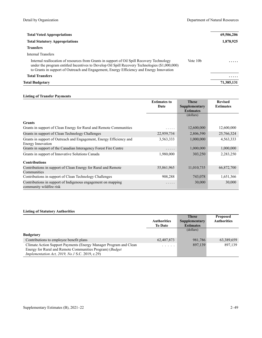| <b>Total Voted Appropriations</b>                                                                                                                                                                                                                                                        |                      | 69,506,206 |
|------------------------------------------------------------------------------------------------------------------------------------------------------------------------------------------------------------------------------------------------------------------------------------------|----------------------|------------|
| <b>Total Statutory Appropriations</b>                                                                                                                                                                                                                                                    |                      | 1,878,925  |
| <b>Transfers</b>                                                                                                                                                                                                                                                                         |                      |            |
| Internal Transfers                                                                                                                                                                                                                                                                       |                      |            |
| Internal reallocation of resources from Grants in support of Oil Spill Recovery Technology<br>under the program entitled Incentives to Develop Oil Spill Recovery Technologies (\$1,000,000)<br>to Grants in support of Outreach and Engagement, Energy Efficiency and Energy Innovation | Vote 10 <sub>b</sub> | .          |
| <b>Total Transfers</b>                                                                                                                                                                                                                                                                   |                      | .          |
| Total Budgetarv                                                                                                                                                                                                                                                                          |                      | 71,385,131 |

#### **Listing of Transfer Payments**

|                                                                                          | <b>Estimates to</b><br>Date | <b>These</b><br>Supplementary<br><b>Estimates</b> | <b>Revised</b><br><b>Estimates</b> |
|------------------------------------------------------------------------------------------|-----------------------------|---------------------------------------------------|------------------------------------|
|                                                                                          |                             | (dollars)                                         |                                    |
| <b>Grants</b>                                                                            |                             |                                                   |                                    |
| Grants in support of Clean Energy for Rural and Remote Communities                       | .                           | 12,600,000                                        | 12,600,000                         |
| Grants in support of Clean Technology Challenges                                         | 22,959,734                  | 2,806,590                                         | 25,766,324                         |
| Grants in support of Outreach and Engagement, Energy Efficiency and<br>Energy Innovation | 3,563,333                   | 1,000,000                                         | 4,563,333                          |
| Grants in support of the Canadian Interagency Forest Fire Centre                         | .                           | 1,000,000                                         | 1,000,000                          |
| Grants in support of Innovative Solutions Canada                                         | 1,980,000                   | 303,250                                           | 2,283,250                          |
| <b>Contributions</b>                                                                     |                             |                                                   |                                    |
| Contributions in support of Clean Energy for Rural and Remote<br>Communities             | 55,861,965                  | 11,010,735                                        | 66,872,700                         |
| Contributions in support of Clean Technology Challenges                                  | 908,288                     | 743,078                                           | 1,651,366                          |
| Contributions in support of Indigenous engagement on mapping<br>community wildfire risk  | .                           | 30,000                                            | 30,000                             |

|                                                                                                                                |                                                                                                                           | <b>These</b>     | <b>Proposed</b>    |
|--------------------------------------------------------------------------------------------------------------------------------|---------------------------------------------------------------------------------------------------------------------------|------------------|--------------------|
|                                                                                                                                | <b>Authorities</b>                                                                                                        | Supplementary    | <b>Authorities</b> |
|                                                                                                                                | <b>To Date</b>                                                                                                            | <b>Estimates</b> |                    |
|                                                                                                                                |                                                                                                                           | (dollars)        |                    |
| <b>Budgetary</b>                                                                                                               |                                                                                                                           |                  |                    |
| Contributions to employee benefit plans                                                                                        | 62,407,873                                                                                                                | 981,786          | 63,389,659         |
| Climate Action Support Payments (Energy Manager Program and Clean<br>Energy for Rural and Remote Communities Program) (Budget) | $\begin{array}{cccccccccccccc} \bullet & \bullet & \bullet & \bullet & \bullet & \bullet & \bullet & \bullet \end{array}$ | 897,139          | 897,139            |
| <i>Implementation Act, 2019, No.1 S.C. 2019, c.29)</i>                                                                         |                                                                                                                           |                  |                    |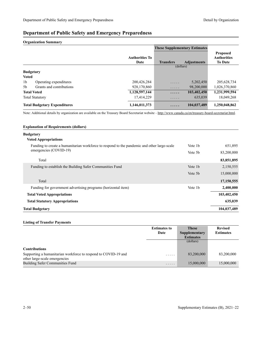### **Department of Public Safety and Emergency Preparedness**

#### **Organization Summary**

|                                            |                               | <b>These Supplementary Estimates</b> |                    |                                                         |
|--------------------------------------------|-------------------------------|--------------------------------------|--------------------|---------------------------------------------------------|
|                                            | <b>Authorities To</b><br>Date | <b>Transfers</b>                     | <b>Adjustments</b> | <b>Proposed</b><br><b>Authorities</b><br><b>To Date</b> |
|                                            |                               | (dollars)                            |                    |                                                         |
| <b>Budgetary</b>                           |                               |                                      |                    |                                                         |
| <b>Voted</b>                               |                               |                                      |                    |                                                         |
| 1 <sub>b</sub><br>Operating expenditures   | 200,426,284                   | .                                    | 5,202,450          | 205, 628, 734                                           |
| Grants and contributions<br>5 <sub>b</sub> | 928,170,860                   | .                                    | 98,200,000         | 1,026,370,860                                           |
| <b>Total Voted</b>                         | 1,128,597,144                 | .                                    | 103,402,450        | 1,231,999,594                                           |
| <b>Total Statutory</b>                     | 17,414,229                    | .                                    | 635,039            | 18,049,268                                              |
| <b>Total Budgetary Expenditures</b>        | 1,146,011,373                 | .                                    | 104,037,489        | 1,250,048,862                                           |

Note: Additional details by organization are available on the Treasury Board Secretariat website -<http://www.canada.ca/en/treasury-board-secretariat.html>.

| <b>Explanation of Requirements (dollars)</b>                                                                          |         |             |
|-----------------------------------------------------------------------------------------------------------------------|---------|-------------|
| <b>Budgetary</b><br><b>Voted Appropriations</b>                                                                       |         |             |
| Funding to create a humanitarian workforce to respond to the pandemic and other large-scale<br>emergencies (COVID-19) | Vote 1b | 651,895     |
|                                                                                                                       | Vote 5b | 83,200,000  |
| Total                                                                                                                 |         | 83,851,895  |
| Funding to establish the Building Safer Communities Fund                                                              | Vote 1b | 2,150,555   |
|                                                                                                                       | Vote 5b | 15,000,000  |
| Total                                                                                                                 |         | 17,150,555  |
| Funding for government advertising programs (horizontal item)                                                         | Vote 1b | 2,400,000   |
| <b>Total Voted Appropriations</b>                                                                                     |         | 103,402,450 |
| <b>Total Statutory Appropriations</b>                                                                                 |         | 635,039     |
| <b>Total Budgetary</b>                                                                                                |         | 104,037,489 |

#### **Listing of Transfer Payments**

|                                                                | <b>Estimates to</b> | <b>These</b>     | <b>Revised</b>   |
|----------------------------------------------------------------|---------------------|------------------|------------------|
|                                                                | Date                | Supplementary    | <b>Estimates</b> |
|                                                                |                     | <b>Estimates</b> |                  |
|                                                                |                     | (dollars)        |                  |
| <b>Contributions</b>                                           |                     |                  |                  |
| Supporting a humanitarian workforce to respond to COVID-19 and | .                   | 83,200,000       | 83,200,000       |
| other large-scale emergencies                                  |                     |                  |                  |
| <b>Building Safer Communities Fund</b>                         | .                   | 15,000,000       | 15,000,000       |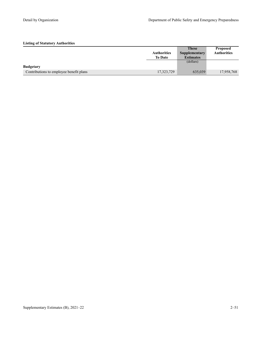|                                         |                    | <b>These</b>     | <b>Proposed</b>    |
|-----------------------------------------|--------------------|------------------|--------------------|
|                                         | <b>Authorities</b> | Supplementary    | <b>Authorities</b> |
|                                         | <b>To Date</b>     | <b>Estimates</b> |                    |
|                                         |                    | (dollars)        |                    |
| <b>Budgetary</b>                        |                    |                  |                    |
| Contributions to employee benefit plans | 17,323,729         | 635,039          | 17,958,768         |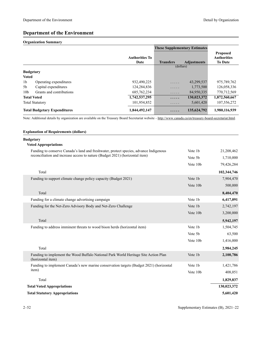### **Department of the Environment**

#### **Organization Summary**

|                  |                                     |                               | <b>These Supplementary Estimates</b> |                    |                                                         |
|------------------|-------------------------------------|-------------------------------|--------------------------------------|--------------------|---------------------------------------------------------|
|                  |                                     | <b>Authorities To</b><br>Date | <b>Transfers</b>                     | <b>Adjustments</b> | <b>Proposed</b><br><b>Authorities</b><br><b>To Date</b> |
|                  |                                     |                               | (dollars)                            |                    |                                                         |
| <b>Budgetary</b> |                                     |                               |                                      |                    |                                                         |
| <b>Voted</b>     |                                     |                               |                                      |                    |                                                         |
| 1 <sub>b</sub>   | Operating expenditures              | 932,490,225                   | .                                    | 43,299,537         | 975,789,762                                             |
| 5b               | Capital expenditures                | 124,284,836                   | .                                    | 1,773,500          | 126,058,336                                             |
| 10 <sub>b</sub>  | Grants and contributions            | 685, 762, 234                 | .                                    | 84,950,335         | 770,712,569                                             |
|                  | <b>Total Voted</b>                  | 1,742,537,295                 | .                                    | 130,023,372        | 1,872,560,667                                           |
|                  | <b>Total Statutory</b>              | 101,954,852                   | .                                    | 5,601,420          | 107,556,272                                             |
|                  | <b>Total Budgetary Expenditures</b> | 1,844,492,147                 | .                                    | 135,624,792        | 1,980,116,939                                           |

Note: Additional details by organization are available on the Treasury Board Secretariat website -<http://www.canada.ca/en/treasury-board-secretariat.html>.

#### **Explanation of Requirements (dollars)**

| <b>Budgetary</b><br><b>Voted Appropriations</b>                                                          |          |             |
|----------------------------------------------------------------------------------------------------------|----------|-------------|
| Funding to conserve Canada's land and freshwater, protect species, advance Indigenous                    | Vote 1b  | 21,208,462  |
| reconciliation and increase access to nature (Budget 2021) (horizontal item)                             | Vote 5b  | 1,710,000   |
|                                                                                                          | Vote 10b | 79,426,284  |
| Total                                                                                                    |          | 102,344,746 |
| Funding to support climate change policy capacity (Budget 2021)                                          | Vote 1b  | 7,904,470   |
|                                                                                                          | Vote 10b | 500,000     |
| Total                                                                                                    |          | 8,404,470   |
| Funding for a climate change advertising campaign                                                        | Vote 1b  | 6,417,091   |
| Funding for the Net-Zero Advisory Body and Net-Zero Challenge                                            | Vote 1b  | 2,742,197   |
|                                                                                                          | Vote 10b | 3,200,000   |
| Total                                                                                                    |          | 5,942,197   |
| Funding to address imminent threats to wood bison herds (horizontal item)                                | Vote 1b  | 1,504,745   |
|                                                                                                          | Vote 5b  | 63,500      |
|                                                                                                          | Vote 10b | 1,416,000   |
| Total                                                                                                    |          | 2,984,245   |
| Funding to implement the Wood Buffalo National Park World Heritage Site Action Plan<br>(horizontal item) | Vote 1b  | 2,100,786   |
| Funding to implement Canada's new marine conservation targets (Budget 2021) (horizontal                  | Vote 1b  | 1,421,786   |
| item)                                                                                                    | Vote 10b | 408,051     |
| Total                                                                                                    |          | 1,829,837   |
| <b>Total Voted Appropriations</b>                                                                        |          | 130,023,372 |
| <b>Total Statutory Appropriations</b>                                                                    |          | 5,601,420   |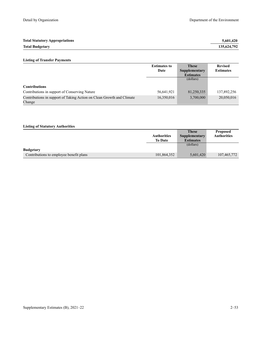| <b>Total Statutory Appropriations</b> | 5.601.420   |
|---------------------------------------|-------------|
| <b>Total Budgetary</b>                | 135,624,792 |

### **Listing of Transfer Payments**

|                                                                                 | <b>Estimates to</b> | <b>These</b>     | <b>Revised</b>   |
|---------------------------------------------------------------------------------|---------------------|------------------|------------------|
|                                                                                 | Date                | Supplementary    | <b>Estimates</b> |
|                                                                                 |                     | <b>Estimates</b> |                  |
|                                                                                 |                     | (dollars)        |                  |
| <b>Contributions</b>                                                            |                     |                  |                  |
| Contributions in support of Conserving Nature                                   | 56,641,921          | 81,250,335       | 137,892,256      |
| Contributions in support of Taking Action on Clean Growth and Climate<br>Change | 16,350,016          | 3,700,000        | 20,050,016       |

|                                         |                    | <b>These</b>     | <b>Proposed</b>    |
|-----------------------------------------|--------------------|------------------|--------------------|
|                                         | <b>Authorities</b> | Supplementary    | <b>Authorities</b> |
|                                         | <b>To Date</b>     | <b>Estimates</b> |                    |
|                                         |                    | (dollars)        |                    |
| <b>Budgetary</b>                        |                    |                  |                    |
| Contributions to employee benefit plans | 101,864,352        | 5,601,420        | 107,465,772        |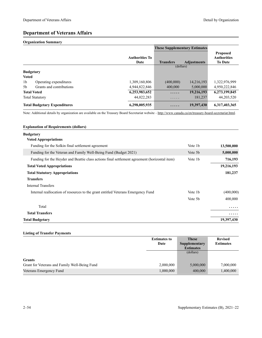### **Department of Veterans Affairs**

#### **Organization Summary**

|                |                                     |                               | <b>These Supplementary Estimates</b> |                    |                                                         |
|----------------|-------------------------------------|-------------------------------|--------------------------------------|--------------------|---------------------------------------------------------|
|                |                                     | <b>Authorities To</b><br>Date | <b>Transfers</b>                     | <b>Adjustments</b> | <b>Proposed</b><br><b>Authorities</b><br><b>To Date</b> |
|                |                                     |                               | (dollars)                            |                    |                                                         |
|                | <b>Budgetary</b>                    |                               |                                      |                    |                                                         |
| <b>Voted</b>   |                                     |                               |                                      |                    |                                                         |
| 1 <sub>b</sub> | Operating expenditures              | 1,309,160,806                 | (400,000)                            | 14,216,193         | 1,322,976,999                                           |
| 5 <sub>b</sub> | Grants and contributions            | 4,944,822,846                 | 400,000                              | 5,000,000          | 4,950,222,846                                           |
|                | <b>Total Voted</b>                  | 6,253,983,652                 | .                                    | 19,216,193         | 6,273,199,845                                           |
|                | <b>Total Statutory</b>              | 44,022,283                    | .                                    | 181,237            | 44,203,520                                              |
|                | <b>Total Budgetary Expenditures</b> | 6,298,005,935                 | .                                    | 19,397,430         | 6,317,403,365                                           |

Note: Additional details by organization are available on the Treasury Board Secretariat website -<http://www.canada.ca/en/treasury-board-secretariat.html>.

#### **Explanation of Requirements (dollars)**

#### **Budgetary**

| <b>Voted Appropriations</b>                                                                   |         |            |
|-----------------------------------------------------------------------------------------------|---------|------------|
| Funding for the Solkin final settlement agreement                                             | Vote 1b | 13,500,000 |
| Funding for the Veteran and Family Well-Being Fund (Budget 2021)                              | Vote 5b | 5,000,000  |
| Funding for the Heyder and Beattie class actions final settlement agreement (horizontal item) | Vote 1b | 716,193    |
| <b>Total Voted Appropriations</b>                                                             |         | 19,216,193 |
| <b>Total Statutory Appropriations</b>                                                         |         | 181,237    |
| <b>Transfers</b>                                                                              |         |            |
| Internal Transfers                                                                            |         |            |
| Internal reallocation of resources to the grant entitled Veterans Emergency Fund              | Vote 1b | (400,000)  |
|                                                                                               | Vote 5b | 400,000    |
| Total                                                                                         |         | .          |
| <b>Total Transfers</b>                                                                        |         | .          |
| <b>Total Budgetary</b>                                                                        |         | 19,397,430 |

#### **Listing of Transfer Payments**

|                                               | <b>Estimates to</b> | <b>These</b>         | <b>Revised</b>   |
|-----------------------------------------------|---------------------|----------------------|------------------|
|                                               | Date                | <b>Supplementary</b> | <b>Estimates</b> |
|                                               |                     | <b>Estimates</b>     |                  |
|                                               |                     | (dollars)            |                  |
| <b>Grants</b>                                 |                     |                      |                  |
| Grant for Veterans and Family Well-Being Fund | 2,000,000           | 5,000,000            | 7,000,000        |
| Veterans Emergency Fund                       | 1,000,000           | 400,000              | 1,400,000        |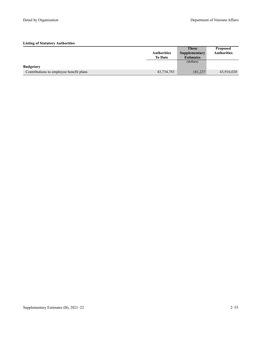|                                         |                    | <b>These</b>     | <b>Proposed</b>    |
|-----------------------------------------|--------------------|------------------|--------------------|
|                                         | <b>Authorities</b> | Supplementary    | <b>Authorities</b> |
|                                         | <b>To Date</b>     | <b>Estimates</b> |                    |
|                                         |                    | (dollars)        |                    |
| <b>Budgetary</b>                        |                    |                  |                    |
| Contributions to employee benefit plans | 43,734,783         | 181,237          | 43,916,020         |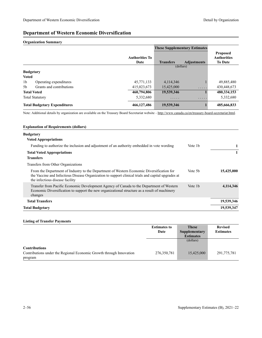### **Department of Western Economic Diversification**

#### **Organization Summary**

|                                            |                               | <b>These Supplementary Estimates</b> |                      |                                                         |
|--------------------------------------------|-------------------------------|--------------------------------------|----------------------|---------------------------------------------------------|
|                                            | <b>Authorities To</b><br>Date | <b>Transfers</b>                     | <b>Adjustments</b>   | <b>Proposed</b><br><b>Authorities</b><br><b>To Date</b> |
|                                            |                               | (dollars)                            |                      |                                                         |
| <b>Budgetary</b>                           |                               |                                      |                      |                                                         |
| <b>Voted</b>                               |                               |                                      |                      |                                                         |
| 1 <sub>b</sub><br>Operating expenditures   | 45,771,133                    | 4,114,346                            |                      | 49,885,480                                              |
| 5 <sub>b</sub><br>Grants and contributions | 415,023,673                   | 15,425,000                           | $\cdots\cdots\cdots$ | 430,448,673                                             |
| <b>Total Voted</b>                         | 460,794,806                   | 19,539,346                           |                      | 480,334,153                                             |
| <b>Total Statutory</b>                     | 5,332,680                     | .                                    | .                    | 5,332,680                                               |
| <b>Total Budgetary Expenditures</b>        | 466,127,486                   | 19,539,346                           |                      | 485,666,833                                             |

Note: Additional details by organization are available on the Treasury Board Secretariat website -<http://www.canada.ca/en/treasury-board-secretariat.html>.

#### **Explanation of Requirements (dollars) Budgetary Voted Appropriations** Funding to authorize the inclusion and adjustment of an authority embedded in vote wording Vote 1b 1 **Total Voted Appropriations 1 Transfers** Transfers from Other Organizations From the Department of Industry to the Department of Western Economic Diversification for the Vaccine and Infectious Disease Organization to support clinical trials and capital upgrades at the infectious disease facility Vote 5b **15,425,000**  Transfer from Pacific Economic Development Agency of Canada to the Department of Western Economic Diversification to support the new organizational structure as a result of machinery changes Vote 1b **4,114,346 Total Transfers 19,539,346 Total Budgetary 19,539,347**

#### **Listing of Transfer Payments**

|                                                                     | <b>Estimates to</b> | <b>These</b>     | <b>Revised</b>   |
|---------------------------------------------------------------------|---------------------|------------------|------------------|
|                                                                     | Date                | Supplementary    | <b>Estimates</b> |
|                                                                     |                     | <b>Estimates</b> |                  |
|                                                                     |                     | (dollars)        |                  |
|                                                                     |                     |                  |                  |
| <b>Contributions</b>                                                |                     |                  |                  |
| Contributions under the Regional Economic Growth through Innovation | 276, 350, 781       | 15,425,000       | 291,775,781      |
| program                                                             |                     |                  |                  |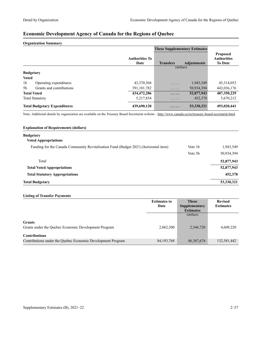## **Economic Development Agency of Canada for the Regions of Quebec**

#### **Organization Summary**

|                                     |                          |                               | <b>These Supplementary Estimates</b> |                    |                                                         |
|-------------------------------------|--------------------------|-------------------------------|--------------------------------------|--------------------|---------------------------------------------------------|
|                                     |                          | <b>Authorities To</b><br>Date | <b>Transfers</b>                     | <b>Adjustments</b> | <b>Proposed</b><br><b>Authorities</b><br><b>To Date</b> |
|                                     |                          |                               | (dollars)                            |                    |                                                         |
| <b>Budgetary</b>                    |                          |                               |                                      |                    |                                                         |
| <b>Voted</b>                        |                          |                               |                                      |                    |                                                         |
| 1 <sub>b</sub>                      | Operating expenditures   | 43,370,504                    | .                                    | 1,943,549          | 45, 314, 053                                            |
| 5 <sub>b</sub>                      | Grants and contributions | 391, 101, 782                 | .                                    | 50,934,394         | 442,036,176                                             |
| <b>Total Voted</b>                  |                          | 434,472,286                   | .                                    | 52,877,943         | 487,350,229                                             |
| <b>Total Statutory</b>              |                          | 5,217,834                     | $\cdots\cdots\cdots$                 | 452,378            | 5,670,212                                               |
| <b>Total Budgetary Expenditures</b> |                          | 439,690,120                   | .                                    | 53,330,321         | 493,020,441                                             |

Note: Additional details by organization are available on the Treasury Board Secretariat website -<http://www.canada.ca/en/treasury-board-secretariat.html>.

| <b>Explanation of Requirements (dollars)</b>                                         |                     |            |
|--------------------------------------------------------------------------------------|---------------------|------------|
| <b>Budgetary</b>                                                                     |                     |            |
| <b>Voted Appropriations</b>                                                          |                     |            |
| Funding for the Canada Community Revitalization Fund (Budget 2021) (horizontal item) | Vote 1 <sub>b</sub> | 1,943,549  |
|                                                                                      | Vote 5 <sub>b</sub> | 50,934,394 |
| Total                                                                                |                     | 52,877,943 |
| <b>Total Voted Appropriations</b>                                                    |                     | 52,877,943 |
| <b>Total Statutory Appropriations</b>                                                |                     | 452,378    |
| <b>Total Budgetary</b>                                                               |                     | 53,330,321 |

#### **Listing of Transfer Payments**

|                                                             | <b>Estimates to</b> | <b>These</b>     | <b>Revised</b>   |
|-------------------------------------------------------------|---------------------|------------------|------------------|
|                                                             | Date                | Supplementary    | <b>Estimates</b> |
|                                                             |                     | <b>Estimates</b> |                  |
|                                                             |                     | (dollars)        |                  |
| <b>Grants</b>                                               |                     |                  |                  |
| Grants under the Quebec Economic Development Program        | 2,062,500           | 2,546,720        | 4,609,220        |
| <b>Contributions</b>                                        |                     |                  |                  |
| Contributions under the Quebec Economic Development Program | 84, 193, 768        | 48, 387, 674     | 132,581,442      |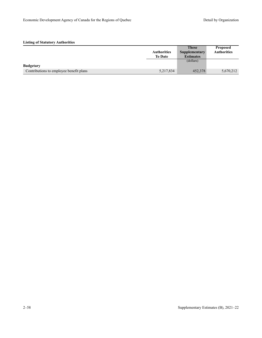|                                         |                    | <b>These</b>     | <b>Proposed</b>    |
|-----------------------------------------|--------------------|------------------|--------------------|
|                                         | <b>Authorities</b> | Supplementary    | <b>Authorities</b> |
|                                         | <b>To Date</b>     | <b>Estimates</b> |                    |
|                                         |                    | (dollars)        |                    |
| <b>Budgetary</b>                        |                    |                  |                    |
| Contributions to employee benefit plans | 5,217,834          | 452,378          | 5,670,212          |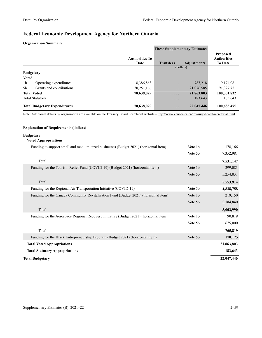## **Federal Economic Development Agency for Northern Ontario**

#### **Organization Summary**

|                                            |                               | <b>These Supplementary Estimates</b> |                    |                                                         |
|--------------------------------------------|-------------------------------|--------------------------------------|--------------------|---------------------------------------------------------|
|                                            | <b>Authorities To</b><br>Date | <b>Transfers</b>                     | <b>Adjustments</b> | <b>Proposed</b><br><b>Authorities</b><br><b>To Date</b> |
|                                            |                               | (dollars)                            |                    |                                                         |
| <b>Budgetary</b>                           |                               |                                      |                    |                                                         |
| <b>Voted</b>                               |                               |                                      |                    |                                                         |
| 1 <sub>b</sub><br>Operating expenditures   | 8,386,863                     | .                                    | 787,218            | 9,174,081                                               |
| Grants and contributions<br>5 <sub>b</sub> | 70,251,166                    | .                                    | 21,076,585         | 91,327,751                                              |
| <b>Total Voted</b>                         | 78,638,029                    | .                                    | 21,863,803         | 100,501,832                                             |
| <b>Total Statutory</b>                     | .                             | .                                    | 183,643            | 183,643                                                 |
| <b>Total Budgetary Expenditures</b>        | 78,638,029                    | .                                    | 22,047,446         | 100,685,475                                             |

Note: Additional details by organization are available on the Treasury Board Secretariat website -<http://www.canada.ca/en/treasury-board-secretariat.html>.

| <b>Explanation of Requirements (dollars)</b>                                           |         |            |
|----------------------------------------------------------------------------------------|---------|------------|
| <b>Budgetary</b>                                                                       |         |            |
| <b>Voted Appropriations</b>                                                            |         |            |
| Funding to support small and medium-sized businesses (Budget 2021) (horizontal item)   | Vote 1b | 178,166    |
|                                                                                        | Vote 5b | 7,352,981  |
| Total                                                                                  |         | 7,531,147  |
| Funding for the Tourism Relief Fund (COVID-19) (Budget 2021) (horizontal item)         | Vote 1b | 299,083    |
|                                                                                        | Vote 5b | 5,254,831  |
| Total                                                                                  |         | 5,553,914  |
| Funding for the Regional Air Transportation Initiative (COVID-19)                      | Vote 5b | 4,838,758  |
| Funding for the Canada Community Revitalization Fund (Budget 2021) (horizontal item)   | Vote 1b | 219,150    |
|                                                                                        | Vote 5b | 2,784,840  |
| Total                                                                                  |         | 3,003,990  |
| Funding for the Aerospace Regional Recovery Initiative (Budget 2021) (horizontal item) | Vote 1b | 90,819     |
|                                                                                        | Vote 5b | 675,000    |
| Total                                                                                  |         | 765,819    |
| Funding for the Black Entrepreneurship Program (Budget 2021) (horizontal item)         | Vote 5b | 170,175    |
| <b>Total Voted Appropriations</b>                                                      |         | 21,863,803 |
| <b>Total Statutory Appropriations</b>                                                  |         | 183,643    |
| <b>Total Budgetary</b>                                                                 |         | 22,047,446 |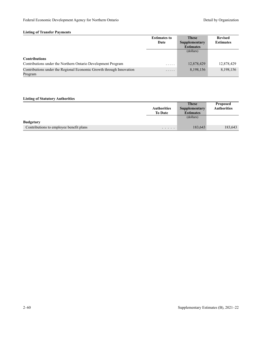### **Listing of Transfer Payments**

|                                                                                | <b>Estimates to</b> | <b>These</b>     | <b>Revised</b>   |
|--------------------------------------------------------------------------------|---------------------|------------------|------------------|
|                                                                                | Date                | Supplementary    | <b>Estimates</b> |
|                                                                                |                     | <b>Estimates</b> |                  |
|                                                                                |                     | (dollars)        |                  |
| <b>Contributions</b>                                                           |                     |                  |                  |
| Contributions under the Northern Ontario Development Program                   | .                   | 12,878,429       | 12,878,429       |
| Contributions under the Regional Economic Growth through Innovation<br>Program | .                   | 8,198,156        | 8,198,156        |

|                                         |                    | <b>These</b>     | <b>Proposed</b>    |
|-----------------------------------------|--------------------|------------------|--------------------|
|                                         | <b>Authorities</b> | Supplementary    | <b>Authorities</b> |
|                                         | <b>To Date</b>     | <b>Estimates</b> |                    |
|                                         |                    | (dollars)        |                    |
| <b>Budgetary</b>                        |                    |                  |                    |
| Contributions to employee benefit plans | .                  | 183,643          | 183,643            |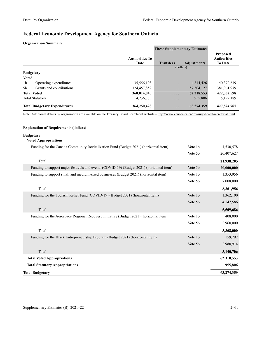## **Federal Economic Development Agency for Southern Ontario**

#### **Organization Summary**

|                  |                                     |                               | <b>These Supplementary Estimates</b> |                    |                                                         |
|------------------|-------------------------------------|-------------------------------|--------------------------------------|--------------------|---------------------------------------------------------|
|                  |                                     | <b>Authorities To</b><br>Date | <b>Transfers</b>                     | <b>Adjustments</b> | <b>Proposed</b><br><b>Authorities</b><br><b>To Date</b> |
|                  |                                     |                               | (dollars)                            |                    |                                                         |
| <b>Budgetary</b> |                                     |                               |                                      |                    |                                                         |
| <b>Voted</b>     |                                     |                               |                                      |                    |                                                         |
| 1 <sub>b</sub>   | Operating expenditures              | 35,556,193                    | .                                    | 4,814,426          | 40,370,619                                              |
| .5b              | Grants and contributions            | 324,457,852                   | .                                    | 57, 504, 127       | 381,961,979                                             |
|                  | <b>Total Voted</b>                  | 360,014,045                   | .                                    | 62,318,553         | 422,332,598                                             |
|                  | <b>Total Statutory</b>              | 4,236,383                     | $\cdots\cdots\cdots$                 | 955,806            | 5,192,189                                               |
|                  | <b>Total Budgetary Expenditures</b> | 364,250,428                   | .                                    | 63,274,359         | 427,524,787                                             |

Note: Additional details by organization are available on the Treasury Board Secretariat website -<http://www.canada.ca/en/treasury-board-secretariat.html>.

| <b>Explanation of Requirements (dollars)</b>                                             |         |            |
|------------------------------------------------------------------------------------------|---------|------------|
| <b>Budgetary</b><br><b>Voted Appropriations</b>                                          |         |            |
| Funding for the Canada Community Revitalization Fund (Budget 2021) (horizontal item)     | Vote 1b | 1,530,578  |
|                                                                                          | Vote 5b | 20,407,627 |
| Total                                                                                    |         | 21,938,205 |
| Funding to support major festivals and events (COVID-19) (Budget 2021) (horizontal item) | Vote 5b | 20,000,000 |
| Funding to support small and medium-sized businesses (Budget 2021) (horizontal item)     | Vote 1b | 1,353,956  |
|                                                                                          | Vote 5b | 7,008,000  |
| Total                                                                                    |         | 8,361,956  |
| Funding for the Tourism Relief Fund (COVID-19) (Budget 2021) (horizontal item)           | Vote 1b | 1,362,100  |
|                                                                                          | Vote 5b | 4,147,586  |
| Total                                                                                    |         | 5,509,686  |
| Funding for the Aerospace Regional Recovery Initiative (Budget 2021) (horizontal item)   | Vote 1b | 408,000    |
|                                                                                          | Vote 5b | 2,960,000  |
| Total                                                                                    |         | 3,368,000  |
| Funding for the Black Entrepreneurship Program (Budget 2021) (horizontal item)           | Vote 1b | 159,792    |
|                                                                                          | Vote 5b | 2,980,914  |
| Total                                                                                    |         | 3,140,706  |
| <b>Total Voted Appropriations</b>                                                        |         | 62,318,553 |
| <b>Total Statutory Appropriations</b>                                                    |         | 955,806    |
| <b>Total Budgetary</b>                                                                   |         | 63,274,359 |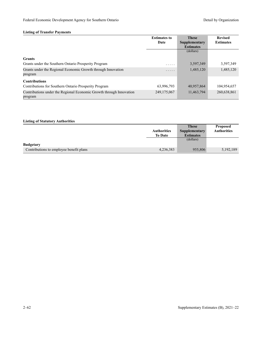### **Listing of Transfer Payments**

|                                                                                | <b>Estimates to</b><br>Date | <b>These</b><br>Supplementary<br><b>Estimates</b> | <b>Revised</b><br><b>Estimates</b> |
|--------------------------------------------------------------------------------|-----------------------------|---------------------------------------------------|------------------------------------|
|                                                                                |                             | (dollars)                                         |                                    |
| <b>Grants</b>                                                                  |                             |                                                   |                                    |
| Grants under the Southern Ontario Prosperity Program                           | .                           | 3,597,349                                         | 3,597,349                          |
| Grants under the Regional Economic Growth through Innovation<br>program        | .                           | 1,485,120                                         | 1,485,120                          |
| <b>Contributions</b>                                                           |                             |                                                   |                                    |
| Contributions for Southern Ontario Prosperity Program                          | 63,996,793                  | 40,957,864                                        | 104,954,657                        |
| Contributions under the Regional Economic Growth through Innovation<br>program | 249, 175, 067               | 11,463,794                                        | 260,638,861                        |

|                                         |                    | <b>These</b>     | <b>Proposed</b>    |
|-----------------------------------------|--------------------|------------------|--------------------|
|                                         | <b>Authorities</b> | Supplementary    | <b>Authorities</b> |
|                                         | <b>To Date</b>     | <b>Estimates</b> |                    |
|                                         |                    | (dollars)        |                    |
| <b>Budgetary</b>                        |                    |                  |                    |
| Contributions to employee benefit plans | 4,236,383          | 955,806          | 5,192,189          |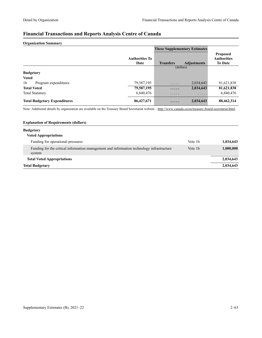### **Financial Transactions and Reports Analysis Centre of Canada**

#### **Organization Summary**

|                                        |                               | <b>These Supplementary Estimates</b> |                    |                                                         |
|----------------------------------------|-------------------------------|--------------------------------------|--------------------|---------------------------------------------------------|
|                                        | <b>Authorities To</b><br>Date | <b>Transfers</b>                     | <b>Adjustments</b> | <b>Proposed</b><br><b>Authorities</b><br><b>To Date</b> |
|                                        |                               | (dollars)                            |                    |                                                         |
| <b>Budgetary</b>                       |                               |                                      |                    |                                                         |
| <b>Voted</b>                           |                               |                                      |                    |                                                         |
| 1 <sub>b</sub><br>Program expenditures | 79,587,195                    | $\cdots\cdots\cdots$                 | 2,034,643          | 81,621,838                                              |
| <b>Total Voted</b>                     | 79,587,195                    | .                                    | 2,034,643          | 81,621,838                                              |
| <b>Total Statutory</b>                 | 6,840,476                     | .                                    | .                  | 6,840,476                                               |
| <b>Total Budgetary Expenditures</b>    | 86,427,671                    | .                                    | 2,034,643          | 88,462,314                                              |

Note: Additional details by organization are available on the Treasury Board Secretariat website -<http://www.canada.ca/en/treasury-board-secretariat.html>.

### **Explanation of Requirements (dollars) Budgetary Voted Appropriations** Funding for operational pressures **1,034,643 Vote 1b** 1,034,643 Funding for the critical information management and information technology infrastructure system Vote 1b **1,000,000 Total Voted Appropriations 2,034,643 Total Budgetary 2,034,643**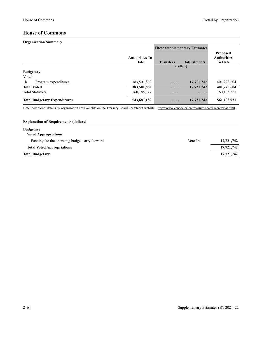### **House of Commons**

#### **Organization Summary**

|                  |                                     |                               | <b>These Supplementary Estimates</b> |                    |                                                         |
|------------------|-------------------------------------|-------------------------------|--------------------------------------|--------------------|---------------------------------------------------------|
|                  |                                     | <b>Authorities To</b><br>Date | <b>Transfers</b>                     | <b>Adjustments</b> | <b>Proposed</b><br><b>Authorities</b><br><b>To Date</b> |
|                  |                                     |                               |                                      | (dollars)          |                                                         |
| <b>Budgetary</b> |                                     |                               |                                      |                    |                                                         |
| <b>Voted</b>     |                                     |                               |                                      |                    |                                                         |
| 1 <sub>b</sub>   | Program expenditures                | 383,501,862                   | .                                    | 17,721,742         | 401,223,604                                             |
|                  | <b>Total Voted</b>                  | 383,501,862                   | .                                    | 17,721,742         | 401,223,604                                             |
|                  | <b>Total Statutory</b>              | 160, 185, 327                 | .                                    | .                  | 160, 185, 327                                           |
|                  | <b>Total Budgetary Expenditures</b> | 543,687,189                   | .                                    | 17,721,742         | 561,408,931                                             |

Note: Additional details by organization are available on the Treasury Board Secretariat website -<http://www.canada.ca/en/treasury-board-secretariat.html>.

| <b>Explanation of Requirements (dollars)</b>   |         |            |
|------------------------------------------------|---------|------------|
| <b>Budgetary</b>                               |         |            |
| <b>Voted Appropriations</b>                    |         |            |
| Funding for the operating budget carry forward | Vote 1b | 17,721,742 |
| <b>Total Voted Appropriations</b>              |         | 17,721,742 |
| <b>Total Budgetary</b>                         |         | 17,721,742 |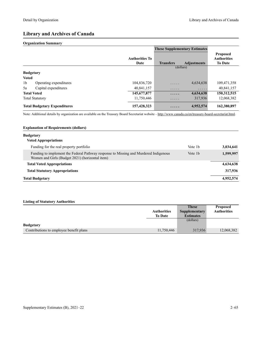### **Library and Archives of Canada**

#### **Organization Summary**

|                                          |                               | <b>These Supplementary Estimates</b> |                    |                                                         |
|------------------------------------------|-------------------------------|--------------------------------------|--------------------|---------------------------------------------------------|
|                                          | <b>Authorities To</b><br>Date | <b>Transfers</b>                     | <b>Adjustments</b> | <b>Proposed</b><br><b>Authorities</b><br><b>To Date</b> |
|                                          |                               | (dollars)                            |                    |                                                         |
| <b>Budgetary</b>                         |                               |                                      |                    |                                                         |
| <b>Voted</b>                             |                               |                                      |                    |                                                         |
| 1 <sub>b</sub><br>Operating expenditures | 104,836,720                   | .                                    | 4,634,638          | 109,471,358                                             |
| 5a<br>Capital expenditures               | 40.841.157                    | .                                    | .                  | 40,841,157                                              |
| <b>Total Voted</b>                       | 145, 677, 877                 | .                                    | 4,634,638          | 150,312,515                                             |
| <b>Total Statutory</b>                   | 11,750,446                    | .                                    | 317,936            | 12,068,382                                              |
| <b>Total Budgetary Expenditures</b>      | 157,428,323                   | .                                    | 4,952,574          | 162,380,897                                             |

Note: Additional details by organization are available on the Treasury Board Secretariat website –<http://www.canada.ca/en/treasury-board-secretariat.html>.

#### **Explanation of Requirements (dollars)**

| <b>Budgetary</b>                                                                                                                        |         |           |
|-----------------------------------------------------------------------------------------------------------------------------------------|---------|-----------|
| <b>Voted Appropriations</b>                                                                                                             |         |           |
| Funding for the real property portfolio                                                                                                 | Vote 1b | 3,034,641 |
| Funding to implement the Federal Pathway response to Missing and Murdered Indigenous<br>Women and Girls (Budget 2021) (horizontal item) | Vote 1b | 1,599,997 |
| <b>Total Voted Appropriations</b>                                                                                                       |         | 4,634,638 |
| <b>Total Statutory Appropriations</b>                                                                                                   |         | 317,936   |
| <b>Total Budgetary</b>                                                                                                                  |         | 4,952,574 |

|                                         |                    | <b>These</b>         | <b>Proposed</b>    |
|-----------------------------------------|--------------------|----------------------|--------------------|
|                                         | <b>Authorities</b> | <b>Supplementary</b> | <b>Authorities</b> |
|                                         | <b>To Date</b>     | <b>Estimates</b>     |                    |
|                                         |                    | (dollars)            |                    |
| <b>Budgetary</b>                        |                    |                      |                    |
| Contributions to employee benefit plans | 11,750,446         | 317,936              | 12,068,382         |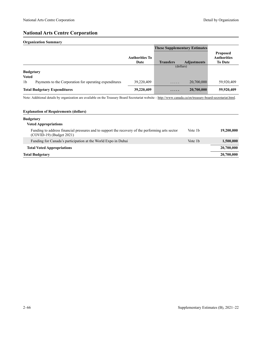### **National Arts Centre Corporation**

#### **Organization Summary**

|                  |                                                        |                        | <b>These Supplementary Estimates</b> |                    |                                                         |
|------------------|--------------------------------------------------------|------------------------|--------------------------------------|--------------------|---------------------------------------------------------|
|                  |                                                        | Authorities To<br>Date | <b>Transfers</b>                     | <b>Adjustments</b> | <b>Proposed</b><br><b>Authorities</b><br><b>To Date</b> |
|                  |                                                        |                        |                                      | (dollars)          |                                                         |
| <b>Budgetary</b> |                                                        |                        |                                      |                    |                                                         |
| <b>Voted</b>     |                                                        |                        |                                      |                    |                                                         |
| 1 <sub>b</sub>   | Payments to the Corporation for operating expenditures | 39,220,409             | .                                    | 20,700,000         | 59,920,409                                              |
|                  | <b>Total Budgetary Expenditures</b>                    | 39,220,409             | .                                    | 20,700,000         | 59,920,409                                              |

Note: Additional details by organization are available on the Treasury Board Secretariat website -<http://www.canada.ca/en/treasury-board-secretariat.html>.

#### **Explanation of Requirements (dollars)**

| <b>Budgetary</b>                                                                                                               |                     |            |
|--------------------------------------------------------------------------------------------------------------------------------|---------------------|------------|
| <b>Voted Appropriations</b>                                                                                                    |                     |            |
| Funding to address financial pressures and to support the recovery of the performing arts sector<br>$(COVID-19)$ (Budget 2021) | Vote 1b             | 19,200,000 |
| Funding for Canada's participation at the World Expo in Dubai                                                                  | Vote 1 <sub>b</sub> | 1,500,000  |
| <b>Total Voted Appropriations</b>                                                                                              |                     | 20,700,000 |
| <b>Total Budgetary</b>                                                                                                         |                     | 20,700,000 |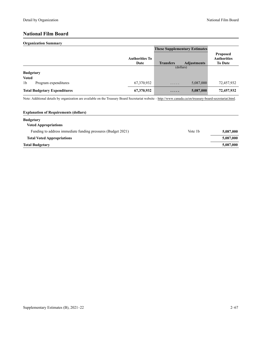### **National Film Board**

#### **Organization Summary**

|                                        |                               | <b>These Supplementary Estimates</b> |                    |                                                         |
|----------------------------------------|-------------------------------|--------------------------------------|--------------------|---------------------------------------------------------|
|                                        | <b>Authorities To</b><br>Date | <b>Transfers</b>                     | <b>Adjustments</b> | <b>Proposed</b><br><b>Authorities</b><br><b>To Date</b> |
|                                        |                               | (dollars)                            |                    |                                                         |
| <b>Budgetary</b>                       |                               |                                      |                    |                                                         |
| <b>Voted</b>                           |                               |                                      |                    |                                                         |
| 1 <sub>b</sub><br>Program expenditures | 67,370,932                    | .                                    | 5,087,000          | 72,457,932                                              |
| <b>Total Budgetary Expenditures</b>    | 67,370,932                    | .                                    | 5,087,000          | 72,457,932                                              |

Note: Additional details by organization are available on the Treasury Board Secretariat website -<http://www.canada.ca/en/treasury-board-secretariat.html>.

| Vote 1 <sub>b</sub> | 5,087,000 |
|---------------------|-----------|
|                     | 5,087,000 |
|                     | 5,087,000 |
|                     |           |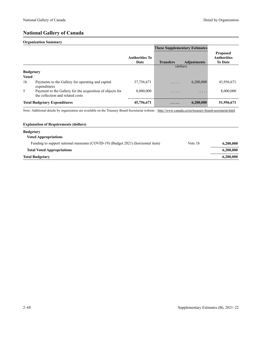### **National Gallery of Canada**

#### **Organization Summary**

|                  |                                                                                               |                               | <b>These Supplementary Estimates</b> |                    |                                                         |
|------------------|-----------------------------------------------------------------------------------------------|-------------------------------|--------------------------------------|--------------------|---------------------------------------------------------|
|                  |                                                                                               | <b>Authorities To</b><br>Date | <b>Transfers</b>                     | <b>Adjustments</b> | <b>Proposed</b><br><b>Authorities</b><br><b>To Date</b> |
|                  |                                                                                               |                               | (dollars)                            |                    |                                                         |
| <b>Budgetary</b> |                                                                                               |                               |                                      |                    |                                                         |
| <b>Voted</b>     |                                                                                               |                               |                                      |                    |                                                         |
| 1 <sub>b</sub>   | Payments to the Gallery for operating and capital<br>expenditures                             | 37,756,671                    | .                                    | 6,200,000          | 43,956,671                                              |
| 5                | Payment to the Gallery for the acquisition of objects for<br>the collection and related costs | 8,000,000                     | .                                    | .                  | 8,000,000                                               |
|                  | <b>Total Budgetary Expenditures</b>                                                           | 45,756,671                    | $\cdot$                              | 6,200,000          | 51,956,671                                              |

Note: Additional details by organization are available on the Treasury Board Secretariat website -<http://www.canada.ca/en/treasury-board-secretariat.html>.

### **Explanation of Requirements (dollars)**

| <b>Budgetary</b><br><b>Voted Appropriations</b>                                |         |           |
|--------------------------------------------------------------------------------|---------|-----------|
| Funding to support national museums (COVID-19) (Budget 2021) (horizontal item) | Vote 1b | 6,200,000 |
| <b>Total Voted Appropriations</b>                                              |         | 6,200,000 |
| <b>Total Budgetary</b>                                                         |         | 6,200,000 |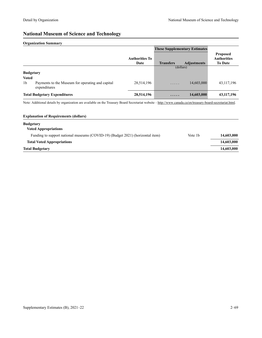### **National Museum of Science and Technology**

#### **Organization Summary**

|                                  |                                                                  |                               | <b>These Supplementary Estimates</b> |                    |                                                         |
|----------------------------------|------------------------------------------------------------------|-------------------------------|--------------------------------------|--------------------|---------------------------------------------------------|
|                                  |                                                                  | <b>Authorities To</b><br>Date | <b>Transfers</b>                     | <b>Adjustments</b> | <b>Proposed</b><br><b>Authorities</b><br><b>To Date</b> |
| <b>Budgetary</b><br><b>Voted</b> |                                                                  |                               | (dollars)                            |                    |                                                         |
| 1 <sub>b</sub>                   | Payments to the Museum for operating and capital<br>expenditures | 28,514,196                    | .                                    | 14,603,000         | 43, 117, 196                                            |
|                                  | <b>Total Budgetary Expenditures</b>                              | 28,514,196                    |                                      | 14,603,000         | 43, 117, 196                                            |

Note: Additional details by organization are available on the Treasury Board Secretariat website -<http://www.canada.ca/en/treasury-board-secretariat.html>.

| <b>Explanation of Requirements (dollars)</b>                                   |                     |            |
|--------------------------------------------------------------------------------|---------------------|------------|
| <b>Budgetary</b>                                                               |                     |            |
| <b>Voted Appropriations</b>                                                    |                     |            |
| Funding to support national museums (COVID-19) (Budget 2021) (horizontal item) | Vote 1 <sub>b</sub> | 14,603,000 |
| <b>Total Voted Appropriations</b>                                              |                     | 14,603,000 |
| <b>Total Budgetary</b>                                                         |                     | 14,603,000 |
|                                                                                |                     |            |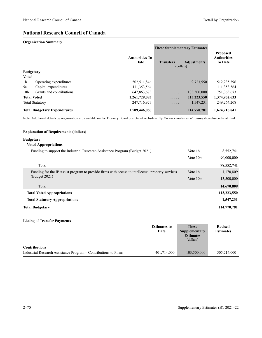### **National Research Council of Canada**

#### **Organization Summary**

|                                     |                          |                               | <b>These Supplementary Estimates</b> |                    |                                                         |
|-------------------------------------|--------------------------|-------------------------------|--------------------------------------|--------------------|---------------------------------------------------------|
|                                     |                          | <b>Authorities To</b><br>Date | <b>Transfers</b>                     | <b>Adjustments</b> | <b>Proposed</b><br><b>Authorities</b><br><b>To Date</b> |
|                                     |                          |                               | (dollars)                            |                    |                                                         |
| <b>Budgetary</b>                    |                          |                               |                                      |                    |                                                         |
| <b>Voted</b>                        |                          |                               |                                      |                    |                                                         |
| 1 <sub>b</sub>                      | Operating expenditures   | 502,511,846                   | .                                    | 9,723,550          | 512,235,396                                             |
| 5a                                  | Capital expenditures     | 111,353,564                   | .                                    | .                  | 111,353,564                                             |
| 10 <sub>b</sub>                     | Grants and contributions | 647,863,673                   | .                                    | 103,500,000        | 751,363,673                                             |
|                                     | <b>Total Voted</b>       | 1,261,729,083                 | .                                    | 113,223,550        | 1,374,952,633                                           |
|                                     | <b>Total Statutory</b>   | 247,716,977                   | .                                    | 1.547.231          | 249,264,208                                             |
| <b>Total Budgetary Expenditures</b> |                          | 1,509,446,060                 | .                                    | 114,770,781        | 1,624,216,841                                           |

Note: Additional details by organization are available on the Treasury Board Secretariat website -<http://www.canada.ca/en/treasury-board-secretariat.html>.

#### **Explanation of Requirements (dollars)**

## **Budgetary Voted Appropriations** Funding to support the Industrial Research Assistance Program (Budget 2021) Vote 1b 8,552,741 Vote 10b 90,000,000 Total **98,552,741**

| Funding for the IP Assist program to provide firms with access to intellectual property services | Vote 1b              | 1,170,809   |
|--------------------------------------------------------------------------------------------------|----------------------|-------------|
| (Budget 2021)                                                                                    | Vote 10 <sub>b</sub> | 13,500,000  |
| Total                                                                                            |                      | 14,670,809  |
| <b>Total Voted Appropriations</b>                                                                |                      | 113,223,550 |
| <b>Total Statutory Appropriations</b>                                                            |                      | 1,547,231   |
| Total Budgetarv                                                                                  |                      | 114,770,781 |

#### **Listing of Transfer Payments**

|                                                                 | <b>Estimates to</b> | <b>These</b>     | <b>Revised</b>   |
|-----------------------------------------------------------------|---------------------|------------------|------------------|
|                                                                 | Date                | Supplementary    | <b>Estimates</b> |
|                                                                 |                     | <b>Estimates</b> |                  |
|                                                                 |                     | (dollars)        |                  |
| <b>Contributions</b>                                            |                     |                  |                  |
| Industrial Research Assistance Program – Contributions to Firms | 401,714,000         | 103,500,000      | 505,214,000      |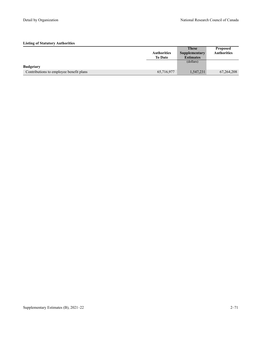|                                         |                    | <b>These</b>     | <b>Proposed</b>    |
|-----------------------------------------|--------------------|------------------|--------------------|
|                                         | <b>Authorities</b> | Supplementary    | <b>Authorities</b> |
|                                         | <b>To Date</b>     | <b>Estimates</b> |                    |
|                                         |                    | (dollars)        |                    |
| <b>Budgetary</b>                        |                    |                  |                    |
| Contributions to employee benefit plans | 65,716,977         | 1,547,231        | 67, 264, 208       |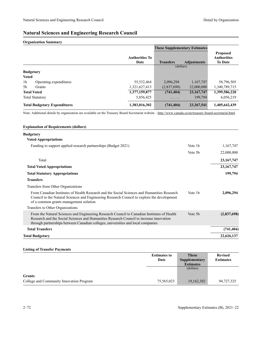### **Natural Sciences and Engineering Research Council**

#### **Organization Summary**

|                |                                     |                               | <b>These Supplementary Estimates</b> |                    |                                                         |
|----------------|-------------------------------------|-------------------------------|--------------------------------------|--------------------|---------------------------------------------------------|
|                |                                     | <b>Authorities To</b><br>Date | <b>Transfers</b>                     | <b>Adjustments</b> | <b>Proposed</b><br><b>Authorities</b><br><b>To Date</b> |
|                |                                     |                               | (dollars)                            |                    |                                                         |
|                | <b>Budgetary</b>                    |                               |                                      |                    |                                                         |
| <b>Voted</b>   |                                     |                               |                                      |                    |                                                         |
| 1 <sub>b</sub> | Operating expenditures              | 55,532,464                    | 2,096,294                            | 1,167,747          | 58,796,505                                              |
| 5 <sub>b</sub> | Grants                              | 1,321,627,413                 | (2,837,698)                          | 22,000,000         | 1,340,789,715                                           |
|                | <b>Total Voted</b>                  | 1,377,159,877                 | (741, 404)                           | 23, 167, 747       | 1,399,586,220                                           |
|                | <b>Total Statutory</b>              | 5,856,425                     | .                                    | 199,794            | 6,056,219                                               |
|                | <b>Total Budgetary Expenditures</b> | 1,383,016,302                 | (741, 404)                           | 23,367,541         | 1,405,642,439                                           |

Note: Additional details by organization are available on the Treasury Board Secretariat website -<http://www.canada.ca/en/treasury-board-secretariat.html>.

#### **Explanation of Requirements (dollars)**

### **Budgetary Voted Appropriations** Funding to support applied research partnerships (Budget 2021) Vote 1b 1,167,747 Vote 5b 22,000,000 Total **23,167,747 Total Voted Appropriations 23,167,747 Total Statutory Appropriations 199,794 Transfers** Transfers from Other Organizations From Canadian Institutes of Health Research and the Social Sciences and Humanities Research Council to the Natural Sciences and Engineering Research Council to explore the development of a common grants management solution Vote 1b **2,096,294**  Transfers to Other Organizations From the Natural Sciences and Engineering Research Council to Canadian Institutes of Health Research and the Social Sciences and Humanities Research Council to increase innovation through partnerships between Canadian colleges, universities and local companies Vote 5b **(2,837,698) Total Transfers (741,404) Total Budgetary 22,626,137**

#### **Listing of Transfer Payments**

|                                          | <b>Estimates to</b> | <b>These</b>     | <b>Revised</b>   |
|------------------------------------------|---------------------|------------------|------------------|
|                                          | Date                | Supplementary    | <b>Estimates</b> |
|                                          |                     | <b>Estimates</b> |                  |
|                                          |                     | (dollars)        |                  |
| <b>Grants</b>                            |                     |                  |                  |
| College and Community Innovation Program | 75,565,023          | 19,162,302       | 94,727,325       |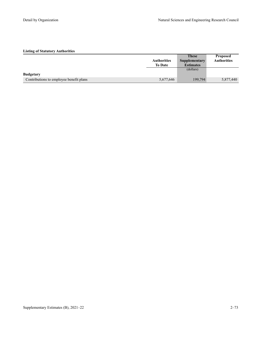|                                         |                    | <b>These</b>     | <b>Proposed</b>    |
|-----------------------------------------|--------------------|------------------|--------------------|
|                                         | <b>Authorities</b> | Supplementary    | <b>Authorities</b> |
|                                         | <b>To Date</b>     | <b>Estimates</b> |                    |
|                                         |                    | (dollars)        |                    |
| <b>Budgetary</b>                        |                    |                  |                    |
| Contributions to employee benefit plans | 5,677,646          | 199,794          | 5,877,440          |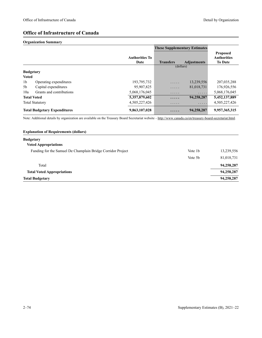### **Office of Infrastructure of Canada**

#### **Organization Summary**

|                                     |                          |                               | <b>These Supplementary Estimates</b> |                    |                                                         |
|-------------------------------------|--------------------------|-------------------------------|--------------------------------------|--------------------|---------------------------------------------------------|
|                                     |                          | <b>Authorities To</b><br>Date | <b>Transfers</b>                     | <b>Adjustments</b> | <b>Proposed</b><br><b>Authorities</b><br><b>To Date</b> |
|                                     |                          |                               | (dollars)                            |                    |                                                         |
| <b>Budgetary</b>                    |                          |                               |                                      |                    |                                                         |
| <b>Voted</b>                        |                          |                               |                                      |                    |                                                         |
| 1 <sub>b</sub>                      | Operating expenditures   | 193,795,732                   | .                                    | 13,239,556         | 207,035,288                                             |
| 5b                                  | Capital expenditures     | 95,907,825                    | .                                    | 81,018,731         | 176,926,556                                             |
| 10a                                 | Grants and contributions | 5,068,176,045                 | .                                    | .                  | 5,068,176,045                                           |
|                                     | <b>Total Voted</b>       | 5,357,879,602                 | .                                    | 94,258,287         | 5,452,137,889                                           |
|                                     | <b>Total Statutory</b>   | 4,505,227,426                 | .                                    | .                  | 4,505,227,426                                           |
| <b>Total Budgetary Expenditures</b> |                          | 9,863,107,028                 | .                                    | 94,258,287         | 9,957,365,315                                           |

Note: Additional details by organization are available on the Treasury Board Secretariat website -<http://www.canada.ca/en/treasury-board-secretariat.html>.

| <b>Budgetary</b>                                                                   |            |
|------------------------------------------------------------------------------------|------------|
|                                                                                    |            |
| <b>Voted Appropriations</b>                                                        |            |
| Funding for the Samuel De Champlain Bridge Corridor Project<br>Vote 1 <sub>b</sub> | 13,239,556 |
| Vote 5b                                                                            | 81,018,731 |
| Total                                                                              | 94,258,287 |
| <b>Total Voted Appropriations</b>                                                  | 94,258,287 |
| <b>Total Budgetary</b>                                                             | 94,258,287 |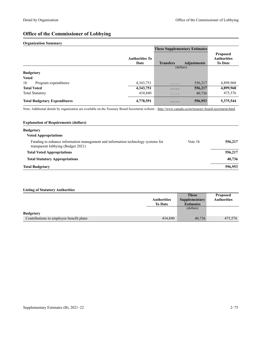# **Office of the Commissioner of Lobbying**

#### **Organization Summary**

|                                        |                               | <b>These Supplementary Estimates</b> |                    |                                                         |
|----------------------------------------|-------------------------------|--------------------------------------|--------------------|---------------------------------------------------------|
|                                        | <b>Authorities To</b><br>Date | <b>Transfers</b>                     | <b>Adjustments</b> | <b>Proposed</b><br><b>Authorities</b><br><b>To Date</b> |
|                                        |                               | (dollars)                            |                    |                                                         |
| <b>Budgetary</b>                       |                               |                                      |                    |                                                         |
| <b>Voted</b>                           |                               |                                      |                    |                                                         |
| 1 <sub>b</sub><br>Program expenditures | 4, 343, 751                   | .                                    | 556,217            | 4,899,968                                               |
| <b>Total Voted</b>                     | 4,343,751                     | $\cdots\cdots$                       | 556,217            | 4,899,968                                               |
| <b>Total Statutory</b>                 | 434,840                       | .                                    | 40,736             | 475,576                                                 |
| <b>Total Budgetary Expenditures</b>    | 4,778,591                     | .                                    | 596,953            | 5,375,544                                               |

Note: Additional details by organization are available on the Treasury Board Secretariat website -<http://www.canada.ca/en/treasury-board-secretariat.html>.

| <b>Explanation of Requirements (dollars)</b>                                                                           |         |         |  |  |
|------------------------------------------------------------------------------------------------------------------------|---------|---------|--|--|
| <b>Budgetary</b>                                                                                                       |         |         |  |  |
| <b>Voted Appropriations</b>                                                                                            |         |         |  |  |
| Funding to enhance information management and information technology systems for<br>transparent lobbying (Budget 2021) | Vote 1b | 556,217 |  |  |
| <b>Total Voted Appropriations</b>                                                                                      |         | 556,217 |  |  |
| <b>Total Statutory Appropriations</b>                                                                                  |         | 40,736  |  |  |
| <b>Total Budgetary</b>                                                                                                 |         | 596,953 |  |  |

|                                         |                    | <b>These</b>     | <b>Proposed</b>    |
|-----------------------------------------|--------------------|------------------|--------------------|
|                                         | <b>Authorities</b> | Supplementary    | <b>Authorities</b> |
|                                         | <b>To Date</b>     | <b>Estimates</b> |                    |
|                                         |                    | (dollars)        |                    |
| <b>Budgetary</b>                        |                    |                  |                    |
| Contributions to employee benefit plans | 434,840            | 40,736           | 475,576            |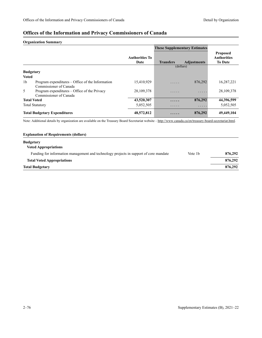## **Offices of the Information and Privacy Commissioners of Canada**

### **Organization Summary**

|                                     |                                                                            |                               | <b>These Supplementary Estimates</b> |                    |                                                         |
|-------------------------------------|----------------------------------------------------------------------------|-------------------------------|--------------------------------------|--------------------|---------------------------------------------------------|
|                                     |                                                                            | <b>Authorities To</b><br>Date | <b>Transfers</b>                     | <b>Adjustments</b> | <b>Proposed</b><br><b>Authorities</b><br><b>To Date</b> |
|                                     |                                                                            |                               |                                      | (dollars)          |                                                         |
| <b>Budgetary</b>                    |                                                                            |                               |                                      |                    |                                                         |
| <b>Voted</b>                        |                                                                            |                               |                                      |                    |                                                         |
| 1 <sub>b</sub>                      | Program expenditures – Office of the Information<br>Commissioner of Canada | 15,410,929                    | .                                    | 876,292            | 16,287,221                                              |
| 5                                   | Program expenditures – Office of the Privacy<br>Commissioner of Canada     | 28, 109, 378                  | .                                    | .                  | 28, 109, 378                                            |
| <b>Total Voted</b>                  |                                                                            | 43,520,307                    | .                                    | 876,292            | 44,396,599                                              |
|                                     | <b>Total Statutory</b>                                                     | 5,052,505                     | .                                    | .                  | 5,052,505                                               |
| <b>Total Budgetary Expenditures</b> |                                                                            | 48,572,812                    | .                                    | 876,292            | 49,449,104                                              |

Note: Additional details by organization are available on the Treasury Board Secretariat website -<http://www.canada.ca/en/treasury-board-secretariat.html>.

## **Explanation of Requirements (dollars) Budgetary Voted Appropriations** Funding for information management and technology projects in support of core mandate Vote 1b **876,292 Total Voted Appropriations 876,292 Total Budgetary 876,292**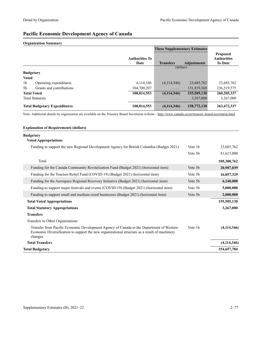## **Pacific Economic Development Agency of Canada**

#### **Organization Summary**

|                |                                     |                               | <b>These Supplementary Estimates</b> |                    |                                                         |
|----------------|-------------------------------------|-------------------------------|--------------------------------------|--------------------|---------------------------------------------------------|
|                |                                     | <b>Authorities To</b><br>Date | <b>Transfers</b>                     | <b>Adjustments</b> | <b>Proposed</b><br><b>Authorities</b><br><b>To Date</b> |
|                |                                     |                               | (dollars)                            |                    |                                                         |
|                | <b>Budgetary</b>                    |                               |                                      |                    |                                                         |
| <b>Voted</b>   |                                     |                               |                                      |                    |                                                         |
| 1 <sub>b</sub> | Operating expenditures              | 4.114.346                     | (4,114,346)                          | 23,685,762         | 23,685,762                                              |
| .5b            | Grants and contributions            | 104,700,207                   | $\cdots$                             | 131,819,368        | 236,519,575                                             |
|                | <b>Total Voted</b>                  | 108,814,553                   | (4, 114, 346)                        | 155,505,130        | 260, 205, 337                                           |
|                | <b>Total Statutory</b>              | .                             | .                                    | 3,267,000          | 3,267,000                                               |
|                | <b>Total Budgetary Expenditures</b> | 108,814,553                   | (4, 114, 346)                        | 158,772,130        | 263,472,337                                             |

Note: Additional details by organization are available on the Treasury Board Secretariat website -<http://www.canada.ca/en/treasury-board-secretariat.html>.

| <b>Explanation of Requirements (dollars)</b>                                                                                                                                                         |                     |               |
|------------------------------------------------------------------------------------------------------------------------------------------------------------------------------------------------------|---------------------|---------------|
| <b>Budgetary</b>                                                                                                                                                                                     |                     |               |
| <b>Voted Appropriations</b>                                                                                                                                                                          |                     |               |
| Funding to support the new Regional Development Agency for British Columbia (Budget 2021)                                                                                                            | Vote 1 <sub>b</sub> | 23,685,762    |
|                                                                                                                                                                                                      | Vote 5 <sub>b</sub> | 81,615,000    |
| Total                                                                                                                                                                                                |                     | 105,300,762   |
| Funding for the Canada Community Revitalization Fund (Budget 2021) (horizontal item)                                                                                                                 | Vote 5b             | 20,907,039    |
| Funding for the Tourism Relief Fund (COVID-19) (Budget 2021) (horizontal item)                                                                                                                       | Vote 5b             | 16,057,329    |
| Funding for the Aerospace Regional Recovery Initiative (Budget 2021) (horizontal item)                                                                                                               | Vote 5b             | 6,240,000     |
| Funding to support major festivals and events (COVID-19) (Budget 2021) (horizontal item)                                                                                                             | Vote 5b             | 5,000,000     |
| Funding to support small and medium-sized businesses (Budget 2021) (horizontal item)                                                                                                                 | Vote 5b             | 2,000,000     |
| <b>Total Voted Appropriations</b>                                                                                                                                                                    |                     | 155,505,130   |
| <b>Total Statutory Appropriations</b>                                                                                                                                                                |                     | 3,267,000     |
| <b>Transfers</b>                                                                                                                                                                                     |                     |               |
| Transfers to Other Organizations                                                                                                                                                                     |                     |               |
| Transfer from Pacific Economic Development Agency of Canada to the Department of Western<br>Economic Diversification to support the new organizational structure as a result of machinery<br>changes | Vote 1b             | (4, 114, 346) |
| <b>Total Transfers</b>                                                                                                                                                                               |                     | (4, 114, 346) |
| <b>Total Budgetary</b>                                                                                                                                                                               |                     | 154,657,784   |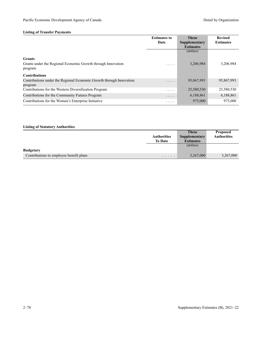### **Listing of Transfer Payments**

|                                                                                | <b>Estimates to</b><br>Date | <b>These</b>                      | <b>Revised</b><br><b>Estimates</b> |
|--------------------------------------------------------------------------------|-----------------------------|-----------------------------------|------------------------------------|
|                                                                                |                             | Supplementary<br><b>Estimates</b> |                                    |
|                                                                                |                             | (dollars)                         |                                    |
| <b>Grants</b>                                                                  |                             |                                   |                                    |
| Grants under the Regional Economic Growth through Innovation<br>program        | .                           | 3,206,984                         | 3,206,984                          |
| <b>Contributions</b>                                                           |                             |                                   |                                    |
|                                                                                |                             |                                   |                                    |
| Contributions under the Regional Economic Growth through Innovation<br>program | .                           | 95,867,993                        | 95,867,993                         |
| Contributions for the Western Diversification Program                          | .                           | 25,580,530                        | 25,580,530                         |
| Contributions for the Community Futures Program                                | .                           | 6,188,861                         | 6,188,861                          |
| Contributions for the Women's Enterprise Initiative                            | .                           | 975,000                           | 975,000                            |

|                                         |                    | <b>These</b>     | <b>Proposed</b>    |
|-----------------------------------------|--------------------|------------------|--------------------|
|                                         | <b>Authorities</b> | Supplementary    | <b>Authorities</b> |
|                                         | <b>To Date</b>     | <b>Estimates</b> |                    |
|                                         |                    | (dollars)        |                    |
| <b>Budgetary</b>                        |                    |                  |                    |
| Contributions to employee benefit plans | $\cdots$           | 3,267,000        | 3,267,000          |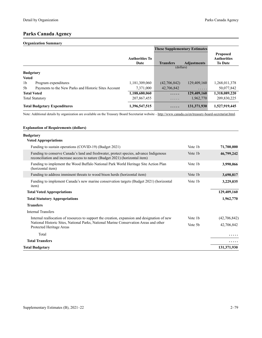## **Parks Canada Agency**

#### **Organization Summary**

|                                     |                                                      |                               | <b>These Supplementary Estimates</b> |                    |                                                         |
|-------------------------------------|------------------------------------------------------|-------------------------------|--------------------------------------|--------------------|---------------------------------------------------------|
|                                     |                                                      | <b>Authorities To</b><br>Date | <b>Transfers</b>                     | <b>Adjustments</b> | <b>Proposed</b><br><b>Authorities</b><br><b>To Date</b> |
|                                     |                                                      |                               | (dollars)                            |                    |                                                         |
| <b>Budgetary</b>                    |                                                      |                               |                                      |                    |                                                         |
| <b>Voted</b>                        |                                                      |                               |                                      |                    |                                                         |
| 1 <sub>b</sub>                      | Program expenditures                                 | 1,181,309,060                 | (42,706,842)                         | 129,409,160        | 1,268,011,378                                           |
| 5b                                  | Payments to the New Parks and Historic Sites Account | 7,371,000                     | 42,706,842                           | .                  | 50,077,842                                              |
| <b>Total Voted</b>                  |                                                      | 1,188,680,060                 | .                                    | 129,409,160        | 1,318,089,220                                           |
|                                     | <b>Total Statutory</b>                               | 207,867,455                   | .                                    | 1,962,770          | 209,830,225                                             |
| <b>Total Budgetary Expenditures</b> |                                                      | 1,396,547,515                 | .                                    | 131,371,930        | 1,527,919,445                                           |

Note: Additional details by organization are available on the Treasury Board Secretariat website –<http://www.canada.ca/en/treasury-board-secretariat.html>.

| <b>Explanation of Requirements (dollars)</b>                                                                                                                          |                     |              |
|-----------------------------------------------------------------------------------------------------------------------------------------------------------------------|---------------------|--------------|
| <b>Budgetary</b><br><b>Voted Appropriations</b>                                                                                                                       |                     |              |
| Funding to sustain operations (COVID-19) (Budget 2021)                                                                                                                | Vote 1 <sub>b</sub> | 71,700,000   |
| Funding to conserve Canada's land and freshwater, protect species, advance Indigenous<br>reconciliation and increase access to nature (Budget 2021) (horizontal item) | Vote 1b             | 46,799,242   |
| Funding to implement the Wood Buffalo National Park World Heritage Site Action Plan<br>(horizontal item)                                                              | Vote 1b             | 3,990,066    |
| Funding to address imminent threats to wood bison herds (horizontal item)                                                                                             | Vote 1b             | 3,690,817    |
| Funding to implement Canada's new marine conservation targets (Budget 2021) (horizontal<br>item)                                                                      | Vote 1b             | 3,229,035    |
| <b>Total Voted Appropriations</b>                                                                                                                                     |                     | 129,409,160  |
| <b>Total Statutory Appropriations</b>                                                                                                                                 |                     | 1,962,770    |
| <b>Transfers</b>                                                                                                                                                      |                     |              |
| <b>Internal Transfers</b>                                                                                                                                             |                     |              |
| Internal reallocation of resources to support the creation, expansion and designation of new                                                                          | Vote 1b             | (42,706,842) |
| National Historic Sites, National Parks, National Marine Conservation Areas and other<br>Protected Heritage Areas                                                     | Vote 5b             | 42,706,842   |
| Total                                                                                                                                                                 |                     |              |
| <b>Total Transfers</b>                                                                                                                                                |                     |              |
| <b>Total Budgetary</b>                                                                                                                                                |                     | 131,371,930  |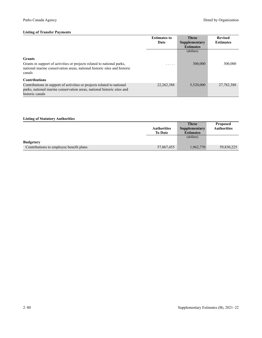|                                                                                                                                                                                             | <b>Estimates to</b><br>Date | <b>These</b><br>Supplementary<br><b>Estimates</b> | <b>Revised</b><br><b>Estimates</b> |
|---------------------------------------------------------------------------------------------------------------------------------------------------------------------------------------------|-----------------------------|---------------------------------------------------|------------------------------------|
| <b>Grants</b><br>Grants in support of activities or projects related to national parks,<br>national marine conservation areas, national historic sites and historic<br>canals               | .                           | (dollars)<br>300,000                              | 300,000                            |
| <b>Contributions</b><br>Contributions in support of activities or projects related to national<br>parks, national marine conservation areas, national historic sites and<br>historic canals | 22, 262, 388                | 5,520,000                                         | 27,782,388                         |

#### **Listing of Statutory Authorities Authorities To Date These Supplementary Estimates Proposed Authorities** (dollars) **Budgetary** Contributions to employee benefit plans 57,867,455 1,962,770 59,830,225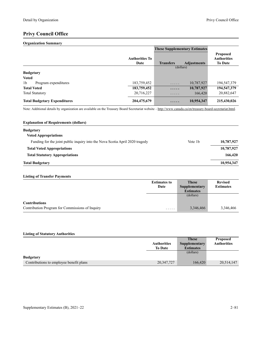## **Privy Council Office**

#### **Organization Summary**

|                                        |                               | <b>These Supplementary Estimates</b> |                    |                                                         |
|----------------------------------------|-------------------------------|--------------------------------------|--------------------|---------------------------------------------------------|
|                                        | <b>Authorities To</b><br>Date | <b>Transfers</b>                     | <b>Adjustments</b> | <b>Proposed</b><br><b>Authorities</b><br><b>To Date</b> |
|                                        |                               | (dollars)                            |                    |                                                         |
| <b>Budgetary</b>                       |                               |                                      |                    |                                                         |
| <b>Voted</b>                           |                               |                                      |                    |                                                         |
| 1 <sub>b</sub><br>Program expenditures | 183,759,452                   | .                                    | 10,787,927         | 194,547,379                                             |
| <b>Total Voted</b>                     | 183,759,452                   | .                                    | 10,787,927         | 194,547,379                                             |
| <b>Total Statutory</b>                 | 20,716,227                    | .                                    | 166,420            | 20,882,647                                              |
| <b>Total Budgetary Expenditures</b>    | 204,475,679                   | .                                    | 10,954,347         | 215,430,026                                             |

Note: Additional details by organization are available on the Treasury Board Secretariat website -<http://www.canada.ca/en/treasury-board-secretariat.html>.

| <b>Explanation of Requirements (dollars)</b>                                 |                     |            |
|------------------------------------------------------------------------------|---------------------|------------|
| <b>Budgetary</b><br><b>Voted Appropriations</b>                              |                     |            |
| Funding for the joint public inquiry into the Nova Scotia April 2020 tragedy | Vote 1 <sub>b</sub> | 10,787,927 |
| <b>Total Voted Appropriations</b>                                            |                     | 10,787,927 |
| <b>Total Statutory Appropriations</b>                                        |                     | 166,420    |
| <b>Total Budgetary</b>                                                       |                     | 10,954,347 |

### **Listing of Transfer Payments**

|                                                 | <b>Estimates to</b> | <b>These</b>     | <b>Revised</b>   |
|-------------------------------------------------|---------------------|------------------|------------------|
|                                                 | Date                | Supplementary    | <b>Estimates</b> |
|                                                 |                     | <b>Estimates</b> |                  |
|                                                 |                     | (dollars)        |                  |
| <b>Contributions</b>                            |                     |                  |                  |
| Contribution Program for Commissions of Inquiry | .                   | 3,346,466        | 3,346,466        |

|                                         |                    | <b>These</b>     | <b>Proposed</b>    |
|-----------------------------------------|--------------------|------------------|--------------------|
|                                         | <b>Authorities</b> | Supplementary    | <b>Authorities</b> |
|                                         | <b>To Date</b>     | <b>Estimates</b> |                    |
|                                         |                    | (dollars)        |                    |
| <b>Budgetary</b>                        |                    |                  |                    |
| Contributions to employee benefit plans | 20,347,727         | 166,420          | 20,514,147         |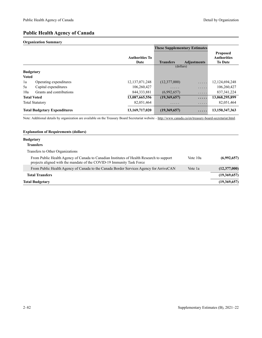### **Public Health Agency of Canada**

#### **Organization Summary**

|                  |                                     |                               | <b>These Supplementary Estimates</b> |                    |                                                         |
|------------------|-------------------------------------|-------------------------------|--------------------------------------|--------------------|---------------------------------------------------------|
|                  |                                     | <b>Authorities To</b><br>Date | <b>Transfers</b>                     | <b>Adjustments</b> | <b>Proposed</b><br><b>Authorities</b><br><b>To Date</b> |
|                  |                                     |                               | (dollars)                            |                    |                                                         |
| <b>Budgetary</b> |                                     |                               |                                      |                    |                                                         |
| <b>Voted</b>     |                                     |                               |                                      |                    |                                                         |
| 1a               | Operating expenditures              | 12, 137, 071, 248             | (12,377,000)                         | $\cdots$           | 12, 124, 694, 248                                       |
| 5a               | Capital expenditures                | 106,260,427                   | .                                    | .                  | 106,260,427                                             |
| 10a              | Grants and contributions            | 844, 333, 881                 | (6,992,657)                          | .                  | 837, 341, 224                                           |
|                  | <b>Total Voted</b>                  | 13,087,665,556                | (19,369,657)                         | .                  | 13,068,295,899                                          |
|                  | <b>Total Statutory</b>              | 82,051,464                    | .                                    | .                  | 82,051,464                                              |
|                  | <b>Total Budgetary Expenditures</b> | 13,169,717,020                | (19,369,657)                         | .                  | 13,150,347,363                                          |

Note: Additional details by organization are available on the Treasury Board Secretariat website -<http://www.canada.ca/en/treasury-board-secretariat.html>.

#### **Explanation of Requirements (dollars)**

### **Budgetary**

#### **Transfers**

Transfers to Other Organizations

| From Public Health Agency of Canada to Canadian Institutes of Health Research to support<br>projects aligned with the mandate of the COVID-19 Immunity Task Force | Vote 10a | (6,992,657)  |
|-------------------------------------------------------------------------------------------------------------------------------------------------------------------|----------|--------------|
| From Public Health Agency of Canada to the Canada Border Services Agency for ArriveCAN                                                                            | Vote 1a  | (12,377,000) |
| <b>Total Transfers</b>                                                                                                                                            |          | (19,369,657) |
| Total Budgetary                                                                                                                                                   |          | (19,369,657) |
|                                                                                                                                                                   |          |              |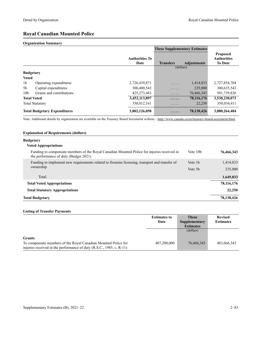### **Royal Canadian Mounted Police**

#### **Organization Summary**

|                  |                                     |                               | <b>These Supplementary Estimates</b> |                    |                                                         |
|------------------|-------------------------------------|-------------------------------|--------------------------------------|--------------------|---------------------------------------------------------|
|                  |                                     | <b>Authorities To</b><br>Date | <b>Transfers</b>                     | <b>Adjustments</b> | <b>Proposed</b><br><b>Authorities</b><br><b>To Date</b> |
|                  |                                     |                               | (dollars)                            |                    |                                                         |
| <b>Budgetary</b> |                                     |                               |                                      |                    |                                                         |
| <b>Voted</b>     |                                     |                               |                                      |                    |                                                         |
| 1 <sub>b</sub>   | Operating expenditures              | 2,726,439,871                 | .                                    | 1,414,833          | 2,727,854,704                                           |
| 5b               | Capital expenditures                | 300,400,543                   | .                                    | 235,000            | 300,635,543                                             |
| 10 <sub>b</sub>  | Grants and contributions            | 425, 273, 483                 | .                                    | 76,466,343         | 501,739,826                                             |
|                  | <b>Total Voted</b>                  | 3,452,113,897                 | .                                    | 78,116,176         | 3,530,230,073                                           |
|                  | <b>Total Statutory</b>              | 350,012,161                   | .                                    | 22,250             | 350,034,411                                             |
|                  | <b>Total Budgetary Expenditures</b> | 3,802,126,058                 | .                                    | 78,138,426         | 3,880,264,484                                           |

Note: Additional details by organization are available on the Treasury Board Secretariat website -<http://www.canada.ca/en/treasury-board-secretariat.html>.

#### **Explanation of Requirements (dollars)**

#### **Budgetary**

| <b>Voted Appropriations</b> |  |
|-----------------------------|--|
|-----------------------------|--|

| Funding to compensate members of the Royal Canadian Mounted Police for injuries received in<br>the performance of duty (Budget 2021) | Vote 10 <sub>b</sub> | 76,466,343   |
|--------------------------------------------------------------------------------------------------------------------------------------|----------------------|--------------|
| Funding to implement new requirements related to firearms licensing, transport and transfer of<br>ownership                          | Vote 1b              | 1,414,833    |
|                                                                                                                                      | Vote 5b              | 235,000      |
| Total                                                                                                                                |                      | 1,649,833    |
| <b>Total Voted Appropriations</b>                                                                                                    |                      | 78, 116, 176 |
| <b>Total Statutory Appropriations</b>                                                                                                |                      | 22,250       |
| <b>Total Budgetary</b>                                                                                                               |                      | 78,138,426   |

#### **Listing of Transfer Payments**

|                                                                                                                                        | <b>Estimates to</b> | <b>These</b>     | <b>Revised</b>   |
|----------------------------------------------------------------------------------------------------------------------------------------|---------------------|------------------|------------------|
|                                                                                                                                        | Date                | Supplementary    | <b>Estimates</b> |
|                                                                                                                                        |                     | <b>Estimates</b> |                  |
|                                                                                                                                        |                     | (dollars)        |                  |
| <b>Grants</b>                                                                                                                          |                     |                  |                  |
| To compensate members of the Royal Canadian Mounted Police for<br>injuries received in the performance of duty (R.S.C., 1985, c. R-11) | 407.200.000         | 76,466,343       | 483,666,343      |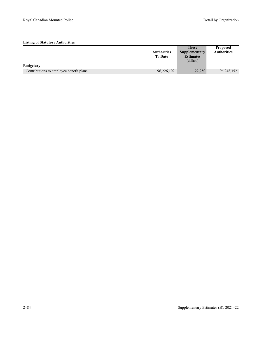|                                         |                    | <b>These</b>     | <b>Proposed</b>    |
|-----------------------------------------|--------------------|------------------|--------------------|
|                                         | <b>Authorities</b> | Supplementary    | <b>Authorities</b> |
|                                         | <b>To Date</b>     | <b>Estimates</b> |                    |
|                                         |                    | (dollars)        |                    |
| <b>Budgetary</b>                        |                    |                  |                    |
| Contributions to employee benefit plans | 96,226,102         | 22,250           | 96,248,352         |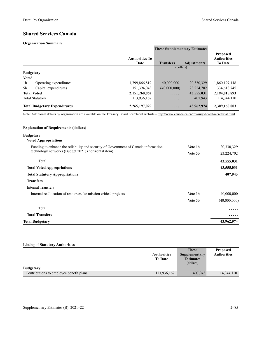# **Shared Services Canada**

#### **Organization Summary**

|                                          |                               | <b>These Supplementary Estimates</b> |                    |                                                         |
|------------------------------------------|-------------------------------|--------------------------------------|--------------------|---------------------------------------------------------|
|                                          | <b>Authorities To</b><br>Date | <b>Transfers</b>                     | <b>Adjustments</b> | <b>Proposed</b><br><b>Authorities</b><br><b>To Date</b> |
|                                          |                               | (dollars)                            |                    |                                                         |
| <b>Budgetary</b>                         |                               |                                      |                    |                                                         |
| <b>Voted</b>                             |                               |                                      |                    |                                                         |
| 1 <sub>b</sub><br>Operating expenditures | 1,799,866,819                 | 40,000,000                           | 20,330,329         | 1,860,197,148                                           |
| 5 <sub>b</sub><br>Capital expenditures   | 351,394,043                   | (40,000,000)                         | 23,224,702         | 334,618,745                                             |
| <b>Total Voted</b>                       | 2,151,260,862                 | .                                    | 43,555,031         | 2,194,815,893                                           |
| <b>Total Statutory</b>                   | 113,936,167                   | $\cdots\cdots\cdots$                 | 407,943            | 114,344,110                                             |
| <b>Total Budgetary Expenditures</b>      | 2,265,197,029                 | .                                    | 43,962,974         | 2,309,160,003                                           |

Note: Additional details by organization are available on the Treasury Board Secretariat website –<http://www.canada.ca/en/treasury-board-secretariat.html>.

| <b>Explanation of Requirements (dollars)</b>                                        |         |              |
|-------------------------------------------------------------------------------------|---------|--------------|
| <b>Budgetary</b>                                                                    |         |              |
| <b>Voted Appropriations</b>                                                         |         |              |
| Funding to enhance the reliability and security of Government of Canada information | Vote 1b | 20,330,329   |
| technology networks (Budget 2021) (horizontal item)                                 | Vote 5b | 23,224,702   |
| Total                                                                               |         | 43,555,031   |
| <b>Total Voted Appropriations</b>                                                   |         | 43,555,031   |
| <b>Total Statutory Appropriations</b>                                               |         | 407,943      |
| <b>Transfers</b>                                                                    |         |              |
| <b>Internal Transfers</b>                                                           |         |              |
| Internal reallocation of resources for mission critical projects                    | Vote 1b | 40,000,000   |
|                                                                                     | Vote 5b | (40,000,000) |
| Total                                                                               |         | .            |
| <b>Total Transfers</b>                                                              |         | .            |
| <b>Total Budgetary</b>                                                              |         | 43,962,974   |

|                                         |                    | <b>These</b>     | <b>Proposed</b>    |
|-----------------------------------------|--------------------|------------------|--------------------|
|                                         | <b>Authorities</b> | Supplementary    | <b>Authorities</b> |
|                                         | <b>To Date</b>     | <b>Estimates</b> |                    |
|                                         |                    | (dollars)        |                    |
| <b>Budgetary</b>                        |                    |                  |                    |
| Contributions to employee benefit plans | 113,936,167        | 407,943          | 114,344,110        |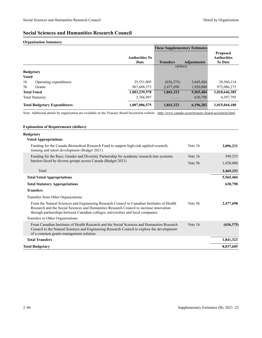## **Social Sciences and Humanities Research Council**

#### **Organization Summary**

|                |                                     |                               | <b>These Supplementary Estimates</b> |                    |                                                         |
|----------------|-------------------------------------|-------------------------------|--------------------------------------|--------------------|---------------------------------------------------------|
|                |                                     | <b>Authorities To</b><br>Date | <b>Transfers</b>                     | <b>Adjustments</b> | <b>Proposed</b><br><b>Authorities</b><br><b>To Date</b> |
|                |                                     |                               | (dollars)                            |                    |                                                         |
|                | <b>Budgetary</b>                    |                               |                                      |                    |                                                         |
| <b>Voted</b>   |                                     |                               |                                      |                    |                                                         |
| 1 <sub>b</sub> | Operating expenditures              | 35,551,005                    | (636,375)                            | 3,645,484          | 38,560,114                                              |
| 5 <sub>b</sub> | Grants                              | 967,688,573                   | 2,477,698                            | 1,920,000          | 972,086,271                                             |
|                | <b>Total Voted</b>                  | 1,003,239,578                 | 1,841,323                            | 5,565,484          | 1,010,646,385                                           |
|                | <b>Total Statutory</b>              | 3,766,997                     | .                                    | 630,798            | 4,397,795                                               |
|                | <b>Total Budgetary Expenditures</b> | 1,007,006,575                 | 1,841,323                            | 6,196,282          | 1,015,044,180                                           |

Note: Additional details by organization are available on the Treasury Board Secretariat website -<http://www.canada.ca/en/treasury-board-secretariat.html>.

| <b>Explanation of Requirements (dollars)</b>                                                                                                                                                                                                                               |         |            |
|----------------------------------------------------------------------------------------------------------------------------------------------------------------------------------------------------------------------------------------------------------------------------|---------|------------|
| <b>Budgetary</b>                                                                                                                                                                                                                                                           |         |            |
| <b>Voted Appropriations</b>                                                                                                                                                                                                                                                |         |            |
| Funding for the Canada Biomedical Research Fund to support high-risk applied research,<br>training and talent development (Budget 2021)                                                                                                                                    | Vote 1b | 3,096,231  |
| Funding for the Race, Gender and Diversity Partnership for academic research into systemic                                                                                                                                                                                 | Vote 1b | 549,253    |
| barriers faced by diverse groups across Canada (Budget 2021)                                                                                                                                                                                                               | Vote 5b | 1,920,000  |
| Total                                                                                                                                                                                                                                                                      |         | 2,469,253  |
| <b>Total Voted Appropriations</b>                                                                                                                                                                                                                                          |         | 5,565,484  |
| <b>Total Statutory Appropriations</b>                                                                                                                                                                                                                                      |         | 630,798    |
| <b>Transfers</b>                                                                                                                                                                                                                                                           |         |            |
| Transfers from Other Organizations                                                                                                                                                                                                                                         |         |            |
| From the Natural Sciences and Engineering Research Council to Canadian Institutes of Health<br>Research and the Social Sciences and Humanities Research Council to increase innovation<br>through partnerships between Canadian colleges, universities and local companies | Vote 5b | 2.477.698  |
| Transfers to Other Organizations                                                                                                                                                                                                                                           |         |            |
| From Canadian Institutes of Health Research and the Social Sciences and Humanities Research<br>Council to the Natural Sciences and Engineering Research Council to explore the development<br>of a common grants management solution                                       | Vote 1b | (636, 375) |
| <b>Total Transfers</b>                                                                                                                                                                                                                                                     |         | 1,841,323  |
| <b>Total Budgetary</b>                                                                                                                                                                                                                                                     |         | 8,037,605  |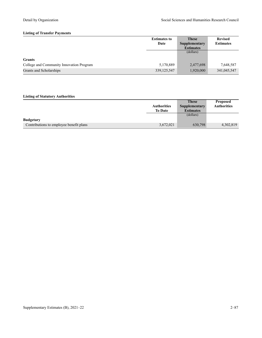#### **Listing of Transfer Payments**

|                                          | <b>Estimates to</b> | <b>These</b>     | <b>Revised</b>   |
|------------------------------------------|---------------------|------------------|------------------|
|                                          | Date                | Supplementary    | <b>Estimates</b> |
|                                          |                     | <b>Estimates</b> |                  |
|                                          |                     | (dollars)        |                  |
| <b>Grants</b>                            |                     |                  |                  |
| College and Community Innovation Program | 5,170,889           | 2,477,698        | 7,648,587        |
| Grants and Scholarships                  | 339, 125, 547       | 1,920,000        | 341,045,547      |

|                                         |                    | <b>These</b>         | <b>Proposed</b>    |
|-----------------------------------------|--------------------|----------------------|--------------------|
|                                         | <b>Authorities</b> | <b>Supplementary</b> | <b>Authorities</b> |
|                                         | <b>To Date</b>     | <b>Estimates</b>     |                    |
|                                         |                    | (dollars)            |                    |
| <b>Budgetary</b>                        |                    |                      |                    |
| Contributions to employee benefit plans | 3,672,021          | 630,798              | 4,302,819          |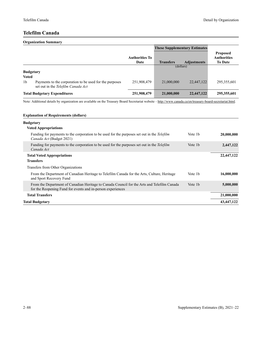**Proposed Authorities To Date**

### **Telefilm Canada**

#### **Organization Summary These Supplementary Estimates Authorities To Date Transfers Adjustments** (dollars) **Budgetary Voted** 1b Payments to the corporation to be used for the purposes set out in the *Telefilm Canada Act* 251,908,479 21,000,000 22,447,122 295,355,601

**Total Budgetary Expenditures 251,908,479 21,000,000 22,447,122 295,355,601**  Note: Additional details by organization are available on the Treasury Board Secretariat website -<http://www.canada.ca/en/treasury-board-secretariat.html>.

| <b>Explanation of Requirements (dollars)</b>                                                                                                               |                     |            |
|------------------------------------------------------------------------------------------------------------------------------------------------------------|---------------------|------------|
| <b>Budgetary</b><br><b>Voted Appropriations</b>                                                                                                            |                     |            |
| Funding for payments to the corporation to be used for the purposes set out in the Telefilm<br>Canada Act (Budget 2021)                                    | Vote 1 <sub>b</sub> | 20,000,000 |
| Funding for payments to the corporation to be used for the purposes set out in the Telefilm<br>Canada Act                                                  | Vote 1b             | 2,447,122  |
| <b>Total Voted Appropriations</b><br><b>Transfers</b>                                                                                                      |                     | 22,447,122 |
| Transfers from Other Organizations                                                                                                                         |                     |            |
| From the Department of Canadian Heritage to Telefilm Canada for the Arts, Culture, Heritage<br>and Sport Recovery Fund                                     | Vote 1 <sub>b</sub> | 16,000,000 |
| From the Department of Canadian Heritage to Canada Council for the Arts and Telefilm Canada<br>for the Reopening Fund for events and in-person experiences | Vote 1b             | 5,000,000  |
| <b>Total Transfers</b>                                                                                                                                     |                     | 21,000,000 |
| <b>Total Budgetary</b>                                                                                                                                     |                     | 43,447,122 |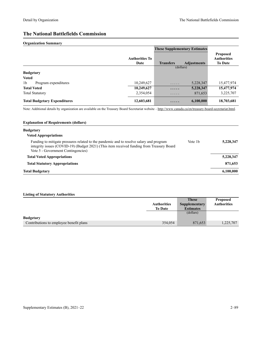# **The National Battlefields Commission**

#### **Organization Summary**

|                                        |                               | <b>These Supplementary Estimates</b> |                    |                                                         |
|----------------------------------------|-------------------------------|--------------------------------------|--------------------|---------------------------------------------------------|
|                                        | <b>Authorities To</b><br>Date | <b>Transfers</b>                     | <b>Adjustments</b> | <b>Proposed</b><br><b>Authorities</b><br><b>To Date</b> |
|                                        |                               | (dollars)                            |                    |                                                         |
| <b>Budgetary</b>                       |                               |                                      |                    |                                                         |
| <b>Voted</b>                           |                               |                                      |                    |                                                         |
| 1 <sub>b</sub><br>Program expenditures | 10,249,627                    | .                                    | 5,228,347          | 15,477,974                                              |
| <b>Total Voted</b>                     | 10,249,627                    | .                                    | 5,228,347          | 15,477,974                                              |
| <b>Total Statutory</b>                 | 2,354,054                     | .                                    | 871,653            | 3,225,707                                               |
| <b>Total Budgetary Expenditures</b>    | 12,603,681                    | .                                    | 6,100,000          | 18,703,681                                              |

Note: Additional details by organization are available on the Treasury Board Secretariat website -<http://www.canada.ca/en/treasury-board-secretariat.html>.

| <b>Explanation of Requirements (dollars)</b>                                                                                                                                                                               |                     |           |
|----------------------------------------------------------------------------------------------------------------------------------------------------------------------------------------------------------------------------|---------------------|-----------|
| <b>Budgetary</b><br><b>Voted Appropriations</b>                                                                                                                                                                            |                     |           |
| Funding to mitigate pressures related to the pandemic and to resolve salary and program<br>integrity issues (COVID-19) (Budget 2021) (This item received funding from Treasury Board<br>Vote 5 - Government Contingencies) | Vote 1 <sub>b</sub> | 5,228,347 |
| <b>Total Voted Appropriations</b>                                                                                                                                                                                          |                     | 5,228,347 |
| <b>Total Statutory Appropriations</b>                                                                                                                                                                                      |                     | 871,653   |
| <b>Total Budgetary</b>                                                                                                                                                                                                     |                     | 6,100,000 |

|                                         |                    | <b>These</b>     | <b>Proposed</b>    |
|-----------------------------------------|--------------------|------------------|--------------------|
|                                         | <b>Authorities</b> | Supplementary    | <b>Authorities</b> |
|                                         | <b>To Date</b>     | <b>Estimates</b> |                    |
|                                         |                    | (dollars)        |                    |
| <b>Budgetary</b>                        |                    |                  |                    |
| Contributions to employee benefit plans | 354,054            | 871,653          | 1,225,707          |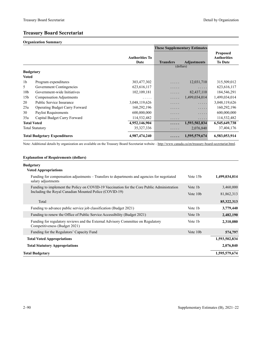## **Treasury Board Secretariat**

#### **Organization Summary**

|                    |                                       |                               | <b>These Supplementary Estimates</b> |                    |                                                         |
|--------------------|---------------------------------------|-------------------------------|--------------------------------------|--------------------|---------------------------------------------------------|
|                    |                                       | <b>Authorities To</b><br>Date | <b>Transfers</b>                     | <b>Adjustments</b> | <b>Proposed</b><br><b>Authorities</b><br><b>To Date</b> |
|                    |                                       |                               | (dollars)                            |                    |                                                         |
| <b>Budgetary</b>   |                                       |                               |                                      |                    |                                                         |
| <b>Voted</b>       |                                       |                               |                                      |                    |                                                         |
| 1b                 | Program expenditures                  | 303,477,302                   | .                                    | 12,031,710         | 315,509,012                                             |
| 5                  | Government Contingencies              | 623, 616, 117                 | .                                    | .                  | 623, 616, 117                                           |
| 10 <sub>b</sub>    | Government-wide Initiatives           | 102, 109, 181                 | .                                    | 82,437,110         | 184,546,291                                             |
| 15 <sub>b</sub>    | Compensation Adjustments              | $\cdots$                      | .                                    | 1,499,034,014      | 1,499,034,014                                           |
| 20                 | Public Service Insurance              | 3,048,119,626                 | .                                    | .                  | 3,048,119,626                                           |
| 25a                | <b>Operating Budget Carry Forward</b> | 160,292,196                   | .                                    | .                  | 160,292,196                                             |
| 30                 | Paylist Requirements                  | 600,000,000                   | .                                    | .                  | 600,000,000                                             |
| 35a                | Capital Budget Carry Forward          | 114,532,482                   | .                                    | .                  | 114,532,482                                             |
| <b>Total Voted</b> |                                       | 4,952,146,904                 |                                      | 1,593,502,834      | 6,545,649,738                                           |
|                    | <b>Total Statutory</b>                | 35, 327, 336                  | .                                    | 2,076,840          | 37,404,176                                              |
|                    | <b>Total Budgetary Expenditures</b>   | 4,987,474,240                 | $\cdots$                             | 1,595,579,674      | 6,583,053,914                                           |

Note: Additional details by organization are available on the Treasury Board Secretariat website -<http://www.canada.ca/en/treasury-board-secretariat.html>.

#### **Explanation of Requirements (dollars)**

#### **Bu**

| Budgetary                                                                                                         |                     |               |
|-------------------------------------------------------------------------------------------------------------------|---------------------|---------------|
| <b>Voted Appropriations</b>                                                                                       |                     |               |
| Funding for compensation adjustments – Transfers to departments and agencies for negotiated<br>salary adjustments | Vote 15b            | 1,499,034,014 |
| Funding to implement the Policy on COVID-19 Vaccination for the Core Public Administration                        | Vote 1b             | 3,460,000     |
| Including the Royal Canadian Mounted Police (COVID-19)                                                            | Vote 10b            | 81,862,313    |
| Total                                                                                                             |                     | 85,322,313    |
| Funding to advance public service job classification (Budget 2021)                                                | Vote 1 <sub>b</sub> | 3,779,440     |
| Funding to renew the Office of Public Service Accessibility (Budget 2021)                                         | Vote 1b             | 2,482,190     |
| Funding for regulatory reviews and the External Advisory Committee on Regulatory<br>Competitiveness (Budget 2021) | Vote 1b             | 2,310,080     |
| Funding for the Regulators' Capacity Fund                                                                         | Vote 10b            | 574,797       |
| <b>Total Voted Appropriations</b>                                                                                 |                     | 1,593,502,834 |
| <b>Total Statutory Appropriations</b>                                                                             |                     | 2,076,840     |
| Total Budgetary                                                                                                   |                     | 1,595,579,674 |
|                                                                                                                   |                     |               |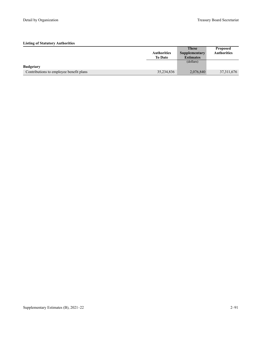|                                         |                    | <b>These</b>         | <b>Proposed</b>    |
|-----------------------------------------|--------------------|----------------------|--------------------|
|                                         | <b>Authorities</b> | <b>Supplementary</b> | <b>Authorities</b> |
|                                         | <b>To Date</b>     | <b>Estimates</b>     |                    |
|                                         |                    | (dollars)            |                    |
| <b>Budgetary</b>                        |                    |                      |                    |
| Contributions to employee benefit plans | 35,234,836         | 2,076,840            | 37, 311, 676       |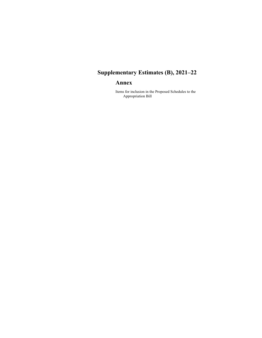# **Supplementary Estimates (B), 2021–22**

# **Annex**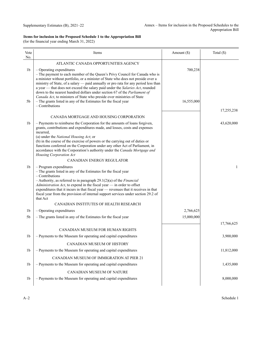(for the financial year ending March 31, 2022)

| Vote<br>No.    | Items                                                                                                                                                                                                                                                                                                                                                                                                                                                                                    | Amount (\$) | Total $(\$)$ |
|----------------|------------------------------------------------------------------------------------------------------------------------------------------------------------------------------------------------------------------------------------------------------------------------------------------------------------------------------------------------------------------------------------------------------------------------------------------------------------------------------------------|-------------|--------------|
|                | ATLANTIC CANADA OPPORTUNITIES AGENCY                                                                                                                                                                                                                                                                                                                                                                                                                                                     |             |              |
| 1 <sub>b</sub> | $-$ Operating expenditures<br>- The payment to each member of the Queen's Privy Council for Canada who is<br>a minister without portfolio, or a minister of State who does not preside over a<br>ministry of State, of a salary - paid annually or pro rata for any period less than<br>a year — that does not exceed the salary paid under the Salaries Act, rounded                                                                                                                    | 700,238     |              |
| 5b             | down to the nearest hundred dollars under section 67 of the Parliament of<br>Canada Act, to ministers of State who preside over ministries of State<br>- The grants listed in any of the Estimates for the fiscal year<br>$-$ Contributions                                                                                                                                                                                                                                              | 16,555,000  |              |
|                | CANADA MORTGAGE AND HOUSING CORPORATION                                                                                                                                                                                                                                                                                                                                                                                                                                                  |             | 17,255,238   |
| 1 <sub>b</sub> | - Payments to reimburse the Corporation for the amounts of loans forgiven,<br>grants, contributions and expenditures made, and losses, costs and expenses<br>incurred,<br>(a) under the National Housing Act; or<br>(b) in the course of the exercise of powers or the carrying out of duties or<br>functions conferred on the Corporation under any other Act of Parliament, in<br>accordance with the Corporation's authority under the Canada Mortgage and<br>Housing Corporation Act |             | 43,620,000   |
|                | CANADIAN ENERGY REGULATOR                                                                                                                                                                                                                                                                                                                                                                                                                                                                |             |              |
| 1 <sub>b</sub> | $-$ Program expenditures<br>- The grants listed in any of the Estimates for the fiscal year<br>$-$ Contributions<br>- Authority, as referred to in paragraph $29.1(2)(a)$ of the <i>Financial</i><br>Administration Act, to expend in the fiscal year - in order to offset<br>expenditures that it incurs in that fiscal year - revenues that it receives in that<br>fiscal year from the provision of internal support services under section 29.2 of<br>that Act                       |             | 1            |
|                | CANADIAN INSTITUTES OF HEALTH RESEARCH                                                                                                                                                                                                                                                                                                                                                                                                                                                   |             |              |
| 1 <sub>b</sub> | $-$ Operating expenditures                                                                                                                                                                                                                                                                                                                                                                                                                                                               | 2,766,625   |              |
| 5 <sub>b</sub> | - The grants listed in any of the Estimates for the fiscal year                                                                                                                                                                                                                                                                                                                                                                                                                          | 15,000,000  |              |
|                | CANADIAN MUSEUM FOR HUMAN RIGHTS                                                                                                                                                                                                                                                                                                                                                                                                                                                         |             | 17,766,625   |
| 1 <sub>b</sub> | - Payments to the Museum for operating and capital expenditures                                                                                                                                                                                                                                                                                                                                                                                                                          |             | 3,900,000    |
|                | CANADIAN MUSEUM OF HISTORY                                                                                                                                                                                                                                                                                                                                                                                                                                                               |             |              |
| 1 <sub>b</sub> | - Payments to the Museum for operating and capital expenditures                                                                                                                                                                                                                                                                                                                                                                                                                          |             | 11,812,000   |
|                | CANADIAN MUSEUM OF IMMIGRATION AT PIER 21                                                                                                                                                                                                                                                                                                                                                                                                                                                |             |              |
| 1 <sub>b</sub> | - Payments to the Museum for operating and capital expenditures                                                                                                                                                                                                                                                                                                                                                                                                                          |             | 1,435,000    |
|                | CANADIAN MUSEUM OF NATURE                                                                                                                                                                                                                                                                                                                                                                                                                                                                |             |              |
| 1 <sub>b</sub> | - Payments to the Museum for operating and capital expenditures                                                                                                                                                                                                                                                                                                                                                                                                                          |             | 8,000,000    |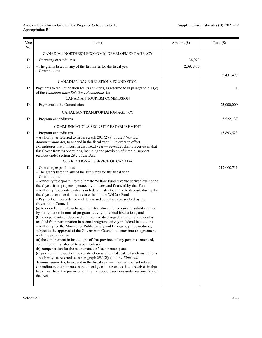| Vote<br>No.    | Items                                                                                                                                                                                                                                                                                                                                                                                                                                                                                                                                                                                                                                                                                                                                                                                                                                                                                                                                                                                                                                                                                                                                                                                                                                                                                                                                                                                                                                                                                                                                                                                                                                                                                           | Amount (\$) | Total $(\$)$ |
|----------------|-------------------------------------------------------------------------------------------------------------------------------------------------------------------------------------------------------------------------------------------------------------------------------------------------------------------------------------------------------------------------------------------------------------------------------------------------------------------------------------------------------------------------------------------------------------------------------------------------------------------------------------------------------------------------------------------------------------------------------------------------------------------------------------------------------------------------------------------------------------------------------------------------------------------------------------------------------------------------------------------------------------------------------------------------------------------------------------------------------------------------------------------------------------------------------------------------------------------------------------------------------------------------------------------------------------------------------------------------------------------------------------------------------------------------------------------------------------------------------------------------------------------------------------------------------------------------------------------------------------------------------------------------------------------------------------------------|-------------|--------------|
|                | CANADIAN NORTHERN ECONOMIC DEVELOPMENT AGENCY                                                                                                                                                                                                                                                                                                                                                                                                                                                                                                                                                                                                                                                                                                                                                                                                                                                                                                                                                                                                                                                                                                                                                                                                                                                                                                                                                                                                                                                                                                                                                                                                                                                   |             |              |
| 1b             | $-$ Operating expenditures                                                                                                                                                                                                                                                                                                                                                                                                                                                                                                                                                                                                                                                                                                                                                                                                                                                                                                                                                                                                                                                                                                                                                                                                                                                                                                                                                                                                                                                                                                                                                                                                                                                                      | 38,070      |              |
| 5b             | - The grants listed in any of the Estimates for the fiscal year<br>$-$ Contributions                                                                                                                                                                                                                                                                                                                                                                                                                                                                                                                                                                                                                                                                                                                                                                                                                                                                                                                                                                                                                                                                                                                                                                                                                                                                                                                                                                                                                                                                                                                                                                                                            | 2,393,407   |              |
|                |                                                                                                                                                                                                                                                                                                                                                                                                                                                                                                                                                                                                                                                                                                                                                                                                                                                                                                                                                                                                                                                                                                                                                                                                                                                                                                                                                                                                                                                                                                                                                                                                                                                                                                 |             | 2,431,477    |
|                | CANADIAN RACE RELATIONS FOUNDATION                                                                                                                                                                                                                                                                                                                                                                                                                                                                                                                                                                                                                                                                                                                                                                                                                                                                                                                                                                                                                                                                                                                                                                                                                                                                                                                                                                                                                                                                                                                                                                                                                                                              |             |              |
| 1b             | Payments to the Foundation for its activities, as referred to in paragraph $5(1)(c)$<br>of the Canadian Race Relations Foundation Act                                                                                                                                                                                                                                                                                                                                                                                                                                                                                                                                                                                                                                                                                                                                                                                                                                                                                                                                                                                                                                                                                                                                                                                                                                                                                                                                                                                                                                                                                                                                                           |             | 1            |
|                | CANADIAN TOURISM COMMISSION                                                                                                                                                                                                                                                                                                                                                                                                                                                                                                                                                                                                                                                                                                                                                                                                                                                                                                                                                                                                                                                                                                                                                                                                                                                                                                                                                                                                                                                                                                                                                                                                                                                                     |             |              |
| 1b             | - Payments to the Commission                                                                                                                                                                                                                                                                                                                                                                                                                                                                                                                                                                                                                                                                                                                                                                                                                                                                                                                                                                                                                                                                                                                                                                                                                                                                                                                                                                                                                                                                                                                                                                                                                                                                    |             | 25,000,000   |
|                | CANADIAN TRANSPORTATION AGENCY                                                                                                                                                                                                                                                                                                                                                                                                                                                                                                                                                                                                                                                                                                                                                                                                                                                                                                                                                                                                                                                                                                                                                                                                                                                                                                                                                                                                                                                                                                                                                                                                                                                                  |             |              |
| 1b             | - Program expenditures                                                                                                                                                                                                                                                                                                                                                                                                                                                                                                                                                                                                                                                                                                                                                                                                                                                                                                                                                                                                                                                                                                                                                                                                                                                                                                                                                                                                                                                                                                                                                                                                                                                                          |             | 3,522,137    |
|                | COMMUNICATIONS SECURITY ESTABLISHMENT                                                                                                                                                                                                                                                                                                                                                                                                                                                                                                                                                                                                                                                                                                                                                                                                                                                                                                                                                                                                                                                                                                                                                                                                                                                                                                                                                                                                                                                                                                                                                                                                                                                           |             |              |
| 1b             | $-$ Program expenditures<br>$-$ Authority, as referred to in paragraph 29.1(2)(a) of the <i>Financial</i><br>Administration Act, to expend in the fiscal year $-$ in order to offset<br>expenditures that it incurs in that fiscal year - revenues that it receives in that<br>fiscal year from its operations, including the provision of internal support<br>services under section 29.2 of that Act                                                                                                                                                                                                                                                                                                                                                                                                                                                                                                                                                                                                                                                                                                                                                                                                                                                                                                                                                                                                                                                                                                                                                                                                                                                                                          |             | 45,893,523   |
|                | CORRECTIONAL SERVICE OF CANADA                                                                                                                                                                                                                                                                                                                                                                                                                                                                                                                                                                                                                                                                                                                                                                                                                                                                                                                                                                                                                                                                                                                                                                                                                                                                                                                                                                                                                                                                                                                                                                                                                                                                  |             |              |
| 1 <sub>b</sub> | - Operating expenditures<br>- The grants listed in any of the Estimates for the fiscal year<br>- Contributions<br>- Authority to deposit into the Inmate Welfare Fund revenue derived during the<br>fiscal year from projects operated by inmates and financed by that Fund<br>- Authority to operate canteens in federal institutions and to deposit, during the<br>fiscal year, revenue from sales into the Inmate Welfare Fund<br>- Payments, in accordance with terms and conditions prescribed by the<br>Governor in Council,<br>(a) to or on behalf of discharged inmates who suffer physical disability caused<br>by participation in normal program activity in federal institutions; and<br>(b) to dependants of deceased inmates and discharged inmates whose deaths<br>resulted from participation in normal program activity in federal institutions<br>- Authority for the Minister of Public Safety and Emergency Preparedness,<br>subject to the approval of the Governor in Council, to enter into an agreement<br>with any province for<br>(a) the confinement in institutions of that province of any persons sentenced,<br>committed or transferred to a penitentiary;<br>(b) compensation for the maintenance of such persons; and<br>(c) payment in respect of the construction and related costs of such institutions<br>- Authority, as referred to in paragraph $29.1(2)(a)$ of the <i>Financial</i><br>$Administribution$ Act, to expend in the fiscal year $-$ in order to offset related<br>expenditures that it incurs in that fiscal year — revenues that it receives in that<br>fiscal year from the provision of internal support services under section 29.2 of |             | 217,000,711  |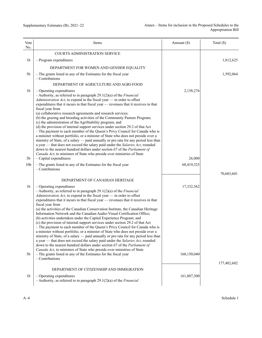| Vote<br>No.     | Items                                                                                                                                                                                                                                                                                                                                                                                                                                                                                                                                                                                                                                                                                                                                                                                                                                                                                                                                                                                                                                                                                                                                                                                                                                               | Amount $(\$)$             | Total $(\$)$ |
|-----------------|-----------------------------------------------------------------------------------------------------------------------------------------------------------------------------------------------------------------------------------------------------------------------------------------------------------------------------------------------------------------------------------------------------------------------------------------------------------------------------------------------------------------------------------------------------------------------------------------------------------------------------------------------------------------------------------------------------------------------------------------------------------------------------------------------------------------------------------------------------------------------------------------------------------------------------------------------------------------------------------------------------------------------------------------------------------------------------------------------------------------------------------------------------------------------------------------------------------------------------------------------------|---------------------------|--------------|
|                 | COURTS ADMINISTRATION SERVICE                                                                                                                                                                                                                                                                                                                                                                                                                                                                                                                                                                                                                                                                                                                                                                                                                                                                                                                                                                                                                                                                                                                                                                                                                       |                           |              |
| 1b              | $-$ Program expenditures                                                                                                                                                                                                                                                                                                                                                                                                                                                                                                                                                                                                                                                                                                                                                                                                                                                                                                                                                                                                                                                                                                                                                                                                                            |                           | 1,812,625    |
|                 | DEPARTMENT FOR WOMEN AND GENDER EQUALITY                                                                                                                                                                                                                                                                                                                                                                                                                                                                                                                                                                                                                                                                                                                                                                                                                                                                                                                                                                                                                                                                                                                                                                                                            |                           |              |
| 5b              | - The grants listed in any of the Estimates for the fiscal year<br>$-$ Contributions                                                                                                                                                                                                                                                                                                                                                                                                                                                                                                                                                                                                                                                                                                                                                                                                                                                                                                                                                                                                                                                                                                                                                                |                           | 1,592,064    |
|                 | DEPARTMENT OF AGRICULTURE AND AGRI-FOOD                                                                                                                                                                                                                                                                                                                                                                                                                                                                                                                                                                                                                                                                                                                                                                                                                                                                                                                                                                                                                                                                                                                                                                                                             |                           |              |
| 1b              | $-$ Operating expenditures<br>$-$ Authority, as referred to in paragraph 29.1(2)(a) of the <i>Financial</i><br>Administration Act, to expend in the fiscal year - in order to offset<br>expenditures that it incurs in that fiscal year — revenues that it receives in that<br>fiscal year from<br>(a) collaborative research agreements and research services;<br>(b) the grazing and breeding activities of the Community Pasture Program;<br>(c) the administration of the AgriStability program; and<br>(d) the provision of internal support services under section 29.2 of that Act<br>- The payment to each member of the Queen's Privy Council for Canada who is<br>a minister without portfolio, or a minister of State who does not preside over a<br>ministry of State, of a salary - paid annually or pro rata for any period less than<br>a year — that does not exceed the salary paid under the Salaries Act, rounded<br>down to the nearest hundred dollars under section 67 of the Parliament of                                                                                                                                                                                                                                   | 2,158,276                 |              |
| 5 <sub>b</sub>  | Canada Act, to ministers of State who preside over ministries of State<br>$-$ Capital expenditures                                                                                                                                                                                                                                                                                                                                                                                                                                                                                                                                                                                                                                                                                                                                                                                                                                                                                                                                                                                                                                                                                                                                                  | 26,000                    |              |
| 10 <sub>b</sub> | - The grants listed in any of the Estimates for the fiscal year<br>$-$ Contributions                                                                                                                                                                                                                                                                                                                                                                                                                                                                                                                                                                                                                                                                                                                                                                                                                                                                                                                                                                                                                                                                                                                                                                | 68,419,325                |              |
| 1b<br>5b        | DEPARTMENT OF CANADIAN HERITAGE<br>- Operating expenditures<br>$-$ Authority, as referred to in paragraph 29.1(2)(a) of the <i>Financial</i><br>Administration Act, to expend in the fiscal year $-$ in order to offset<br>expenditures that it incurs in that fiscal year — revenues that it receives in that<br>fiscal year from<br>(a) the activities of the Canadian Conservation Institute, the Canadian Heritage<br>Information Network and the Canadian Audio-Visual Certification Office;<br>(b) activities undertaken under the Capital Experience Program; and<br>(c) the provision of internal support services under section 29.2 of that Act<br>- The payment to each member of the Queen's Privy Council for Canada who is<br>a minister without portfolio, or a minister of State who does not preside over a<br>ministry of State, of a salary — paid annually or pro rata for any period less than<br>a year — that does not exceed the salary paid under the Salaries Act, rounded<br>down to the nearest hundred dollars under section 67 of the Parliament of<br>Canada Act, to ministers of State who preside over ministries of State<br>- The grants listed in any of the Estimates for the fiscal year<br>$-$ Contributions | 17,332,562<br>160,150,040 | 70,603,601   |
| 1 <sub>b</sub>  | DEPARTMENT OF CITIZENSHIP AND IMMIGRATION<br>$-$ Operating expenditures<br>$-$ Authority, as referred to in paragraph 29.1(2)(a) of the <i>Financial</i>                                                                                                                                                                                                                                                                                                                                                                                                                                                                                                                                                                                                                                                                                                                                                                                                                                                                                                                                                                                                                                                                                            | 161,807,300               | 177,482,602  |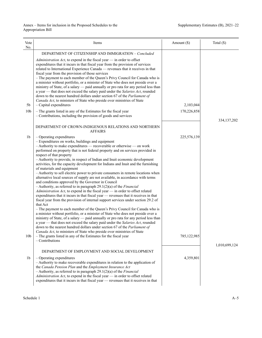| Vote<br>No.     | Items                                                                                                                                                                                                                                                                                                                                                                                                                                                                                                                                                                                                                                                                                                                                                                                                                                                                                                                                                                                                                                                                                                                                                                                                                                                                                                                                                                                                                                                                                                                                                                                                                      | Amount (\$) | Total (\$)    |
|-----------------|----------------------------------------------------------------------------------------------------------------------------------------------------------------------------------------------------------------------------------------------------------------------------------------------------------------------------------------------------------------------------------------------------------------------------------------------------------------------------------------------------------------------------------------------------------------------------------------------------------------------------------------------------------------------------------------------------------------------------------------------------------------------------------------------------------------------------------------------------------------------------------------------------------------------------------------------------------------------------------------------------------------------------------------------------------------------------------------------------------------------------------------------------------------------------------------------------------------------------------------------------------------------------------------------------------------------------------------------------------------------------------------------------------------------------------------------------------------------------------------------------------------------------------------------------------------------------------------------------------------------------|-------------|---------------|
|                 | DEPARTMENT OF CITIZENSHIP AND IMMIGRATION - Concluded                                                                                                                                                                                                                                                                                                                                                                                                                                                                                                                                                                                                                                                                                                                                                                                                                                                                                                                                                                                                                                                                                                                                                                                                                                                                                                                                                                                                                                                                                                                                                                      |             |               |
| 5b              | Administration Act, to expend in the fiscal year $-$ in order to offset<br>expenditures that it incurs in that fiscal year from the provision of services<br>related to International Experience Canada — revenues that it receives in that<br>fiscal year from the provision of those services<br>- The payment to each member of the Queen's Privy Council for Canada who is<br>a minister without portfolio, or a minister of State who does not preside over a<br>ministry of State, of a salary — paid annually or pro rata for any period less than<br>a year - that does not exceed the salary paid under the Salaries Act, rounded<br>down to the nearest hundred dollars under section 67 of the Parliament of<br>Canada Act, to ministers of State who preside over ministries of State<br>$-$ Capital expenditures                                                                                                                                                                                                                                                                                                                                                                                                                                                                                                                                                                                                                                                                                                                                                                                              | 2,103,044   |               |
| 10 <sub>b</sub> | - The grants listed in any of the Estimates for the fiscal year                                                                                                                                                                                                                                                                                                                                                                                                                                                                                                                                                                                                                                                                                                                                                                                                                                                                                                                                                                                                                                                                                                                                                                                                                                                                                                                                                                                                                                                                                                                                                            | 170,226,858 |               |
|                 | - Contributions, including the provision of goods and services                                                                                                                                                                                                                                                                                                                                                                                                                                                                                                                                                                                                                                                                                                                                                                                                                                                                                                                                                                                                                                                                                                                                                                                                                                                                                                                                                                                                                                                                                                                                                             |             | 334, 137, 202 |
|                 | DEPARTMENT OF CROWN-INDIGENOUS RELATIONS AND NORTHERN<br><b>AFFAIRS</b>                                                                                                                                                                                                                                                                                                                                                                                                                                                                                                                                                                                                                                                                                                                                                                                                                                                                                                                                                                                                                                                                                                                                                                                                                                                                                                                                                                                                                                                                                                                                                    |             |               |
| 1b              | - Operating expenditures                                                                                                                                                                                                                                                                                                                                                                                                                                                                                                                                                                                                                                                                                                                                                                                                                                                                                                                                                                                                                                                                                                                                                                                                                                                                                                                                                                                                                                                                                                                                                                                                   | 225,576,139 |               |
| 10 <sub>b</sub> | - Expenditures on works, buildings and equipment<br>- Authority to make expenditures - recoverable or otherwise - on work<br>performed on property that is not federal property and on services provided in<br>respect of that property<br>- Authority to provide, in respect of Indian and Inuit economic development<br>activities, for the capacity development for Indians and Inuit and the furnishing<br>of materials and equipment<br>- Authority to sell electric power to private consumers in remote locations when<br>alternative local sources of supply are not available, in accordance with terms<br>and conditions approved by the Governor in Council<br>$-$ Authority, as referred to in paragraph 29.1(2)(a) of the <i>Financial</i><br>Administration Act, to expend in the fiscal year - in order to offset related<br>expenditures that it incurs in that fiscal year - revenues that it receives in that<br>fiscal year from the provision of internal support services under section 29.2 of<br>that Act<br>- The payment to each member of the Queen's Privy Council for Canada who is<br>a minister without portfolio, or a minister of State who does not preside over a<br>ministry of State, of a salary — paid annually or pro rata for any period less than<br>a year - that does not exceed the salary paid under the Salaries Act, rounded<br>down to the nearest hundred dollars under section 67 of the Parliament of<br>Canada Act, to ministers of State who preside over ministries of State<br>- The grants listed in any of the Estimates for the fiscal year<br>$-$ Contributions | 785,122,985 |               |
|                 |                                                                                                                                                                                                                                                                                                                                                                                                                                                                                                                                                                                                                                                                                                                                                                                                                                                                                                                                                                                                                                                                                                                                                                                                                                                                                                                                                                                                                                                                                                                                                                                                                            |             | 1,010,699,124 |
| 1b              | DEPARTMENT OF EMPLOYMENT AND SOCIAL DEVELOPMENT<br>$-$ Operating expenditures<br>- Authority to make recoverable expenditures in relation to the application of<br>the Canada Pension Plan and the Employment Insurance Act<br>$-$ Authority, as referred to in paragraph 29.1(2)(a) of the <i>Financial</i><br>Administration Act, to expend in the fiscal year - in order to offset related<br>expenditures that it incurs in that fiscal year - revenues that it receives in that                                                                                                                                                                                                                                                                                                                                                                                                                                                                                                                                                                                                                                                                                                                                                                                                                                                                                                                                                                                                                                                                                                                                       | 4,359,801   |               |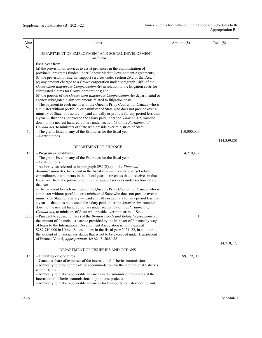| Vote<br>No.      | Items                                                                                                                                                                                                                                                                                                                                                                                                                                                                                                                                                                                                                                                                                                                                                                                                                                                                                                                                                                                                                                                                                                                                                                                                                                                                                                                                                                | Amount $(\$)$ | Total $(\$)$ |
|------------------|----------------------------------------------------------------------------------------------------------------------------------------------------------------------------------------------------------------------------------------------------------------------------------------------------------------------------------------------------------------------------------------------------------------------------------------------------------------------------------------------------------------------------------------------------------------------------------------------------------------------------------------------------------------------------------------------------------------------------------------------------------------------------------------------------------------------------------------------------------------------------------------------------------------------------------------------------------------------------------------------------------------------------------------------------------------------------------------------------------------------------------------------------------------------------------------------------------------------------------------------------------------------------------------------------------------------------------------------------------------------|---------------|--------------|
|                  | DEPARTMENT OF EMPLOYMENT AND SOCIAL DEVELOPMENT -<br>Concluded                                                                                                                                                                                                                                                                                                                                                                                                                                                                                                                                                                                                                                                                                                                                                                                                                                                                                                                                                                                                                                                                                                                                                                                                                                                                                                       |               |              |
| 5b               | fiscal year from<br>(a) the provision of services to assist provinces in the administration of<br>provincial programs funded under Labour Market Development Agreements;<br>(b) the provision of internal support services under section 29.2 of that Act;<br>(c) any amount charged to a Crown corporation under paragraph 14(b) of the<br>Government Employees Compensation Act in relation to the litigation costs for<br>subrogated claims for Crown corporations; and<br>(d) the portion of the Government Employees Compensation Act departmental or<br>agency subrogated claim settlements related to litigation costs<br>- The payment to each member of the Queen's Privy Council for Canada who is<br>a minister without portfolio, or a minister of State who does not preside over a<br>ministry of State, of a salary — paid annually or pro rata for any period less than<br>a year — that does not exceed the salary paid under the Salaries Act, rounded<br>down to the nearest hundred dollars under section 67 of the Parliament of<br>Canada Act, to ministers of State who preside over ministries of State<br>- The grants listed in any of the Estimates for the fiscal year<br>$-$ Contributions                                                                                                                                              | 110,000,000   |              |
|                  |                                                                                                                                                                                                                                                                                                                                                                                                                                                                                                                                                                                                                                                                                                                                                                                                                                                                                                                                                                                                                                                                                                                                                                                                                                                                                                                                                                      |               | 114,359,801  |
| 1b               | DEPARTMENT OF FINANCE<br>$-$ Program expenditures                                                                                                                                                                                                                                                                                                                                                                                                                                                                                                                                                                                                                                                                                                                                                                                                                                                                                                                                                                                                                                                                                                                                                                                                                                                                                                                    | 14,710,172    |              |
| L25 <sub>b</sub> | - The grants listed in any of the Estimates for the fiscal year<br>- Contributions<br>$-$ Authority, as referred to in paragraph 29.1(2)(a) of the <i>Financial</i><br>Administration Act, to expend in the fiscal year - in order to offset related<br>expenditures that it incurs in that fiscal year - revenues that it receives in that<br>fiscal year from the provision of internal support services under section 29.2 of<br>that Act<br>- The payment to each member of the Queen's Privy Council for Canada who is<br>a minister without portfolio, or a minister of State who does not preside over a<br>ministry of State, of a salary — paid annually or pro rata for any period less than<br>a year - that does not exceed the salary paid under the Salaries Act, rounded<br>down to the nearest hundred dollars under section 67 of the Parliament of<br>Canada Act, to ministers of State who preside over ministries of State<br>$-$ Pursuant to subsection 8(2) of the Bretton Woods and Related Agreements Act,<br>the amount of financial assistance provided by the Minister of Finance by way<br>of loans to the International Development Association is not to exceed<br>\$287,710,000 in United States dollars in the fiscal year 2021-22, in addition to<br>the amount of financial assistance that is not to be exceeded under Department | 1             |              |
|                  | of Finance Vote 5, Appropriation Act No. 1, 2021-22                                                                                                                                                                                                                                                                                                                                                                                                                                                                                                                                                                                                                                                                                                                                                                                                                                                                                                                                                                                                                                                                                                                                                                                                                                                                                                                  |               | 14,710,173   |
| 1b               | DEPARTMENT OF FISHERIES AND OCEANS<br>$-$ Operating expenditures<br>- Canada's share of expenses of the international fisheries commissions<br>- Authority to provide free office accommodation for the international fisheries<br>commissions                                                                                                                                                                                                                                                                                                                                                                                                                                                                                                                                                                                                                                                                                                                                                                                                                                                                                                                                                                                                                                                                                                                       | 99,129,718    |              |
|                  | - Authority to make recoverable advances in the amounts of the shares of the<br>international fisheries commissions of joint cost projects<br>- Authority to make recoverable advances for transportation, stevedoring and                                                                                                                                                                                                                                                                                                                                                                                                                                                                                                                                                                                                                                                                                                                                                                                                                                                                                                                                                                                                                                                                                                                                           |               |              |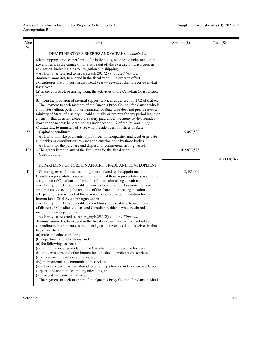| Vote<br>No.                       | Items                                                                                                                                                                                                                                                                                                                                                                                                                                                                                                                                                                                                                                                                                                                                                                                                                                                                                                                                                                                                                                                                                                                                                                                                                                                                                                                                                                                                                                                                                                                                                                                                                    | Amount $(\$)$            | Total (\$)  |
|-----------------------------------|--------------------------------------------------------------------------------------------------------------------------------------------------------------------------------------------------------------------------------------------------------------------------------------------------------------------------------------------------------------------------------------------------------------------------------------------------------------------------------------------------------------------------------------------------------------------------------------------------------------------------------------------------------------------------------------------------------------------------------------------------------------------------------------------------------------------------------------------------------------------------------------------------------------------------------------------------------------------------------------------------------------------------------------------------------------------------------------------------------------------------------------------------------------------------------------------------------------------------------------------------------------------------------------------------------------------------------------------------------------------------------------------------------------------------------------------------------------------------------------------------------------------------------------------------------------------------------------------------------------------------|--------------------------|-------------|
|                                   | DEPARTMENT OF FISHERIES AND OCEANS - Concluded                                                                                                                                                                                                                                                                                                                                                                                                                                                                                                                                                                                                                                                                                                                                                                                                                                                                                                                                                                                                                                                                                                                                                                                                                                                                                                                                                                                                                                                                                                                                                                           |                          |             |
| 5 <sub>b</sub><br>10 <sub>b</sub> | other shipping services performed for individuals, outside agencies and other<br>governments in the course of, or arising out of, the exercise of jurisdiction in<br>navigation, including aids to navigation and shipping<br>$-$ Authority, as referred to in paragraph 29.1(2)(a) of the <i>Financial</i><br>Administration Act, to expend in the fiscal year $-$ in order to offset<br>expenditures that it incurs in that fiscal year — revenues that it receives in that<br>fiscal year<br>(a) in the course of, or arising from, the activities of the Canadian Coast Guard;<br>and<br>(b) from the provision of internal support services under section 29.2 of that Act<br>- The payment to each member of the Queen's Privy Council for Canada who is<br>a minister without portfolio, or a minister of State who does not preside over a<br>ministry of State, of a salary — paid annually or pro rata for any period less than<br>a year — that does not exceed the salary paid under the Salaries Act, rounded<br>down to the nearest hundred dollars under section 67 of the Parliament of<br>Canada Act, to ministers of State who preside over ministries of State<br>$-$ Capital expenditures<br>- Authority to make payments to provinces, municipalities and local or private<br>authorities as contributions towards construction done by those bodies<br>- Authority for the purchase and disposal of commercial fishing vessels<br>- The grants listed in any of the Estimates for the fiscal year<br>$-$ Contributions                                                                             | 5,057,500<br>102,873,528 |             |
|                                   |                                                                                                                                                                                                                                                                                                                                                                                                                                                                                                                                                                                                                                                                                                                                                                                                                                                                                                                                                                                                                                                                                                                                                                                                                                                                                                                                                                                                                                                                                                                                                                                                                          |                          | 207,060,746 |
|                                   | DEPARTMENT OF FOREIGN AFFAIRS, TRADE AND DEVELOPMENT                                                                                                                                                                                                                                                                                                                                                                                                                                                                                                                                                                                                                                                                                                                                                                                                                                                                                                                                                                                                                                                                                                                                                                                                                                                                                                                                                                                                                                                                                                                                                                     |                          |             |
| 1 <sub>b</sub>                    | - Operating expenditures, including those related to the appointment of<br>Canada's representatives abroad, to the staff of those representatives, and to the<br>assignment of Canadians to the staffs of international organizations<br>- Authority to make recoverable advances to international organizations in<br>amounts not exceeding the amounts of the shares of those organizations<br>- Expenditures in respect of the provision of office accommodation for the<br>International Civil Aviation Organization<br>- Authority to make recoverable expenditures for assistance to and repatriation<br>of distressed Canadian citizens and Canadian residents who are abroad,<br>including their dependants<br>$-$ Authority, as referred to in paragraph 29.1(2)(a) of the <i>Financial</i><br>Administration Act, to expend in the fiscal year - in order to offset related<br>expenditures that it incurs in that fiscal year — revenues that it receives in that<br>fiscal year from<br>(a) trade and education fairs;<br>(b) departmental publications; and<br>(c) the following services:<br>(i) training services provided by the Canadian Foreign Service Institute,<br>(ii) trade missions and other international business development services,<br>(iii) investment development services,<br>(iv) international telecommunication services,<br>(v) other services provided abroad to other departments and to agencies, Crown<br>corporations and non-federal organizations, and<br>(vi) specialized consular services<br>- The payment to each member of the Queen's Privy Council for Canada who is | 2,483,049                |             |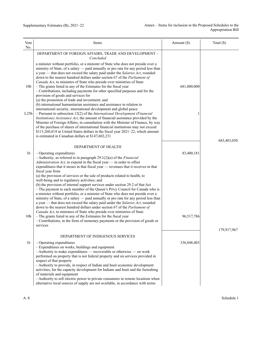| Vote<br>No.                         | Items                                                                                                                                                                                                                                                                                                                                                                                                                                                                                                                                                                                                                                                                                                                                                                                                                                                                                                                                                                                                                                                                                                                                                     | Amount $(\$)$ | Total $(\$)$ |
|-------------------------------------|-----------------------------------------------------------------------------------------------------------------------------------------------------------------------------------------------------------------------------------------------------------------------------------------------------------------------------------------------------------------------------------------------------------------------------------------------------------------------------------------------------------------------------------------------------------------------------------------------------------------------------------------------------------------------------------------------------------------------------------------------------------------------------------------------------------------------------------------------------------------------------------------------------------------------------------------------------------------------------------------------------------------------------------------------------------------------------------------------------------------------------------------------------------|---------------|--------------|
|                                     | DEPARTMENT OF FOREIGN AFFAIRS, TRADE AND DEVELOPMENT -<br>Concluded                                                                                                                                                                                                                                                                                                                                                                                                                                                                                                                                                                                                                                                                                                                                                                                                                                                                                                                                                                                                                                                                                       |               |              |
| 10 <sub>b</sub><br>L25 <sub>b</sub> | a minister without portfolio, or a minister of State who does not preside over a<br>ministry of State, of a salary — paid annually or pro rata for any period less than<br>a year — that does not exceed the salary paid under the Salaries Act, rounded<br>down to the nearest hundred dollars under section 67 of the Parliament of<br>Canada Act, to ministers of State who preside over ministries of State<br>- The grants listed in any of the Estimates for the fiscal year<br>- Contributions, including payments for other specified purposes and for the<br>provision of goods and services for<br>(a) the promotion of trade and investment; and<br>(b) international humanitarian assistance and assistance in relation to<br>international security, international development and global peace<br>$-$ Pursuant to subsection 12(2) of the International Development (Financial<br>Institutions) Assistance Act, the amount of financial assistance provided by the<br>Minister of Foreign Affairs, in consultation with the Minister of Finance, by way<br>of the purchase of shares of international financial institutions may not exceed | 681,000,000   |              |
|                                     | \$113,260,814 in United States dollars in the fiscal year 2021-22, which amount<br>is estimated in Canadian dollars at \$147,602,231                                                                                                                                                                                                                                                                                                                                                                                                                                                                                                                                                                                                                                                                                                                                                                                                                                                                                                                                                                                                                      |               |              |
|                                     | DEPARTMENT OF HEALTH                                                                                                                                                                                                                                                                                                                                                                                                                                                                                                                                                                                                                                                                                                                                                                                                                                                                                                                                                                                                                                                                                                                                      |               | 683,483,050  |
| 1 <sub>b</sub>                      | - Operating expenditures<br>$-$ Authority, as referred to in paragraph 29.1(2)(a) of the <i>Financial</i><br>Administration Act, to expend in the fiscal year $-$ in order to offset<br>expenditures that it incurs in that fiscal year — revenues that it receives in that<br>fiscal year from                                                                                                                                                                                                                                                                                                                                                                                                                                                                                                                                                                                                                                                                                                                                                                                                                                                           | 83,400,181    |              |
|                                     | (a) the provision of services or the sale of products related to health, to<br>well-being and to regulatory activities; and<br>(b) the provision of internal support services under section 29.2 of that Act<br>- The payment to each member of the Queen's Privy Council for Canada who is<br>a minister without portfolio, or a minister of State who does not preside over a<br>ministry of State, of a salary - paid annually or pro rata for any period less than<br>a year - that does not exceed the salary paid under the Salaries Act, rounded<br>down to the nearest hundred dollars under section 67 of the Parliament of<br>Canada Act, to ministers of State who preside over ministries of State                                                                                                                                                                                                                                                                                                                                                                                                                                            |               |              |
| 10 <sub>b</sub>                     | - The grants listed in any of the Estimates for the fiscal year<br>- Contributions, in the form of monetary payments or the provision of goods or<br>services                                                                                                                                                                                                                                                                                                                                                                                                                                                                                                                                                                                                                                                                                                                                                                                                                                                                                                                                                                                             | 96,517,786    |              |
|                                     | DEPARTMENT OF INDIGENOUS SERVICES                                                                                                                                                                                                                                                                                                                                                                                                                                                                                                                                                                                                                                                                                                                                                                                                                                                                                                                                                                                                                                                                                                                         |               | 179,917,967  |
| 1 <sub>b</sub>                      | $-$ Operating expenditures<br>- Expenditures on works, buildings and equipment<br>- Authority to make expenditures — recoverable or otherwise — on work<br>performed on property that is not federal property and on services provided in<br>respect of that property<br>- Authority to provide, in respect of Indian and Inuit economic development<br>activities, for the capacity development for Indians and Inuit and the furnishing<br>of materials and equipment<br>- Authority to sell electric power to private consumers in remote locations when<br>alternative local sources of supply are not available, in accordance with terms                                                                                                                                                                                                                                                                                                                                                                                                                                                                                                            | 336,848,403   |              |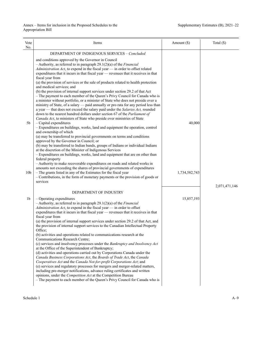| Vote<br>No.     | Items                                                                                                                                                                                                                                                                                                                                                                                                                                                                                                                                                                                                                                                                                                                                                                                                                                                                                                                                                                                                                                                                                                                                                                                                                                                                                  | Amount $(\$)$ | Total (\$)    |
|-----------------|----------------------------------------------------------------------------------------------------------------------------------------------------------------------------------------------------------------------------------------------------------------------------------------------------------------------------------------------------------------------------------------------------------------------------------------------------------------------------------------------------------------------------------------------------------------------------------------------------------------------------------------------------------------------------------------------------------------------------------------------------------------------------------------------------------------------------------------------------------------------------------------------------------------------------------------------------------------------------------------------------------------------------------------------------------------------------------------------------------------------------------------------------------------------------------------------------------------------------------------------------------------------------------------|---------------|---------------|
|                 | DEPARTMENT OF INDIGENOUS SERVICES - Concluded                                                                                                                                                                                                                                                                                                                                                                                                                                                                                                                                                                                                                                                                                                                                                                                                                                                                                                                                                                                                                                                                                                                                                                                                                                          |               |               |
|                 | and conditions approved by the Governor in Council<br>$-$ Authority, as referred to in paragraph 29.1(2)(a) of the <i>Financial</i><br>Administration Act, to expend in the fiscal year - in order to offset related<br>expenditures that it incurs in that fiscal year - revenues that it receives in that<br>fiscal year from<br>(a) the provision of services or the sale of products related to health protection                                                                                                                                                                                                                                                                                                                                                                                                                                                                                                                                                                                                                                                                                                                                                                                                                                                                  |               |               |
|                 | and medical services; and<br>(b) the provision of internal support services under section 29.2 of that Act<br>- The payment to each member of the Queen's Privy Council for Canada who is<br>a minister without portfolio, or a minister of State who does not preside over a<br>ministry of State, of a salary — paid annually or pro rata for any period less than<br>a year — that does not exceed the salary paid under the Salaries Act, rounded<br>down to the nearest hundred dollars under section 67 of the Parliament of                                                                                                                                                                                                                                                                                                                                                                                                                                                                                                                                                                                                                                                                                                                                                     |               |               |
| 5b              | Canada Act, to ministers of State who preside over ministries of State<br>$-$ Capital expenditures<br>- Expenditures on buildings, works, land and equipment the operation, control<br>and ownership of which<br>(a) may be transferred to provincial governments on terms and conditions<br>approved by the Governor in Council; or<br>(b) may be transferred to Indian bands, groups of Indians or individual Indians<br>at the discretion of the Minister of Indigenous Services                                                                                                                                                                                                                                                                                                                                                                                                                                                                                                                                                                                                                                                                                                                                                                                                    | 40,000        |               |
| 10 <sub>b</sub> | - Expenditures on buildings, works, land and equipment that are on other than<br>federal property<br>- Authority to make recoverable expenditures on roads and related works in<br>amounts not exceeding the shares of provincial governments of expenditures<br>- The grants listed in any of the Estimates for the fiscal year<br>- Contributions, in the form of monetary payments or the provision of goods or<br>services                                                                                                                                                                                                                                                                                                                                                                                                                                                                                                                                                                                                                                                                                                                                                                                                                                                         | 1,734,582,743 | 2,071,471,146 |
|                 | DEPARTMENT OF INDUSTRY                                                                                                                                                                                                                                                                                                                                                                                                                                                                                                                                                                                                                                                                                                                                                                                                                                                                                                                                                                                                                                                                                                                                                                                                                                                                 |               |               |
| 1b              | - Operating expenditures<br>$-$ Authority, as referred to in paragraph 29.1(2)(a) of the <i>Financial</i><br>Administration Act, to expend in the fiscal year - in order to offset<br>expenditures that it incurs in that fiscal year — revenues that it receives in that<br>fiscal year from<br>(a) the provision of internal support services under section 29.2 of that Act, and<br>the provision of internal support services to the Canadian Intellectual Property<br>Office;<br>(b) activities and operations related to communications research at the<br>Communications Research Centre;<br>(c) services and insolvency processes under the Bankruptcy and Insolvency Act<br>at the Office of the Superintendent of Bankruptcy;<br>(d) activities and operations carried out by Corporations Canada under the<br>Canada Business Corporations Act, the Boards of Trade Act, the Canada<br>Cooperatives Act and the Canada Not-for-profit Corporations Act; and<br>(e) services and regulatory processes for mergers and merger-related matters,<br>including pre-merger notifications, advance ruling certificates and written<br>opinions, under the Competition Act at the Competition Bureau<br>- The payment to each member of the Queen's Privy Council for Canada who is | 15,857,193    |               |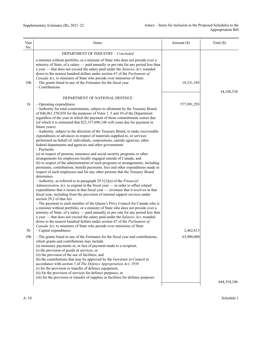| Vote<br>No.                             | Items                                                                                                                                                                                                                                                                                                                                                                                                                                                                                                                                                                                                                                                                                                                                                                                                                                                                                                                                                                                                                                                                                                                                                                                                                                                                                                                                                                                                                                                                                                                                                                                                                                                                                                                                                                                                                                                                                                                                                                                                                                                                                                                                                                                                                                                                                                                                                                                                                                                                                 | Amount $(\$)$                          | Total (\$)  |
|-----------------------------------------|---------------------------------------------------------------------------------------------------------------------------------------------------------------------------------------------------------------------------------------------------------------------------------------------------------------------------------------------------------------------------------------------------------------------------------------------------------------------------------------------------------------------------------------------------------------------------------------------------------------------------------------------------------------------------------------------------------------------------------------------------------------------------------------------------------------------------------------------------------------------------------------------------------------------------------------------------------------------------------------------------------------------------------------------------------------------------------------------------------------------------------------------------------------------------------------------------------------------------------------------------------------------------------------------------------------------------------------------------------------------------------------------------------------------------------------------------------------------------------------------------------------------------------------------------------------------------------------------------------------------------------------------------------------------------------------------------------------------------------------------------------------------------------------------------------------------------------------------------------------------------------------------------------------------------------------------------------------------------------------------------------------------------------------------------------------------------------------------------------------------------------------------------------------------------------------------------------------------------------------------------------------------------------------------------------------------------------------------------------------------------------------------------------------------------------------------------------------------------------------|----------------------------------------|-------------|
|                                         | DEPARTMENT OF INDUSTRY - Concluded                                                                                                                                                                                                                                                                                                                                                                                                                                                                                                                                                                                                                                                                                                                                                                                                                                                                                                                                                                                                                                                                                                                                                                                                                                                                                                                                                                                                                                                                                                                                                                                                                                                                                                                                                                                                                                                                                                                                                                                                                                                                                                                                                                                                                                                                                                                                                                                                                                                    |                                        |             |
| 10 <sub>b</sub>                         | a minister without portfolio, or a minister of State who does not preside over a<br>ministry of State, of a salary — paid annually or pro rata for any period less than<br>a year — that does not exceed the salary paid under the Salaries Act, rounded<br>down to the nearest hundred dollars under section 67 of the Parliament of<br>Canada Act, to ministers of State who preside over ministries of State<br>- The grants listed in any of the Estimates for the fiscal year<br>$-$ Contributions                                                                                                                                                                                                                                                                                                                                                                                                                                                                                                                                                                                                                                                                                                                                                                                                                                                                                                                                                                                                                                                                                                                                                                                                                                                                                                                                                                                                                                                                                                                                                                                                                                                                                                                                                                                                                                                                                                                                                                               | 18,331,345                             | 34,188,538  |
|                                         | DEPARTMENT OF NATIONAL DEFENCE                                                                                                                                                                                                                                                                                                                                                                                                                                                                                                                                                                                                                                                                                                                                                                                                                                                                                                                                                                                                                                                                                                                                                                                                                                                                                                                                                                                                                                                                                                                                                                                                                                                                                                                                                                                                                                                                                                                                                                                                                                                                                                                                                                                                                                                                                                                                                                                                                                                        |                                        |             |
| 1b<br>5 <sub>b</sub><br>10 <sub>b</sub> | - Operating expenditures<br>- Authority for total commitments, subject to allotment by the Treasury Board,<br>of \$46,061,550,858 for the purposes of Votes 1, 5 and 10 of the Department<br>regardless of the year in which the payment of those commitments comes due<br>(of which it is estimated that \$23,337,696,148 will come due for payment in<br>future years)<br>- Authority, subject to the direction of the Treasury Board, to make recoverable<br>expenditures or advances in respect of materials supplied to, or services<br>performed on behalf of, individuals, corporations, outside agencies, other<br>federal departments and agencies and other governments<br>- Payments<br>(a) in respect of pension, insurance and social security programs or other<br>arrangements for employees locally engaged outside of Canada; and<br>(b) in respect of the administration of such programs or arrangements, including<br>premiums, contributions, benefit payments, fees and other expenditures made in<br>respect of such employees and for any other persons that the Treasury Board<br>determines<br>$-$ Authority, as referred to in paragraph 29.1(2)(a) of the <i>Financial</i><br>Administration Act, to expend in the fiscal year $-$ in order to offset related<br>expenditures that it incurs in that fiscal year — revenues that it receives in that<br>fiscal year, including from the provision of internal support services under<br>section 29.2 of that Act<br>- The payment to each member of the Queen's Privy Council for Canada who is<br>a minister without portfolio, or a minister of State who does not preside over a<br>ministry of State, of a salary - paid annually or pro rata for any period less than<br>a year — that does not exceed the salary paid under the Salaries Act, rounded<br>down to the nearest hundred dollars under section 67 of the Parliament of<br>Canada Act, to ministers of State who preside over ministries of State<br>$-$ Capital expenditures<br>- The grants listed in any of the Estimates for the fiscal year and contributions,<br>which grants and contributions may include<br>(a) monetary payments or, in lieu of payment made to a recipient,<br>(i) the provision of goods or services, or<br>(ii) the provision of the use of facilities; and<br>(b) the contributions that may be approved by the Governor in Council in<br>accordance with section 3 of The Defence Appropriation Act, 1950 | 577,991,293<br>2,462,813<br>63,900,000 |             |
|                                         | (i) for the provision or transfer of defence equipment,<br>(ii) for the provision of services for defence purposes, or<br>(iii) for the provision or transfer of supplies or facilities for defence purposes                                                                                                                                                                                                                                                                                                                                                                                                                                                                                                                                                                                                                                                                                                                                                                                                                                                                                                                                                                                                                                                                                                                                                                                                                                                                                                                                                                                                                                                                                                                                                                                                                                                                                                                                                                                                                                                                                                                                                                                                                                                                                                                                                                                                                                                                          |                                        |             |
|                                         |                                                                                                                                                                                                                                                                                                                                                                                                                                                                                                                                                                                                                                                                                                                                                                                                                                                                                                                                                                                                                                                                                                                                                                                                                                                                                                                                                                                                                                                                                                                                                                                                                                                                                                                                                                                                                                                                                                                                                                                                                                                                                                                                                                                                                                                                                                                                                                                                                                                                                       |                                        | 644,354,106 |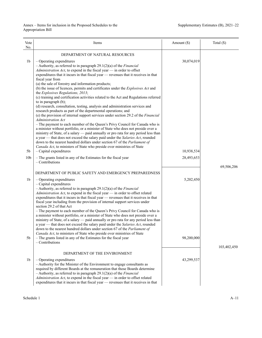| Vote<br>No.          | Items                                                                                                                                                                                                                                                                                                                                                                                                                                                                                                                                                                                                                                                                                                                                                                                                                                                                                                                                                                                                                                                                                                                                                                                                                                                                                                                                                           | Amount (\$)             | Total $(\$)$ |
|----------------------|-----------------------------------------------------------------------------------------------------------------------------------------------------------------------------------------------------------------------------------------------------------------------------------------------------------------------------------------------------------------------------------------------------------------------------------------------------------------------------------------------------------------------------------------------------------------------------------------------------------------------------------------------------------------------------------------------------------------------------------------------------------------------------------------------------------------------------------------------------------------------------------------------------------------------------------------------------------------------------------------------------------------------------------------------------------------------------------------------------------------------------------------------------------------------------------------------------------------------------------------------------------------------------------------------------------------------------------------------------------------|-------------------------|--------------|
|                      | DEPARTMENT OF NATURAL RESOURCES                                                                                                                                                                                                                                                                                                                                                                                                                                                                                                                                                                                                                                                                                                                                                                                                                                                                                                                                                                                                                                                                                                                                                                                                                                                                                                                                 |                         |              |
| 1 <sub>b</sub>       | $-$ Operating expenditures<br>$-$ Authority, as referred to in paragraph 29.1(2)(a) of the Financial<br>Administration Act, to expend in the fiscal year - in order to offset<br>expenditures that it incurs in that fiscal year — revenues that it receives in that<br>fiscal year from<br>(a) the sale of forestry and information products;<br>(b) the issue of licences, permits and certificates under the Explosives Act and<br>the Explosives Regulations, 2013;<br>(c) training and certification activities related to the Act and Regulations referred<br>to in paragraph (b);<br>(d) research, consultation, testing, analysis and administration services and<br>research products as part of the departmental operations; and<br>(e) the provision of internal support services under section 29.2 of the Financial<br><b>Administration Act</b><br>- The payment to each member of the Queen's Privy Council for Canada who is<br>a minister without portfolio, or a minister of State who does not preside over a<br>ministry of State, of a salary — paid annually or pro rata for any period less than<br>a year — that does not exceed the salary paid under the Salaries Act, rounded<br>down to the nearest hundred dollars under section 67 of the Parliament of<br>Canada Act, to ministers of State who preside over ministries of State | 30,074,019              |              |
| 5b                   | $-$ Capital expenditures                                                                                                                                                                                                                                                                                                                                                                                                                                                                                                                                                                                                                                                                                                                                                                                                                                                                                                                                                                                                                                                                                                                                                                                                                                                                                                                                        | 10,938,534              |              |
| 10 <sub>b</sub>      | - The grants listed in any of the Estimates for the fiscal year<br>$-$ Contributions                                                                                                                                                                                                                                                                                                                                                                                                                                                                                                                                                                                                                                                                                                                                                                                                                                                                                                                                                                                                                                                                                                                                                                                                                                                                            | 28,493,653              |              |
|                      | DEPARTMENT OF PUBLIC SAFETY AND EMERGENCY PREPAREDNESS                                                                                                                                                                                                                                                                                                                                                                                                                                                                                                                                                                                                                                                                                                                                                                                                                                                                                                                                                                                                                                                                                                                                                                                                                                                                                                          |                         | 69,506,206   |
| 1b<br>5 <sub>b</sub> | - Operating expenditures<br>$-$ Capital expenditures<br>$-$ Authority, as referred to in paragraph 29.1(2)(a) of the <i>Financial</i><br>Administration Act, to expend in the fiscal year - in order to offset related<br>expenditures that it incurs in that fiscal year - revenues that it receives in that<br>fiscal year including from the provision of internal support services under<br>section 29.2 of that Act<br>- The payment to each member of the Queen's Privy Council for Canada who is<br>a minister without portfolio, or a minister of State who does not preside over a<br>ministry of State, of a salary — paid annually or pro rata for any period less than<br>a year — that does not exceed the salary paid under the Salaries Act, rounded<br>down to the nearest hundred dollars under section 67 of the Parliament of<br>Canada Act, to ministers of State who preside over ministries of State<br>- The grants listed in any of the Estimates for the fiscal year<br>$-$ Contributions                                                                                                                                                                                                                                                                                                                                              | 5,202,450<br>98,200,000 | 103,402,450  |
|                      | DEPARTMENT OF THE ENVIRONMENT                                                                                                                                                                                                                                                                                                                                                                                                                                                                                                                                                                                                                                                                                                                                                                                                                                                                                                                                                                                                                                                                                                                                                                                                                                                                                                                                   |                         |              |
| 1 <sub>b</sub>       | $-$ Operating expenditures<br>- Authority for the Minister of the Environment to engage consultants as<br>required by different Boards at the remuneration that those Boards determine<br>$-$ Authority, as referred to in paragraph 29.1(2)(a) of the <i>Financial</i><br>Administration Act, to expend in the fiscal year - in order to offset related<br>expenditures that it incurs in that fiscal year — revenues that it receives in that                                                                                                                                                                                                                                                                                                                                                                                                                                                                                                                                                                                                                                                                                                                                                                                                                                                                                                                 | 43,299,537              |              |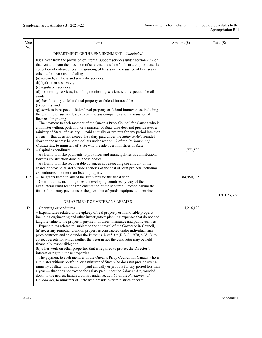| Vote<br>No.     | Items                                                                                                                                                                                                                                                                                                                                                                                                                                                                                                                                                                                                                                                                                                                                                                                                                                                                                                                                                                                                                                                                                                                                                                                                                                                                           | Amount $(\$)$ | Total (\$)  |
|-----------------|---------------------------------------------------------------------------------------------------------------------------------------------------------------------------------------------------------------------------------------------------------------------------------------------------------------------------------------------------------------------------------------------------------------------------------------------------------------------------------------------------------------------------------------------------------------------------------------------------------------------------------------------------------------------------------------------------------------------------------------------------------------------------------------------------------------------------------------------------------------------------------------------------------------------------------------------------------------------------------------------------------------------------------------------------------------------------------------------------------------------------------------------------------------------------------------------------------------------------------------------------------------------------------|---------------|-------------|
|                 | DEPARTMENT OF THE ENVIRONMENT - Concluded                                                                                                                                                                                                                                                                                                                                                                                                                                                                                                                                                                                                                                                                                                                                                                                                                                                                                                                                                                                                                                                                                                                                                                                                                                       |               |             |
|                 | fiscal year from the provision of internal support services under section 29.2 of<br>that Act and from the provision of services, the sale of information products, the<br>collection of entrance fees, the granting of leases or the issuance of licenses or<br>other authorizations, including<br>(a) research, analysis and scientific services;<br>(b) hydrometric surveys;<br>(c) regulatory services;<br>(d) monitoring services, including monitoring services with respect to the oil<br>sands;<br>(e) fees for entry to federal real property or federal immovables;<br>(f) permits; and<br>(g) services in respect of federal real property or federal immovables, including<br>the granting of surface leases to oil and gas companies and the issuance of<br>licences for grazing                                                                                                                                                                                                                                                                                                                                                                                                                                                                                   |               |             |
|                 | - The payment to each member of the Queen's Privy Council for Canada who is<br>a minister without portfolio, or a minister of State who does not preside over a<br>ministry of State, of a salary — paid annually or pro rata for any period less than<br>a year — that does not exceed the salary paid under the Salaries Act, rounded<br>down to the nearest hundred dollars under section 67 of the Parliament of                                                                                                                                                                                                                                                                                                                                                                                                                                                                                                                                                                                                                                                                                                                                                                                                                                                            |               |             |
| 5 <sub>b</sub>  | Canada Act, to ministers of State who preside over ministries of State<br>$-$ Capital expenditures<br>- Authority to make payments to provinces and municipalities as contributions<br>towards construction done by those bodies<br>- Authority to make recoverable advances not exceeding the amount of the<br>shares of provincial and outside agencies of the cost of joint projects including                                                                                                                                                                                                                                                                                                                                                                                                                                                                                                                                                                                                                                                                                                                                                                                                                                                                               | 1,773,500     |             |
| 10 <sub>b</sub> | expenditures on other than federal property<br>- The grants listed in any of the Estimates for the fiscal year<br>- Contributions, including ones to developing countries by way of the<br>Multilateral Fund for the Implementation of the Montreal Protocol taking the<br>form of monetary payments or the provision of goods, equipment or services                                                                                                                                                                                                                                                                                                                                                                                                                                                                                                                                                                                                                                                                                                                                                                                                                                                                                                                           | 84,950,335    | 130,023,372 |
|                 | DEPARTMENT OF VETERANS AFFAIRS                                                                                                                                                                                                                                                                                                                                                                                                                                                                                                                                                                                                                                                                                                                                                                                                                                                                                                                                                                                                                                                                                                                                                                                                                                                  |               |             |
| 1b              | - Operating expenditures<br>- Expenditures related to the upkeep of real property or immovable property,<br>including engineering and other investigatory planning expenses that do not add<br>tangible value to the property, payment of taxes, insurance and public utilities<br>- Expenditures related to, subject to the approval of the Governor in Council,<br>(a) necessary remedial work on properties constructed under individual firm<br>price contracts and sold under the Veterans' Land Act (R.S.C. 1970, c. V-4), to<br>correct defects for which neither the veteran nor the contractor may be held<br>financially responsible; and<br>(b) other work on other properties that is required to protect the Director's<br>interest or right in those properties<br>- The payment to each member of the Queen's Privy Council for Canada who is<br>a minister without portfolio, or a minister of State who does not preside over a<br>ministry of State, of a salary — paid annually or pro rata for any period less than<br>a year — that does not exceed the salary paid under the Salaries Act, rounded<br>down to the nearest hundred dollars under section 67 of the Parliament of<br>Canada Act, to ministers of State who preside over ministries of State | 14,216,193    |             |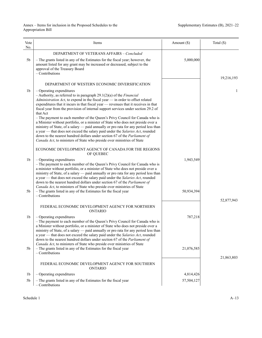| Vote<br>No.    | Items                                                                                                                                                                                                                                                                                                                                                                                                                                                                                                                                                                                           | Amount $(\$)$ | Total $(\$)$ |
|----------------|-------------------------------------------------------------------------------------------------------------------------------------------------------------------------------------------------------------------------------------------------------------------------------------------------------------------------------------------------------------------------------------------------------------------------------------------------------------------------------------------------------------------------------------------------------------------------------------------------|---------------|--------------|
|                | DEPARTMENT OF VETERANS AFFAIRS - Concluded                                                                                                                                                                                                                                                                                                                                                                                                                                                                                                                                                      |               |              |
| 5 <sub>b</sub> | - The grants listed in any of the Estimates for the fiscal year; however, the<br>amount listed for any grant may be increased or decreased, subject to the<br>approval of the Treasury Board<br>$-$ Contributions                                                                                                                                                                                                                                                                                                                                                                               | 5,000,000     |              |
|                |                                                                                                                                                                                                                                                                                                                                                                                                                                                                                                                                                                                                 |               | 19,216,193   |
| 1 <sub>b</sub> | DEPARTMENT OF WESTERN ECONOMIC DIVERSIFICATION<br>$-$ Operating expenditures<br>$-$ Authority, as referred to in paragraph 29.1(2)(a) of the <i>Financial</i><br>Administration Act, to expend in the fiscal year - in order to offset related<br>expenditures that it incurs in that fiscal year - revenues that it receives in that                                                                                                                                                                                                                                                           |               | 1            |
|                | fiscal year from the provision of internal support services under section 29.2 of<br>that Act<br>- The payment to each member of the Queen's Privy Council for Canada who is<br>a Minister without portfolio, or a minister of State who does not preside over a<br>ministry of State, of a salary - paid annually or pro rata for any period less than<br>a year - that does not exceed the salary paid under the Salaries Act, rounded<br>down to the nearest hundred dollars under section 67 of the Parliament of<br>Canada Act, to ministers of State who preside over ministries of State |               |              |
|                | ECONOMIC DEVELOPMENT AGENCY OF CANADA FOR THE REGIONS<br>OF QUEBEC                                                                                                                                                                                                                                                                                                                                                                                                                                                                                                                              |               |              |
| 1 <sub>b</sub> | $-$ Operating expenditures<br>- The payment to each member of the Queen's Privy Council for Canada who is<br>a minister without portfolio, or a minister of State who does not preside over a<br>ministry of State, of a salary — paid annually or pro rata for any period less than<br>a year — that does not exceed the salary paid under the Salaries Act, rounded<br>down to the nearest hundred dollars under section 67 of the Parliament of<br>Canada Act, to ministers of State who preside over ministries of State                                                                    | 1,943,549     |              |
| 5 <sub>b</sub> | - The grants listed in any of the Estimates for the fiscal year<br>$-$ Contributions                                                                                                                                                                                                                                                                                                                                                                                                                                                                                                            | 50,934,394    |              |
|                | FEDERAL ECONOMIC DEVELOPMENT AGENCY FOR NORTHERN<br><b>ONTARIO</b>                                                                                                                                                                                                                                                                                                                                                                                                                                                                                                                              |               | 52,877,943   |
| 1 <sub>b</sub> | $-$ Operating expenditures<br>- The payment to each member of the Queen's Privy Council for Canada who is<br>a Minister without portfolio, or a minister of State who does not preside over a<br>ministry of State, of a salary — paid annually or pro rata for any period less than<br>a year - that does not exceed the salary paid under the Salaries Act, rounded<br>down to the nearest hundred dollars under section 67 of the Parliament of                                                                                                                                              | 787,218       |              |
| 5b             | Canada Act, to ministers of State who preside over ministries of State<br>- The grants listed in any of the Estimates for the fiscal year<br>$-$ Contributions                                                                                                                                                                                                                                                                                                                                                                                                                                  | 21,076,585    | 21,863,803   |
|                | FEDERAL ECONOMIC DEVELOPMENT AGENCY FOR SOUTHERN<br>ONTARIO                                                                                                                                                                                                                                                                                                                                                                                                                                                                                                                                     |               |              |
| 1b             | $-$ Operating expenditures                                                                                                                                                                                                                                                                                                                                                                                                                                                                                                                                                                      | 4,814,426     |              |
| 5 <sub>b</sub> | - The grants listed in any of the Estimates for the fiscal year<br>- Contributions                                                                                                                                                                                                                                                                                                                                                                                                                                                                                                              | 57,504,127    |              |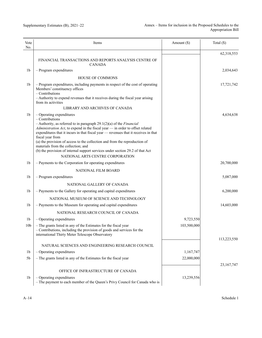| Vote<br>No.     | Items                                                                                                                                                                                                                                                                                                                                                                                         | Amount $(\$)$ | Total $(\$)$ |
|-----------------|-----------------------------------------------------------------------------------------------------------------------------------------------------------------------------------------------------------------------------------------------------------------------------------------------------------------------------------------------------------------------------------------------|---------------|--------------|
|                 |                                                                                                                                                                                                                                                                                                                                                                                               |               | 62,318,553   |
|                 | FINANCIAL TRANSACTIONS AND REPORTS ANALYSIS CENTRE OF<br><b>CANADA</b>                                                                                                                                                                                                                                                                                                                        |               |              |
| 1 <sub>b</sub>  | $-$ Program expenditures                                                                                                                                                                                                                                                                                                                                                                      |               | 2,034,643    |
|                 | <b>HOUSE OF COMMONS</b>                                                                                                                                                                                                                                                                                                                                                                       |               |              |
| 1 <sub>b</sub>  | - Program expenditures, including payments in respect of the cost of operating<br>Members' constituency offices<br>$-$ Contributions                                                                                                                                                                                                                                                          |               | 17,721,742   |
|                 | - Authority to expend revenues that it receives during the fiscal year arising<br>from its activities                                                                                                                                                                                                                                                                                         |               |              |
|                 | LIBRARY AND ARCHIVES OF CANADA                                                                                                                                                                                                                                                                                                                                                                |               |              |
| 1 <sub>b</sub>  | $-$ Operating expenditures<br>- Contributions                                                                                                                                                                                                                                                                                                                                                 |               | 4,634,638    |
|                 | $-$ Authority, as referred to in paragraph 29.1(2)(a) of the <i>Financial</i><br>Administration Act, to expend in the fiscal year - in order to offset related<br>expenditures that it incurs in that fiscal year - revenues that it receives in that<br>fiscal year from<br>(a) the provision of access to the collection and from the reproduction of<br>materials from the collection; and |               |              |
|                 | (b) the provision of internal support services under section 29.2 of that Act<br>NATIONAL ARTS CENTRE CORPORATION                                                                                                                                                                                                                                                                             |               |              |
| 1 <sub>b</sub>  | - Payments to the Corporation for operating expenditures                                                                                                                                                                                                                                                                                                                                      |               | 20,700,000   |
|                 |                                                                                                                                                                                                                                                                                                                                                                                               |               |              |
| 1 <sub>b</sub>  | NATIONAL FILM BOARD<br>$-$ Program expenditures                                                                                                                                                                                                                                                                                                                                               |               | 5,087,000    |
|                 |                                                                                                                                                                                                                                                                                                                                                                                               |               |              |
|                 | NATIONAL GALLERY OF CANADA                                                                                                                                                                                                                                                                                                                                                                    |               |              |
| 1 <sub>b</sub>  | - Payments to the Gallery for operating and capital expenditures                                                                                                                                                                                                                                                                                                                              |               | 6,200,000    |
|                 | NATIONAL MUSEUM OF SCIENCE AND TECHNOLOGY                                                                                                                                                                                                                                                                                                                                                     |               |              |
| 1 <sub>b</sub>  | - Payments to the Museum for operating and capital expenditures                                                                                                                                                                                                                                                                                                                               |               | 14,603,000   |
|                 | NATIONAL RESEARCH COUNCIL OF CANADA                                                                                                                                                                                                                                                                                                                                                           |               |              |
| 1b              | $-$ Operating expenditures                                                                                                                                                                                                                                                                                                                                                                    | 9,723,550     |              |
| 10 <sub>b</sub> | - The grants listed in any of the Estimates for the fiscal year<br>- Contributions, including the provision of goods and services for the<br>international Thirty Meter Telescope Observatory                                                                                                                                                                                                 | 103,500,000   |              |
|                 | NATURAL SCIENCES AND ENGINEERING RESEARCH COUNCIL                                                                                                                                                                                                                                                                                                                                             |               | 113,223,550  |
| 1b              | $-$ Operating expenditures                                                                                                                                                                                                                                                                                                                                                                    | 1,167,747     |              |
| 5 <sub>b</sub>  | - The grants listed in any of the Estimates for the fiscal year                                                                                                                                                                                                                                                                                                                               | 22,000,000    |              |
|                 |                                                                                                                                                                                                                                                                                                                                                                                               |               | 23, 167, 747 |
|                 | OFFICE OF INFRASTRUCTURE OF CANADA                                                                                                                                                                                                                                                                                                                                                            |               |              |
| 1b              | - Operating expenditures<br>- The payment to each member of the Queen's Privy Council for Canada who is                                                                                                                                                                                                                                                                                       | 13,239,556    |              |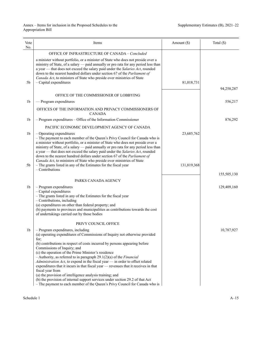| Vote<br>No.    | Items                                                                                                                                                                                                                                                                                                                                                                                                                                                                                                                                                                                                                                                                                                                                                                                                   | Amount (\$) | Total (\$)  |
|----------------|---------------------------------------------------------------------------------------------------------------------------------------------------------------------------------------------------------------------------------------------------------------------------------------------------------------------------------------------------------------------------------------------------------------------------------------------------------------------------------------------------------------------------------------------------------------------------------------------------------------------------------------------------------------------------------------------------------------------------------------------------------------------------------------------------------|-------------|-------------|
|                | OFFICE OF INFRASTRUCTURE OF CANADA - Concluded                                                                                                                                                                                                                                                                                                                                                                                                                                                                                                                                                                                                                                                                                                                                                          |             |             |
| 5 <sub>b</sub> | a minister without portfolio, or a minister of State who does not preside over a<br>ministry of State, of a salary — paid annually or pro rata for any period less than<br>a year - that does not exceed the salary paid under the Salaries Act, rounded<br>down to the nearest hundred dollars under section 67 of the Parliament of<br>Canada Act, to ministers of State who preside over ministries of State<br>$-$ Capital expenditures                                                                                                                                                                                                                                                                                                                                                             | 81,018,731  |             |
|                |                                                                                                                                                                                                                                                                                                                                                                                                                                                                                                                                                                                                                                                                                                                                                                                                         |             | 94,258,287  |
|                | OFFICE OF THE COMMISSIONER OF LOBBYING                                                                                                                                                                                                                                                                                                                                                                                                                                                                                                                                                                                                                                                                                                                                                                  |             |             |
| 1b             | $-$ Program expenditures                                                                                                                                                                                                                                                                                                                                                                                                                                                                                                                                                                                                                                                                                                                                                                                |             | 556,217     |
|                | OFFICES OF THE INFORMATION AND PRIVACY COMMISSIONERS OF<br><b>CANADA</b>                                                                                                                                                                                                                                                                                                                                                                                                                                                                                                                                                                                                                                                                                                                                |             |             |
| 1b             | $-$ Program expenditures $-$ Office of the Information Commissioner                                                                                                                                                                                                                                                                                                                                                                                                                                                                                                                                                                                                                                                                                                                                     |             | 876,292     |
|                | PACIFIC ECONOMIC DEVELOPMENT AGENCY OF CANADA                                                                                                                                                                                                                                                                                                                                                                                                                                                                                                                                                                                                                                                                                                                                                           |             |             |
| 1 <sub>b</sub> | - Operating expenditures<br>- The payment to each member of the Queen's Privy Council for Canada who is<br>a minister without portfolio, or a minister of State who does not preside over a<br>ministry of State, of a salary - paid annually or pro rata for any period less than<br>a year - that does not exceed the salary paid under the Salaries Act, rounded<br>down to the nearest hundred dollars under section 67 of the Parliament of<br>Canada Act, to ministers of State who preside over ministries of State                                                                                                                                                                                                                                                                              | 23,685,762  |             |
| 5b             | - The grants listed in any of the Estimates for the fiscal year<br>$-$ Contributions                                                                                                                                                                                                                                                                                                                                                                                                                                                                                                                                                                                                                                                                                                                    | 131,819,368 |             |
|                |                                                                                                                                                                                                                                                                                                                                                                                                                                                                                                                                                                                                                                                                                                                                                                                                         |             | 155,505,130 |
|                | PARKS CANADA AGENCY                                                                                                                                                                                                                                                                                                                                                                                                                                                                                                                                                                                                                                                                                                                                                                                     |             |             |
| 1 <sub>b</sub> | $-$ Program expenditures<br>- Capital expenditures<br>- The grants listed in any of the Estimates for the fiscal year<br>- Contributions, including<br>(a) expenditures on other than federal property; and<br>(b) payments to provinces and municipalities as contributions towards the cost<br>of undertakings carried out by those bodies                                                                                                                                                                                                                                                                                                                                                                                                                                                            |             | 129,409,160 |
|                | PRIVY COUNCIL OFFICE                                                                                                                                                                                                                                                                                                                                                                                                                                                                                                                                                                                                                                                                                                                                                                                    |             |             |
| 1b             | $-$ Program expenditures, including<br>(a) operating expenditures of Commissions of Inquiry not otherwise provided<br>for;<br>(b) contributions in respect of costs incurred by persons appearing before<br>Commissions of Inquiry; and<br>(c) the operation of the Prime Minister's residence<br>$-$ Authority, as referred to in paragraph 29.1(2)(a) of the <i>Financial</i><br>Administration Act, to expend in the fiscal year - in order to offset related<br>expenditures that it incurs in that fiscal year — revenues that it receives in that<br>fiscal year from<br>(a) the provision of intelligence analysis training; and<br>(b) the provision of internal support services under section 29.2 of that Act<br>- The payment to each member of the Queen's Privy Council for Canada who is |             | 10,787,927  |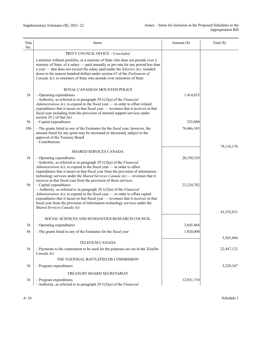| Vote<br>No.                      | Items                                                                                                                                                                                                                                                                                                                                                                                                                                                                                                                               | Amount $(\$)$            | Total $(\$)$ |
|----------------------------------|-------------------------------------------------------------------------------------------------------------------------------------------------------------------------------------------------------------------------------------------------------------------------------------------------------------------------------------------------------------------------------------------------------------------------------------------------------------------------------------------------------------------------------------|--------------------------|--------------|
|                                  | PRIVY COUNCIL OFFICE - Concluded                                                                                                                                                                                                                                                                                                                                                                                                                                                                                                    |                          |              |
|                                  | a minister without portfolio, or a minister of State who does not preside over a<br>ministry of State, of a salary - paid annually or pro rata for any period less than<br>a year — that does not exceed the salary paid under the Salaries Act, rounded<br>down to the nearest hundred dollars under section 67 of the Parliament of<br>Canada Act, to ministers of State who preside over ministries of State                                                                                                                     |                          |              |
|                                  | ROYAL CANADIAN MOUNTED POLICE                                                                                                                                                                                                                                                                                                                                                                                                                                                                                                       |                          |              |
| 1 <sub>b</sub>                   | $-$ Operating expenditures<br>$-$ Authority, as referred to in paragraph 29.1(2)(a) of the <i>Financial</i><br>Administration Act, to expend in the fiscal year - in order to offset related<br>expenditures that it incurs in that fiscal year - revenues that it receives in that<br>fiscal year including from the provision of internal support services under<br>section 29.2 of that Act                                                                                                                                      | 1,414,833                |              |
| 5b                               | $-$ Capital expenditures                                                                                                                                                                                                                                                                                                                                                                                                                                                                                                            | 235,000                  |              |
| 10 <sub>b</sub>                  | - The grants listed in any of the Estimates for the fiscal year; however, the<br>amount listed for any grant may be increased or decreased, subject to the<br>approval of the Treasury Board<br>$-$ Contributions                                                                                                                                                                                                                                                                                                                   | 76,466,343               |              |
|                                  |                                                                                                                                                                                                                                                                                                                                                                                                                                                                                                                                     |                          | 78,116,176   |
|                                  | <b>SHARED SERVICES CANADA</b>                                                                                                                                                                                                                                                                                                                                                                                                                                                                                                       |                          |              |
| 1 <sub>b</sub><br>5 <sub>b</sub> | $-$ Operating expenditures<br>$-$ Authority, as referred to in paragraph 29.1(2)(a) of the <i>Financial</i><br>Administration Act, to expend in the fiscal year - in order to offset<br>expenditures that it incurs in that fiscal year from the provision of information<br>technology services under the Shared Services Canada Act - revenues that it<br>receives in that fiscal year from the provision of those services<br>$-$ Capital expenditures<br>- Authority, as referred to in paragraph $29.1(2)(a)$ of the Financial | 20,330,329<br>23,224,702 |              |
|                                  | Administration Act, to expend in the fiscal year - in order to offset capital<br>expenditures that it incurs in that fiscal year — revenues that it receives in that<br>fiscal year from the provision of information technology services under the<br>Shared Services Canada Act                                                                                                                                                                                                                                                   |                          |              |
|                                  |                                                                                                                                                                                                                                                                                                                                                                                                                                                                                                                                     |                          | 43,555,031   |
|                                  | SOCIAL SCIENCES AND HUMANITIES RESEARCH COUNCIL                                                                                                                                                                                                                                                                                                                                                                                                                                                                                     |                          |              |
| 1b                               | $-$ Operating expenditures                                                                                                                                                                                                                                                                                                                                                                                                                                                                                                          | 3,645,484                |              |
| 5 <sub>b</sub>                   | - The grants listed in any of the Estimates for the fiscal year                                                                                                                                                                                                                                                                                                                                                                                                                                                                     | 1,920,000                |              |
|                                  | TELEFILM CANADA                                                                                                                                                                                                                                                                                                                                                                                                                                                                                                                     |                          | 5,565,484    |
| 1 <sub>b</sub>                   | - Payments to the corporation to be used for the purposes set out in the Telefilm<br>Canada Act                                                                                                                                                                                                                                                                                                                                                                                                                                     |                          | 22,447,122   |
|                                  | THE NATIONAL BATTLEFIELDS COMMISSION                                                                                                                                                                                                                                                                                                                                                                                                                                                                                                |                          |              |
| 1 <sub>b</sub>                   | $-$ Program expenditures                                                                                                                                                                                                                                                                                                                                                                                                                                                                                                            |                          | 5,228,347    |
|                                  | TREASURY BOARD SECRETARIAT                                                                                                                                                                                                                                                                                                                                                                                                                                                                                                          |                          |              |
| 1 <sub>b</sub>                   | $-$ Program expenditures<br>- Authority, as referred to in paragraph $29.1(2)(a)$ of the <i>Financial</i>                                                                                                                                                                                                                                                                                                                                                                                                                           | 12,031,710               |              |